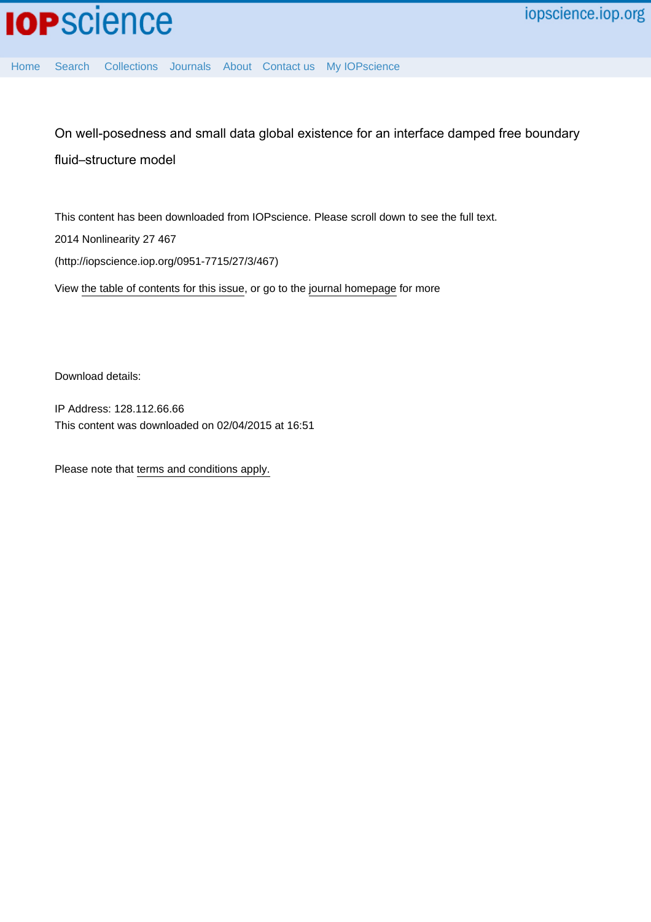[Home](http://iopscience.iop.org/) [Search](http://iopscience.iop.org/search) [Collections](http://iopscience.iop.org/collections) [Journals](http://iopscience.iop.org/journals) [About](http://iopscience.iop.org/page/aboutioppublishing) [Contact us](http://iopscience.iop.org/contact) [My IOPscience](http://iopscience.iop.org/myiopscience)

On well-posedness and small data global existence for an interface damped free boundary fluid–structure model

This content has been downloaded from IOPscience. Please scroll down to see the full text. View [the table of contents for this issue](http://iopscience.iop.org/0951-7715/27/3), or go to the [journal homepage](http://iopscience.iop.org/0951-7715) for more 2014 Nonlinearity 27 467 (http://iopscience.iop.org/0951-7715/27/3/467)

Download details:

IP Address: 128.112.66.66 This content was downloaded on 02/04/2015 at 16:51

Please note that [terms and conditions apply.](iopscience.iop.org/page/terms)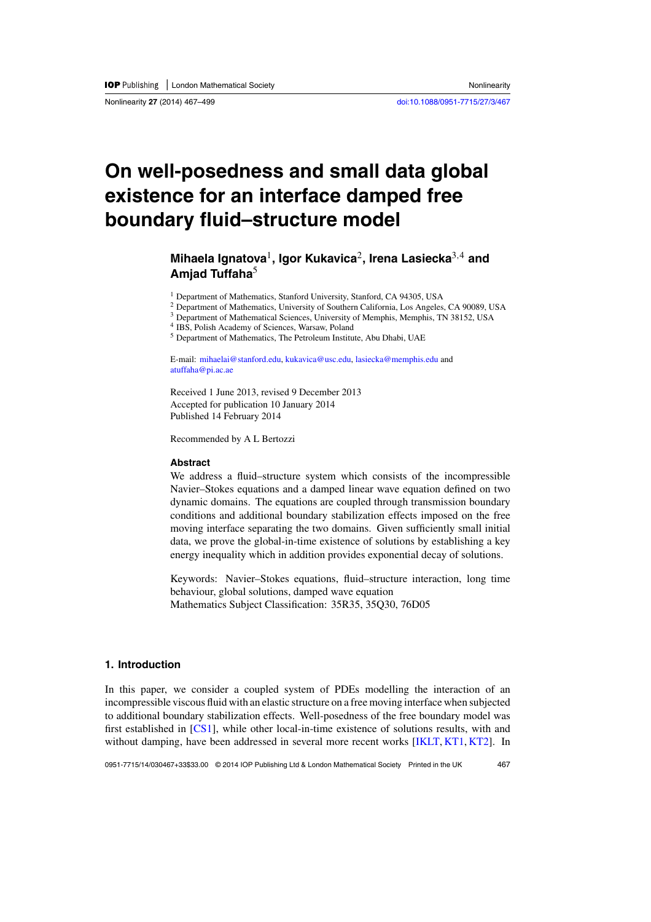Nonlinearity **27** (2014) 467–499 [doi:10.1088/0951-7715/27/3/467](http://dx.doi.org/10.1088/0951-7715/27/3/467)

# **On well-posedness and small data global existence for an interface damped free boundary fluid–structure model**

# **Mihaela Ignatova**1**, Igor Kukavica**2**, Irena Lasiecka**3*,*<sup>4</sup> **and Amjad Tuffaha**<sup>5</sup>

<sup>1</sup> Department of Mathematics, Stanford University, Stanford, CA 94305, USA

<sup>2</sup> Department of Mathematics, University of Southern California, Los Angeles, CA 90089, USA

<sup>3</sup> Department of Mathematical Sciences, University of Memphis, Memphis, TN 38152, USA

<sup>5</sup> Department of Mathematics, The Petroleum Institute, Abu Dhabi, UAE

E-mail: [mihaelai@stanford.edu,](mailto: mihaelai@stanford.edu) [kukavica@usc.edu,](mailto: kukavicachar ) [lasiecka@memphis.edu](mailto: lasiecka@memphis.edu) and [atuffaha@pi.ac.ae](mailto: atuffahachar )

Received 1 June 2013, revised 9 December 2013 Accepted for publication 10 January 2014 Published 14 February 2014

Recommended by A L Bertozzi

#### **Abstract**

We address a fluid–structure system which consists of the incompressible Navier–Stokes equations and a damped linear wave equation defined on two dynamic domains. The equations are coupled through transmission boundary conditions and additional boundary stabilization effects imposed on the free moving interface separating the two domains. Given sufficiently small initial data, we prove the global-in-time existence of solutions by establishing a key energy inequality which in addition provides exponential decay of solutions.

Keywords: Navier–Stokes equations, fluid–structure interaction, long time behaviour, global solutions, damped wave equation Mathematics Subject Classification: 35R35, 35Q30, 76D05

#### **1. Introduction**

In this paper, we consider a coupled system of PDEs modelling the interaction of an incompressible viscous fluid with an elastic structure on a free moving interface when subjected to additional boundary stabilization effects. Well-posedness of the free boundary model was first established in [\[CS1\]](#page-32-0), while other local-in-time existence of solutions results, with and without damping, have been addressed in several more recent works [\[IKLT,](#page-32-0) [KT1,](#page-32-0) [KT2\]](#page-32-0). In

<sup>4</sup> IBS, Polish Academy of Sciences, Warsaw, Poland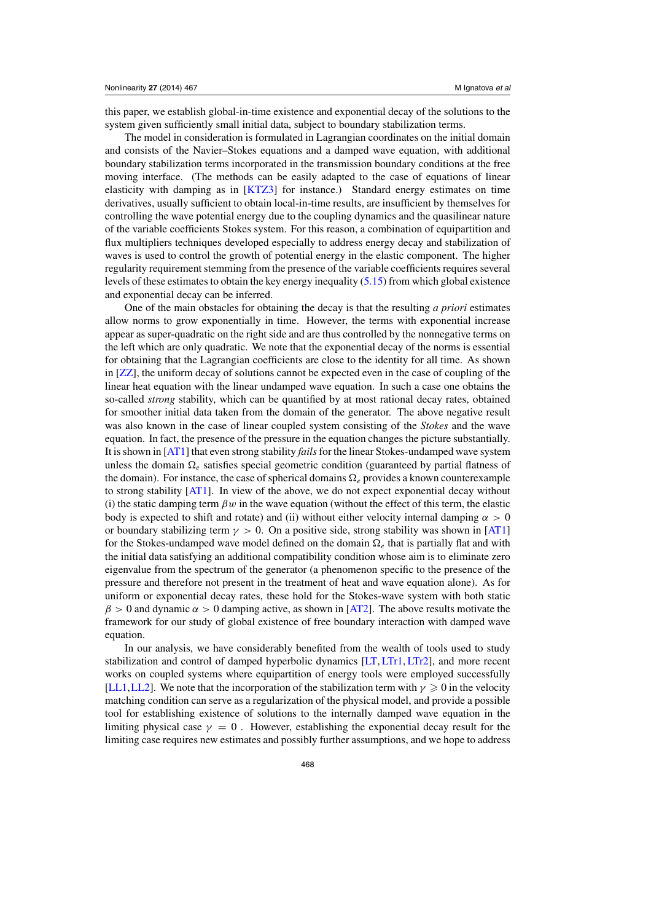this paper, we establish global-in-time existence and exponential decay of the solutions to the system given sufficiently small initial data, subject to boundary stabilization terms.

The model in consideration is formulated in Lagrangian coordinates on the initial domain and consists of the Navier–Stokes equations and a damped wave equation, with additional boundary stabilization terms incorporated in the transmission boundary conditions at the free moving interface. (The methods can be easily adapted to the case of equations of linear elasticity with damping as in [\[KTZ3\]](#page-33-0) for instance.) Standard energy estimates on time derivatives, usually sufficient to obtain local-in-time results, are insufficient by themselves for controlling the wave potential energy due to the coupling dynamics and the quasilinear nature of the variable coefficients Stokes system. For this reason, a combination of equipartition and flux multipliers techniques developed especially to address energy decay and stabilization of waves is used to control the growth of potential energy in the elastic component. The higher regularity requirement stemming from the presence of the variable coefficients requires several levels of these estimates to obtain the key energy inequality [\(5.15\)](#page-19-0) from which global existence and exponential decay can be inferred.

One of the main obstacles for obtaining the decay is that the resulting *a priori* estimates allow norms to grow exponentially in time. However, the terms with exponential increase appear as super-quadratic on the right side and are thus controlled by the nonnegative terms on the left which are only quadratic. We note that the exponential decay of the norms is essential for obtaining that the Lagrangian coefficients are close to the identity for all time. As shown in [\[ZZ\]](#page-33-0), the uniform decay of solutions cannot be expected even in the case of coupling of the linear heat equation with the linear undamped wave equation. In such a case one obtains the so-called *strong* stability, which can be quantified by at most rational decay rates, obtained for smoother initial data taken from the domain of the generator. The above negative result was also known in the case of linear coupled system consisting of the *Stokes* and the wave equation. In fact, the presence of the pressure in the equation changes the picture substantially. It is shown in [\[AT1\]](#page-32-0) that even strong stability *fails*for the linear Stokes-undamped wave system unless the domain  $\Omega_e$  satisfies special geometric condition (guaranteed by partial flatness of the domain). For instance, the case of spherical domains  $\Omega_e$  provides a known counterexample to strong stability [\[AT1\]](#page-32-0). In view of the above, we do not expect exponential decay without (i) the static damping term  $\beta w$  in the wave equation (without the effect of this term, the elastic body is expected to shift and rotate) and (ii) without either velocity internal damping  $\alpha > 0$ or boundary stabilizing term  $\gamma > 0$ . On a positive side, strong stability was shown in [\[AT1\]](#page-32-0) for the Stokes-undamped wave model defined on the domain  $\Omega_e$  that is partially flat and with the initial data satisfying an additional compatibility condition whose aim is to eliminate zero eigenvalue from the spectrum of the generator (a phenomenon specific to the presence of the pressure and therefore not present in the treatment of heat and wave equation alone). As for uniform or exponential decay rates, these hold for the Stokes-wave system with both static  $\beta$  > 0 and dynamic  $\alpha$  > 0 damping active, as shown in [\[AT2\]](#page-32-0). The above results motivate the framework for our study of global existence of free boundary interaction with damped wave equation.

In our analysis, we have considerably benefited from the wealth of tools used to study stabilization and control of damped hyperbolic dynamics [\[LT,](#page-33-0) [LTr1,](#page-33-0) [LTr2\]](#page-33-0), and more recent works on coupled systems where equipartition of energy tools were employed successfully [\[LL1,LL2\]](#page-33-0). We note that the incorporation of the stabilization term with  $\gamma \geq 0$  in the velocity matching condition can serve as a regularization of the physical model, and provide a possible tool for establishing existence of solutions to the internally damped wave equation in the limiting physical case  $\gamma = 0$ . However, establishing the exponential decay result for the limiting case requires new estimates and possibly further assumptions, and we hope to address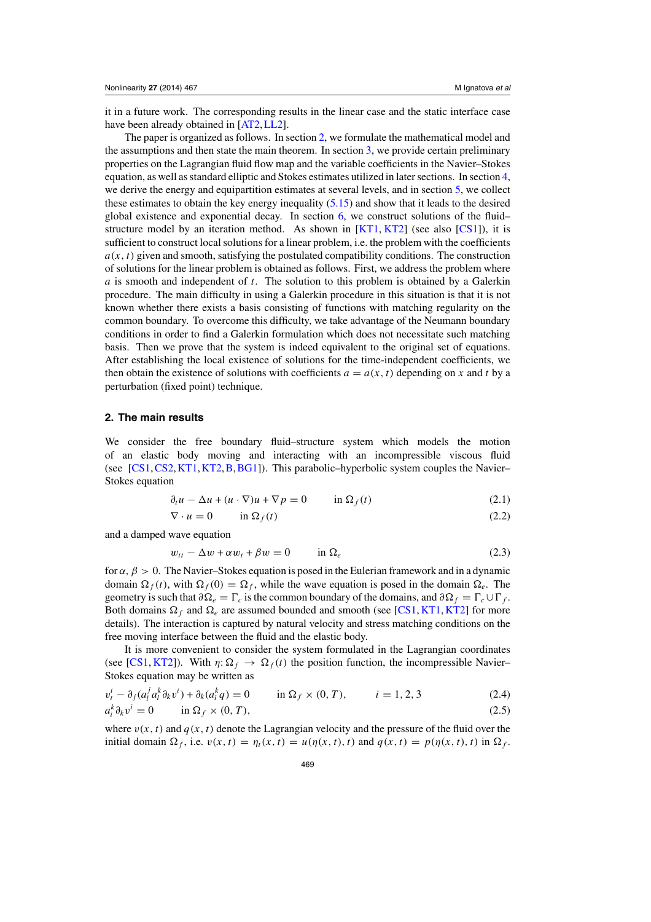<span id="page-3-0"></span>it in a future work. The corresponding results in the linear case and the static interface case have been already obtained in [\[AT2,](#page-32-0) [LL2\]](#page-33-0).

The paper is organized as follows. In section 2, we formulate the mathematical model and the assumptions and then state the main theorem. In section [3,](#page-6-0) we provide certain preliminary properties on the Lagrangian fluid flow map and the variable coefficients in the Navier–Stokes equation, as well as standard elliptic and Stokes estimates utilized in later sections. In section [4,](#page-8-0) we derive the energy and equipartition estimates at several levels, and in section [5,](#page-18-0) we collect these estimates to obtain the key energy inequality [\(5.15\)](#page-19-0) and show that it leads to the desired global existence and exponential decay. In section [6,](#page-21-0) we construct solutions of the fluid– structure model by an iteration method. As shown in [\[KT1,](#page-32-0) [KT2\]](#page-32-0) (see also [\[CS1\]](#page-32-0)), it is sufficient to construct local solutions for a linear problem, i.e. the problem with the coefficients  $a(x, t)$  given and smooth, satisfying the postulated compatibility conditions. The construction of solutions for the linear problem is obtained as follows. First, we address the problem where *a* is smooth and independent of *t*. The solution to this problem is obtained by a Galerkin procedure. The main difficulty in using a Galerkin procedure in this situation is that it is not known whether there exists a basis consisting of functions with matching regularity on the common boundary. To overcome this difficulty, we take advantage of the Neumann boundary conditions in order to find a Galerkin formulation which does not necessitate such matching basis. Then we prove that the system is indeed equivalent to the original set of equations. After establishing the local existence of solutions for the time-independent coefficients, we then obtain the existence of solutions with coefficients  $a = a(x, t)$  depending on x and t by a perturbation (fixed point) technique.

#### **2. The main results**

We consider the free boundary fluid–structure system which models the motion of an elastic body moving and interacting with an incompressible viscous fluid (see [\[CS1,CS2,KT1,KT2,B,BG1\]](#page-32-0)). This parabolic–hyperbolic system couples the Navier– Stokes equation

$$
\partial_t u - \Delta u + (u \cdot \nabla)u + \nabla p = 0 \qquad \text{in } \Omega_f(t) \tag{2.1}
$$

$$
\nabla \cdot u = 0 \qquad \text{in } \Omega_f(t) \tag{2.2}
$$

and a damped wave equation

$$
w_{tt} - \Delta w + \alpha w_t + \beta w = 0 \qquad \text{in } \Omega_e \tag{2.3}
$$

for  $\alpha$ ,  $\beta > 0$ . The Navier–Stokes equation is posed in the Eulerian framework and in a dynamic domain  $\Omega_f(t)$ , with  $\Omega_f(0) = \Omega_f$ , while the wave equation is posed in the domain  $\Omega_e$ . The geometry is such that  $\partial \Omega_e = \Gamma_c$  is the common boundary of the domains, and  $\partial \Omega_f = \Gamma_c \cup \Gamma_f$ . Both domains  $\Omega_f$  and  $\Omega_e$  are assumed bounded and smooth (see [\[CS1,](#page-32-0) [KT1,](#page-32-0) [KT2\]](#page-32-0) for more details). The interaction is captured by natural velocity and stress matching conditions on the free moving interface between the fluid and the elastic body.

It is more convenient to consider the system formulated in the Lagrangian coordinates (see [\[CS1,](#page-32-0) [KT2\]](#page-32-0)). With  $\eta: \Omega_f \to \Omega_f(t)$  the position function, the incompressible Navier– Stokes equation may be written as

$$
v_t^i - \partial_j (a_t^j a_t^k \partial_k v^i) + \partial_k (a_t^k q) = 0 \qquad \text{in } \Omega_f \times (0, T), \qquad i = 1, 2, 3 \tag{2.4}
$$
  

$$
a_t^k \partial_k v^i = 0 \qquad \text{in } \Omega_f \times (0, T), \tag{2.5}
$$

where  $v(x, t)$  and  $q(x, t)$  denote the Lagrangian velocity and the pressure of the fluid over the initial domain  $\Omega_f$ , i.e.  $v(x, t) = \eta_t(x, t) = u(\eta(x, t), t)$  and  $q(x, t) = p(\eta(x, t), t)$  in  $\Omega_f$ .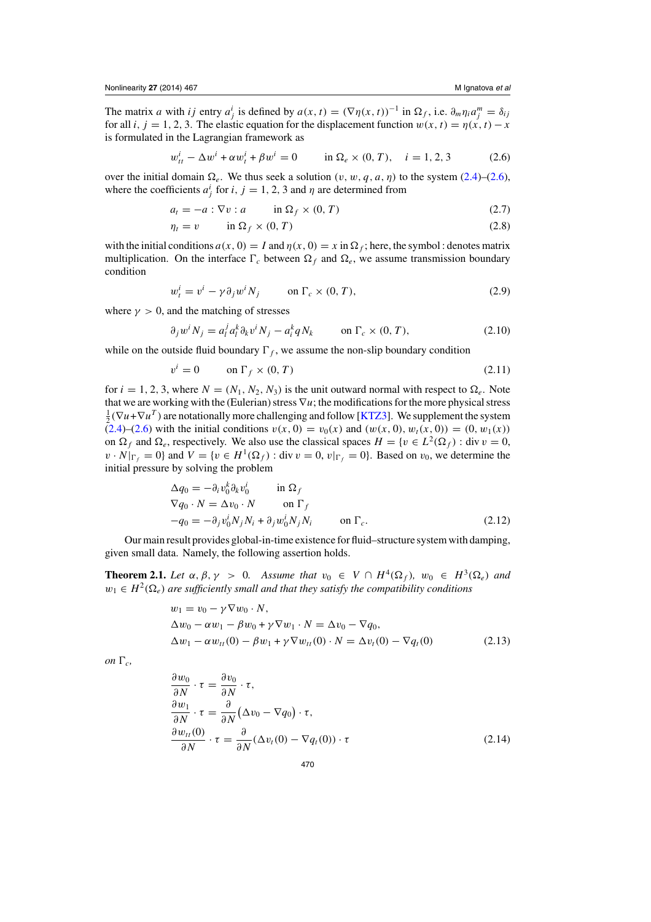<span id="page-4-0"></span>The matrix *a* with *ij* entry  $a_j^i$  is defined by  $a(x, t) = (\nabla \eta(x, t))^{-1}$  in  $\Omega_f$ , i.e.  $\partial_m \eta_i a_j^m = \delta_{ij}$ for all *i*,  $j = 1, 2, 3$ . The elastic equation for the displacement function  $w(x, t) = \eta(x, t) - x$ is formulated in the Lagrangian framework as

$$
w_{tt}^{i} - \Delta w^{i} + \alpha w_{t}^{i} + \beta w^{i} = 0 \qquad \text{in } \Omega_e \times (0, T), \quad i = 1, 2, 3 \tag{2.6}
$$

over the initial domain  $\Omega_e$ . We thus seek a solution  $(v, w, q, a, \eta)$  to the system [\(2.4\)](#page-3-0)–(2.6), where the coefficients  $a_j^i$  for *i*,  $j = 1, 2, 3$  and  $\eta$  are determined from

$$
a_t = -a : \nabla v : a \qquad \text{in } \Omega_f \times (0, T) \tag{2.7}
$$

$$
\eta_t = v \qquad \text{in } \Omega_f \times (0, T) \tag{2.8}
$$

with the initial conditions  $a(x, 0) = I$  and  $\eta(x, 0) = x$  in  $\Omega_f$ ; here, the symbol: denotes matrix multiplication. On the interface  $\Gamma_c$  between  $\Omega_f$  and  $\Omega_e$ , we assume transmission boundary condition

$$
w_t^i = v^i - \gamma \partial_j w^i N_j \qquad \text{on } \Gamma_c \times (0, T), \tag{2.9}
$$

where  $\gamma > 0$ , and the matching of stresses

$$
\partial_j w^i N_j = a_i^j a_i^k \partial_k v^i N_j - a_i^k q N_k \qquad \text{on } \Gamma_c \times (0, T), \tag{2.10}
$$

while on the outside fluid boundary  $\Gamma_f$ , we assume the non-slip boundary condition

$$
v^i = 0 \qquad \text{on } \Gamma_f \times (0, T) \tag{2.11}
$$

for  $i = 1, 2, 3$ , where  $N = (N_1, N_2, N_3)$  is the unit outward normal with respect to  $\Omega_e$ . Note that we are working with the (Eulerian) stress ∇*u*; the modifications for the more physical stress  $\frac{1}{2}(\nabla u + \nabla u^T)$  are notationally more challenging and follow [\[KTZ3\]](#page-33-0). We supplement the system [\(2.4\)](#page-3-0)–(2.6) with the initial conditions  $v(x, 0) = v_0(x)$  and  $(w(x, 0), w_t(x, 0)) = (0, w_1(x))$ on  $\Omega_f$  and  $\Omega_e$ , respectively. We also use the classical spaces  $H = \{v \in L^2(\Omega_f) : \text{div } v = 0, \}$  $v \cdot N|_{\Gamma_f} = 0$ } and  $V = \{v \in H^1(\Omega_f) : \text{div } v = 0, v|_{\Gamma_f} = 0\}$ . Based on  $v_0$ , we determine the initial pressure by solving the problem

$$
\Delta q_0 = -\partial_i v_0^k \partial_k v_0^i \quad \text{in } \Omega_f
$$
  
\n
$$
\nabla q_0 \cdot N = \Delta v_0 \cdot N \quad \text{on } \Gamma_f
$$
  
\n
$$
-q_0 = -\partial_j v_0^i N_j N_i + \partial_j w_0^i N_j N_i \quad \text{on } \Gamma_c.
$$
\n(2.12)

Our main result provides global-in-time existence for fluid–structure system with damping, given small data. Namely, the following assertion holds.

**Theorem 2.1.** *Let*  $\alpha, \beta, \gamma > 0$ *. Assume that*  $v_0 \in V \cap H^4(\Omega_f)$ *,*  $w_0 \in H^3(\Omega_e)$  *and*  $w_1 \in H^2(\Omega_e)$  *are sufficiently small and that they satisfy the compatibility conditions* 

$$
w_1 = v_0 - \gamma \nabla w_0 \cdot N,
$$
  
\n
$$
\Delta w_0 - \alpha w_1 - \beta w_0 + \gamma \nabla w_1 \cdot N = \Delta v_0 - \nabla q_0,
$$
  
\n
$$
\Delta w_1 - \alpha w_{tt}(0) - \beta w_1 + \gamma \nabla w_{tt}(0) \cdot N = \Delta v_t(0) - \nabla q_t(0)
$$
\n(2.13)

*on*  $\Gamma_c$ *,* 

$$
\frac{\partial w_0}{\partial N} \cdot \tau = \frac{\partial v_0}{\partial N} \cdot \tau, \n\frac{\partial w_1}{\partial N} \cdot \tau = \frac{\partial}{\partial N} (\Delta v_0 - \nabla q_0) \cdot \tau, \n\frac{\partial w_{tt}(0)}{\partial N} \cdot \tau = \frac{\partial}{\partial N} (\Delta v_t(0) - \nabla q_t(0)) \cdot \tau
$$
\n(2.14)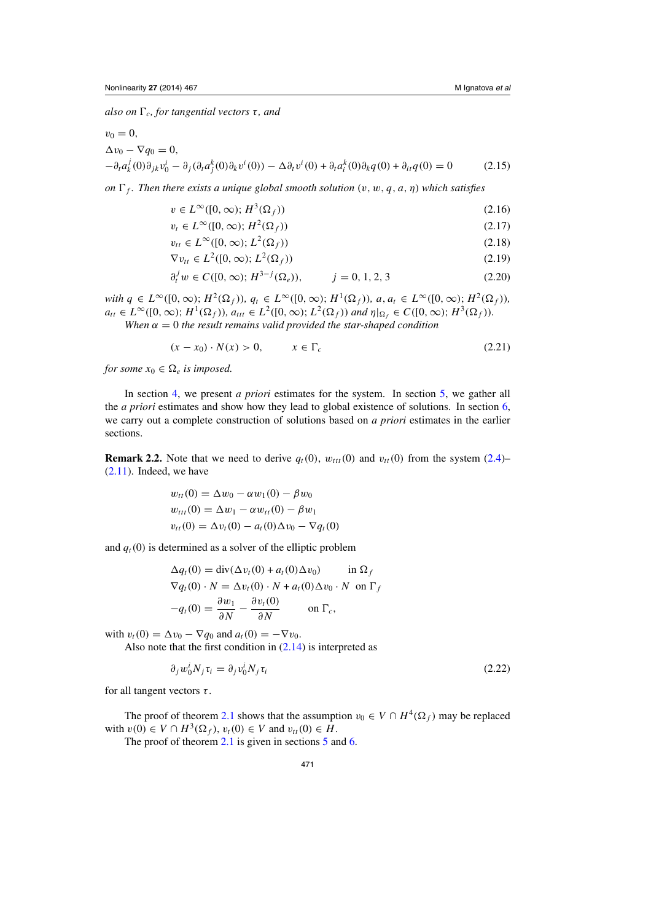*also on*  $\Gamma_c$ *, for tangential vectors*  $\tau$ *, and* 

$$
v_0 = 0,
$$
  
\n
$$
\Delta v_0 - \nabla q_0 = 0,
$$
  
\n
$$
-\partial_t a_k^j(0)\partial_{jk}v_0^i - \partial_j(\partial_t a_j^k(0)\partial_k v^i(0)) - \Delta \partial_t v^i(0) + \partial_t a_i^k(0)\partial_k q(0) + \partial_{it} q(0) = 0
$$
\n(2.15)

*on*  $\Gamma_f$ . Then there exists a unique global smooth solution  $(v, w, q, a, \eta)$  which satisfies

$$
v \in L^{\infty}([0,\infty); H^3(\Omega_f))
$$
\n(2.16)

$$
v_t \in L^{\infty}([0,\infty); H^2(\Omega_f))
$$
\n
$$
v_t \in L^{\infty}([0,\infty); H^2(\Omega_f))
$$
\n
$$
(2.17)
$$

$$
v_{tt} \in L^{\infty}([0,\infty); L^2(\Omega_f))
$$
\n(2.18)

$$
\nabla v_{tt} \in L^2([0,\infty); L^2(\Omega_f))
$$
\n(2.19)

$$
\partial_t^j w \in C([0, \infty); H^{3-j}(\Omega_e)), \qquad j = 0, 1, 2, 3 \tag{2.20}
$$

with  $q \in L^{\infty}([0,\infty); H^2(\Omega_f))$ ,  $q_t \in L^{\infty}([0,\infty); H^1(\Omega_f))$ ,  $a, a_t \in L^{\infty}([0,\infty); H^2(\Omega_f))$ ,  $a_{tt} \in L^{\infty}([0,\infty); H^1(\Omega_f))$ ,  $a_{ttt} \in L^2([0,\infty); L^2(\Omega_f))$  and  $\eta|_{\Omega_f} \in C([0,\infty); H^3(\Omega_f))$ . *When*  $\alpha = 0$  *the result remains valid provided the star-shaped condition* 

$$
(x - x_0) \cdot N(x) > 0, \qquad x \in \Gamma_c \tag{2.21}
$$

*for some*  $x_0 \in \Omega$ <sub>e</sub> *is imposed.* 

In section [4,](#page-8-0) we present *a priori* estimates for the system. In section [5,](#page-18-0) we gather all the *a priori* estimates and show how they lead to global existence of solutions. In section [6,](#page-21-0) we carry out a complete construction of solutions based on *a priori* estimates in the earlier sections.

**Remark 2.2.** Note that we need to derive  $q_t(0)$ ,  $w_{tt}(0)$  and  $v_{tt}(0)$  from the system [\(2.4\)](#page-3-0)– [\(2.11\)](#page-4-0). Indeed, we have

$$
w_{tt}(0) = \Delta w_0 - \alpha w_1(0) - \beta w_0
$$
  
\n
$$
w_{ttt}(0) = \Delta w_1 - \alpha w_{tt}(0) - \beta w_1
$$
  
\n
$$
v_{tt}(0) = \Delta v_t(0) - a_t(0)\Delta v_0 - \nabla q_t(0)
$$

and  $q_t(0)$  is determined as a solver of the elliptic problem

$$
\Delta q_t(0) = \text{div}(\Delta v_t(0) + a_t(0)\Delta v_0) \quad \text{in } \Omega_f
$$
  
\n
$$
\nabla q_t(0) \cdot N = \Delta v_t(0) \cdot N + a_t(0)\Delta v_0 \cdot N \text{ on } \Gamma_f
$$
  
\n
$$
-q_t(0) = \frac{\partial w_1}{\partial N} - \frac{\partial v_t(0)}{\partial N} \quad \text{on } \Gamma_c,
$$

with  $v_t(0) = \Delta v_0 - \nabla q_0$  and  $a_t(0) = -\nabla v_0$ .

Also note that the first condition in  $(2.14)$  is interpreted as

$$
\partial_j w_0^i N_j \tau_i = \partial_j v_0^i N_j \tau_i \tag{2.22}
$$

for all tangent vectors *τ* .

The proof of theorem [2.1](#page-4-0) shows that the assumption  $v_0 \in V \cap H^4(\Omega_f)$  may be replaced  $\text{with } v(0) \in V \cap H^3(\Omega_f), v_t(0) \in V \text{ and } v_{tt}(0) \in H.$ 

The proof of theorem [2.1](#page-4-0) is given in sections [5](#page-18-0) and [6.](#page-21-0)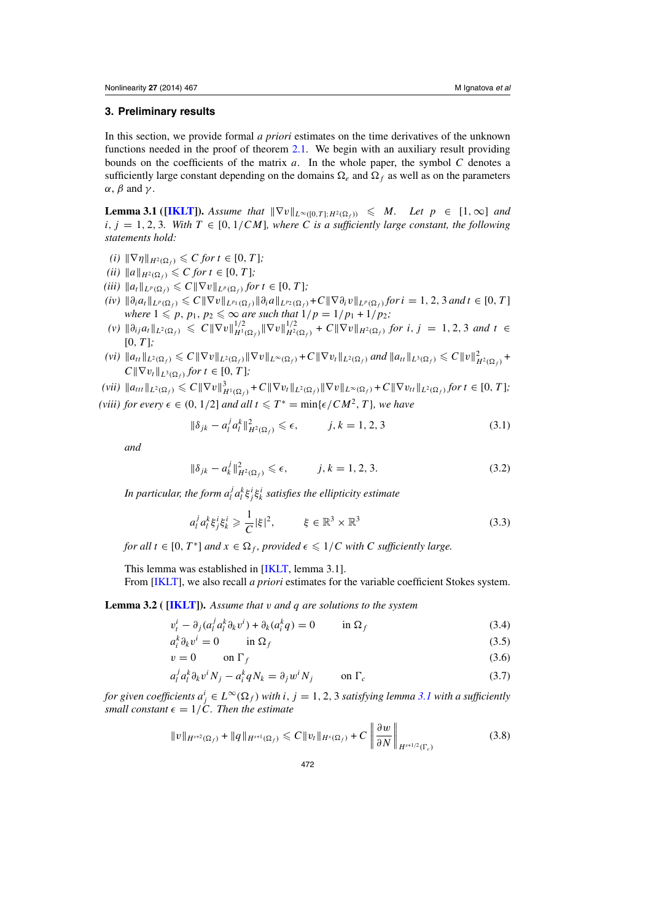<span id="page-6-0"></span>In this section, we provide formal *a priori* estimates on the time derivatives of the unknown functions needed in the proof of theorem [2.1.](#page-4-0) We begin with an auxiliary result providing bounds on the coefficients of the matrix  $a$ . In the whole paper, the symbol  $C$  denotes a sufficiently large constant depending on the domains  $\Omega_e$  and  $\Omega_f$  as well as on the parameters *α*, *β* and *γ* .

**Lemma 3.1 ([\[IKLT\]](#page-32-0)**). Assume that  $\|\nabla v\|_{L^{\infty}([0,T];H^2(\Omega_f))} \leq M$ . Let  $p \in [1,\infty]$  and  $i, j = 1, 2, 3$ *. With*  $T \in [0, 1/CM]$ *, where C* is a sufficiently large constant, the following *statements hold:*

- $(i)$   $\|\nabla \eta\|_{H^2(\Omega_f)} \leq C$  *for*  $t \in [0, T]$ *;*
- $(iii)$   $||a||_{H^2(\Omega_f)} \le C$  *for*  $t \in [0, T]$ *;*
- $(iii)$   $||a_t||_{L^p(\Omega_f)} \leq C ||\nabla v||_{L^p(\Omega_f)}$  for  $t \in [0, T]$ ;
- $(iv)$   $\|\partial_i a_t\|_{L^p(\Omega_f)} \leq C \|\nabla v\|_{L^{p_1}(\Omega_f)} \|\partial_i a\|_{L^{p_2}(\Omega_f)} + C \|\nabla \partial_i v\|_{L^p(\Omega_f)}$  for  $i = 1, 2, 3$  and  $t \in [0, T]$ *where*  $1 \leq p, p_1, p_2 \leq \infty$  *are such that*  $1/p = 1/p_1 + 1/p_2$ *;*
- $(v)$   $\|\partial_{ij}a_t\|_{L^2(\Omega_f)} \leqslant C \|\nabla v\|_{H^1(\Omega)}^{1/2}$  $H^{1/2}_{H^{1}(\Omega_{f})}$   $\|\nabla v\|_{H^{2}(\Omega_{f})}^{1/2}$  +  $C\|\nabla v\|_{H^{2}(\Omega_{f})}$  *for i, j* = 1, 2, 3 *and t* ∈ [0*, T* ]*;*
- $(vi)\,\|a_{tt}\|_{L^2(\Omega_f)} \leq C \|\nabla v\|_{L^2(\Omega_f)} \|\nabla v\|_{L^\infty(\Omega_f)} + C \|\nabla v_t\|_{L^2(\Omega_f)}\, and \, \|a_{tt}\|_{L^3(\Omega_f)} \leq C \|v\|_{H^2(\Omega_f)}^2 +$  $C \|\nabla v_t\|_{L^3(\Omega_t)}$  *for*  $t \in [0, T]$ *;*
- $(vii)$   $||a_{ttt}||_{L^2(\Omega_f)} \leq C||\nabla v||^3_{H^1(\Omega_f)} + C||\nabla v_t||_{L^2(\Omega_f)} ||\nabla v||_{L^{\infty}(\Omega_f)} + C||\nabla v_{tt}||_{L^2(\Omega_f)}$  for  $t \in [0, T]$ ; *(viii) for every*  $\epsilon \in (0, 1/2]$  *and all*  $t \leq T^* = \min{\{\epsilon/CM^2, T\}}$ *, we have*

$$
\|\delta_{jk} - a_l^j a_l^k\|_{H^2(\Omega_f)}^2 \le \epsilon, \qquad j, k = 1, 2, 3 \tag{3.1}
$$

*and*

$$
\|\delta_{jk} - a_k^j\|_{H^2(\Omega_f)}^2 \le \epsilon, \qquad j, k = 1, 2, 3. \tag{3.2}
$$

In particular, the form  $a_l^j a_l^k \xi_j^i \xi_k^i$  satisfies the ellipticity estimate

$$
a_l^j a_l^k \xi_j^i \xi_k^i \ge \frac{1}{C} |\xi|^2, \qquad \xi \in \mathbb{R}^3 \times \mathbb{R}^3 \tag{3.3}
$$

*for all*  $t \in [0, T^*]$  *and*  $x \in \Omega_f$ , provided  $\epsilon \leq 1/C$  with *C* sufficiently large.

This lemma was established in [\[IKLT,](#page-32-0) lemma 3.1].

From [\[IKLT\]](#page-32-0), we also recall *a priori* estimates for the variable coefficient Stokes system.

**Lemma 3.2 ( [\[IKLT\]](#page-32-0)).** *Assume that v and q are solutions to the system*

$$
v_t^i - \partial_j (a_l^j a_l^k \partial_k v^i) + \partial_k (a_l^k q) = 0 \qquad \text{in } \Omega_f \tag{3.4}
$$

$$
a_i^k \partial_k v^i = 0 \qquad \text{in } \Omega_f \tag{3.5}
$$

$$
v = 0 \qquad \text{on } \Gamma_f \tag{3.6}
$$

$$
a_l^j a_l^k \partial_k v^i N_j - a_i^k q N_k = \partial_j w^i N_j \qquad \text{on } \Gamma_c \tag{3.7}
$$

*for given coefficients*  $a_j^i \in L^\infty(\Omega_f)$  *with i, j = 1, 2, 3 satisfying lemma 3.1 with a sufficiently small constant*  $\epsilon = 1/C$ *. Then the estimate* 

$$
||v||_{H^{s+2}(\Omega_f)} + ||q||_{H^{s+1}(\Omega_f)} \leq C ||v_t||_{H^s(\Omega_f)} + C \left\|\frac{\partial w}{\partial N}\right\|_{H^{s+1/2}(\Gamma_c)}
$$
(3.8)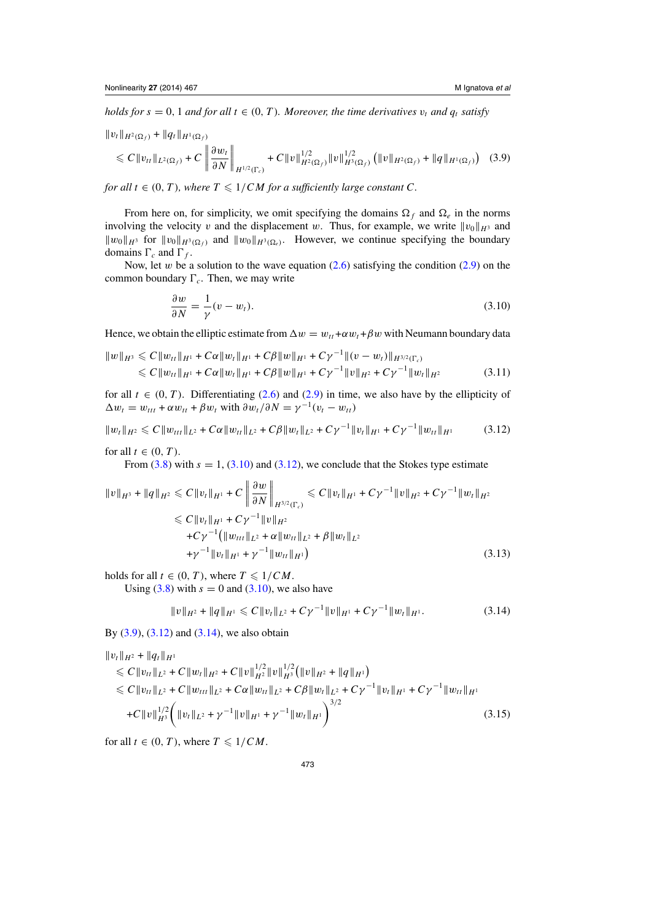<span id="page-7-0"></span>*holds for*  $s = 0$ , 1 *and for all*  $t \in (0, T)$ *. Moreover, the time derivatives*  $v_t$  *and*  $q_t$  *satisfy* 

$$
\|v_t\|_{H^2(\Omega_f)} + \|q_t\|_{H^1(\Omega_f)}
$$
  
\$\leq C \|v\_{tt}\|\_{L^2(\Omega\_f)} + C \left\| \frac{\partial w\_t}{\partial N} \right\|\_{H^{1/2}(\Gamma\_c)} + C \|v\|\_{H^2(\Omega\_f)}^{1/2} \|v\|\_{H^3(\Omega\_f)}^{1/2} \left( \|v\|\_{H^2(\Omega\_f)} + \|q\|\_{H^1(\Omega\_f)} \right) \tag{3.9}

*for all*  $t \in (0, T)$ *, where*  $T \leq 1/CM$  *for a sufficiently large constant*  $C$ *.* 

From here on, for simplicity, we omit specifying the domains  $\Omega_f$  and  $\Omega_e$  in the norms involving the velocity *v* and the displacement *w*. Thus, for example, we write  $||v_0||_{H^3}$  and  $||w_0||_{H^3}$  for  $||v_0||_{H^3(\Omega_f)}$  and  $||w_0||_{H^3(\Omega_g)}$ . However, we continue specifying the boundary domains  $\Gamma_c$  and  $\Gamma_f$ .

Now, let *w* be a solution to the wave equation [\(2.6\)](#page-4-0) satisfying the condition [\(2.9\)](#page-4-0) on the common boundary  $\Gamma_c$ . Then, we may write

$$
\frac{\partial w}{\partial N} = \frac{1}{\gamma} (v - w_t). \tag{3.10}
$$

Hence, we obtain the elliptic estimate from  $\Delta w = w_{tt} + \alpha w_t + \beta w$  with Neumann boundary data

$$
||w||_{H^3} \leq C||w_{tt}||_{H^1} + C\alpha ||w_t||_{H^1} + C\beta ||w||_{H^1} + C\gamma^{-1} ||(v - w_t)||_{H^{3/2}(\Gamma_c)}
$$
  
\n
$$
\leq C||w_{tt}||_{H^1} + C\alpha ||w_t||_{H^1} + C\beta ||w||_{H^1} + C\gamma^{-1} ||v||_{H^2} + C\gamma^{-1} ||w_t||_{H^2}
$$
(3.11)

for all  $t \in (0, T)$ . Differentiating [\(2.6\)](#page-4-0) and [\(2.9\)](#page-4-0) in time, we also have by the ellipticity of  $\Delta w_t = w_{ttt} + \alpha w_{tt} + \beta w_t$  with  $\partial w_t / \partial N = \gamma^{-1}(v_t - w_{tt})$ 

$$
||w_t||_{H^2} \leq C||w_{ttt}||_{L^2} + C\alpha||w_{tt}||_{L^2} + C\beta||w_t||_{L^2} + C\gamma^{-1}||v_t||_{H^1} + C\gamma^{-1}||w_{tt}||_{H^1}
$$
 (3.12)

for all  $t \in (0, T)$ .

From  $(3.8)$  with  $s = 1$ ,  $(3.10)$  and  $(3.12)$ , we conclude that the Stokes type estimate

$$
||v||_{H^3} + ||q||_{H^2} \leq C||v_t||_{H^1} + C \left\| \frac{\partial w}{\partial N} \right\|_{H^{3/2}(\Gamma_c)} \leq C||v_t||_{H^1} + C\gamma^{-1}||v||_{H^2} + C\gamma^{-1}||w_t||_{H^2}
$$
  
\n
$$
\leq C||v_t||_{H^1} + C\gamma^{-1}||v||_{H^2}
$$
  
\n
$$
+C\gamma^{-1} (||w_{ttt}||_{L^2} + \alpha ||w_{tt}||_{L^2} + \beta ||w_t||_{L^2})
$$
  
\n
$$
+ \gamma^{-1}||v_t||_{H^1} + \gamma^{-1}||w_{tt}||_{H^1})
$$
\n(3.13)

holds for all  $t \in (0, T)$ , where  $T \leq 1/CM$ .

Using  $(3.8)$  with  $s = 0$  and  $(3.10)$ , we also have

$$
||v||_{H^2} + ||q||_{H^1} \leq C||v_t||_{L^2} + C\gamma^{-1}||v||_{H^1} + C\gamma^{-1}||w_t||_{H^1}.
$$
 (3.14)

By  $(3.9)$ ,  $(3.12)$  and  $(3.14)$ , we also obtain

$$
\|v_t\|_{H^2} + \|q_t\|_{H^1}
$$
  
\n
$$
\leq C \|v_{tt}\|_{L^2} + C \|w_t\|_{H^2} + C \|v\|_{H^2}^{1/2} \|v\|_{H^3}^{1/2} (||v||_{H^2} + ||q||_{H^1})
$$
  
\n
$$
\leq C \|v_{tt}\|_{L^2} + C \|w_{ttt}\|_{L^2} + C\alpha \|w_{tt}\|_{L^2} + C\beta \|w_t\|_{L^2} + C\gamma^{-1} \|v_t\|_{H^1} + C\gamma^{-1} \|w_{tt}\|_{H^1}
$$
  
\n
$$
+ C \|v\|_{H^3}^{1/2} (||v_t||_{L^2} + \gamma^{-1} ||v||_{H^1} + \gamma^{-1} ||w_t||_{H^1})
$$
  
\n(3.15)

for all  $t \in (0, T)$ , where  $T \leq 1/CM$ .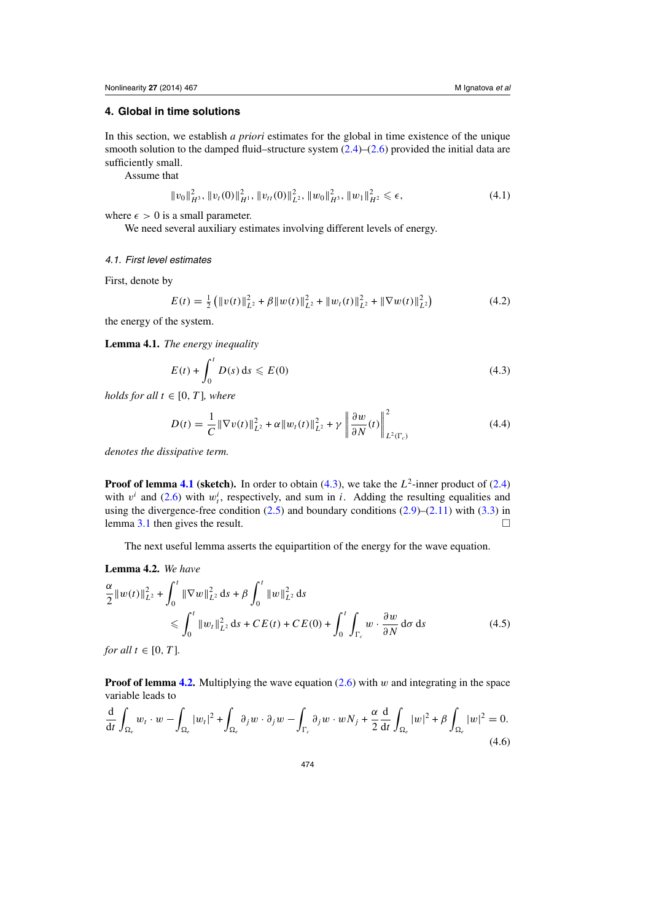#### <span id="page-8-0"></span>**4. Global in time solutions**

In this section, we establish *a priori* estimates for the global in time existence of the unique smooth solution to the damped fluid–structure system  $(2.4)$ – $(2.6)$  provided the initial data are sufficiently small.

Assume that

$$
||v_0||_{H^3}^2, ||v_t(0)||_{H^1}^2, ||v_{tt}(0)||_{L^2}^2, ||w_0||_{H^3}^2, ||w_1||_{H^2}^2 \leq \epsilon,
$$
\n(4.1)

where  $\epsilon > 0$  is a small parameter.

We need several auxiliary estimates involving different levels of energy.

# *4.1. First level estimates*

First, denote by

$$
E(t) = \frac{1}{2} \left( \|v(t)\|_{L^2}^2 + \beta \|w(t)\|_{L^2}^2 + \|w_t(t)\|_{L^2}^2 + \|\nabla w(t)\|_{L^2}^2 \right)
$$
 (4.2)

the energy of the system.

**Lemma 4.1.** *The energy inequality*

$$
E(t) + \int_0^t D(s) ds \leqslant E(0)
$$
\n(4.3)

*holds for all*  $t \in [0, T]$ *, where* 

$$
D(t) = \frac{1}{C} \|\nabla v(t)\|_{L^2}^2 + \alpha \|w_t(t)\|_{L^2}^2 + \gamma \left\| \frac{\partial w}{\partial N}(t) \right\|_{L^2(\Gamma_c)}^2
$$
 (4.4)

*denotes the dissipative term.*

**Proof of lemma 4.1** (sketch). In order to obtain  $(4.3)$ , we take the  $L^2$ -inner product of  $(2.4)$ with  $v^i$  and [\(2.6\)](#page-4-0) with  $w^i_t$ , respectively, and sum in *i*. Adding the resulting equalities and using the divergence-free condition  $(2.5)$  and boundary conditions  $(2.9)$ – $(2.11)$  with  $(3.3)$  in lemma [3.1](#page-6-0) then gives the result. □

The next useful lemma asserts the equipartition of the energy for the wave equation.

**Lemma 4.2.** *We have*

$$
\frac{\alpha}{2} \|w(t)\|_{L^2}^2 + \int_0^t \|\nabla w\|_{L^2}^2 ds + \beta \int_0^t \|w\|_{L^2}^2 ds \n\leq \int_0^t \|w_t\|_{L^2}^2 ds + CE(t) + CE(0) + \int_0^t \int_{\Gamma_c} w \cdot \frac{\partial w}{\partial N} d\sigma ds
$$
\n(4.5)

*for all*  $t \in [0, T]$ *.* 

**Proof of lemma 4.2.** Multiplying the wave equation [\(2.6\)](#page-4-0) with *w* and integrating in the space variable leads to

$$
\frac{\mathrm{d}}{\mathrm{d}t} \int_{\Omega_e} w_t \cdot w - \int_{\Omega_e} |w_t|^2 + \int_{\Omega_e} \partial_j w \cdot \partial_j w - \int_{\Gamma_e} \partial_j w \cdot w N_j + \frac{\alpha}{2} \frac{\mathrm{d}}{\mathrm{d}t} \int_{\Omega_e} |w|^2 + \beta \int_{\Omega_e} |w|^2 = 0. \tag{4.6}
$$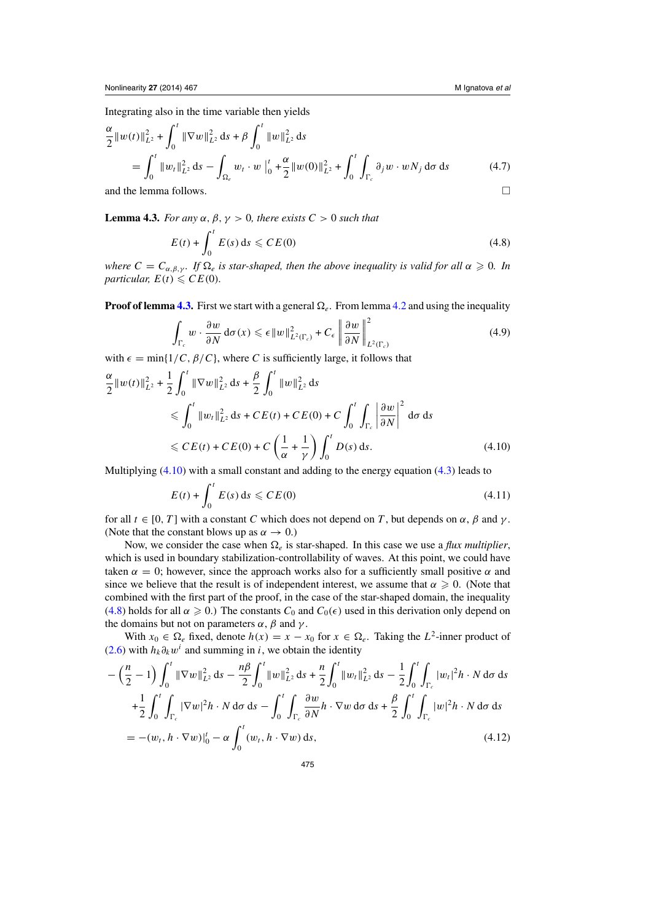<span id="page-9-0"></span>Integrating also in the time variable then yields

$$
\frac{\alpha}{2} \|w(t)\|_{L^2}^2 + \int_0^t \|\nabla w\|_{L^2}^2 ds + \beta \int_0^t \|w\|_{L^2}^2 ds
$$
\n
$$
= \int_0^t \|w_t\|_{L^2}^2 ds - \int_{\Omega_e} w_t \cdot w \Big|_0^t + \frac{\alpha}{2} \|w(0)\|_{L^2}^2 + \int_0^t \int_{\Gamma_e} \partial_j w \cdot w N_j d\sigma ds \tag{4.7}
$$
\nand the lemma follows.

**Lemma 4.3.** *For any α, β, γ >* 0*, there exists C >* 0 *such that*

$$
E(t) + \int_0^t E(s) ds \leqslant CE(0)
$$
\n(4.8)

*where*  $C = C_{\alpha,\beta,\gamma}$ *. If*  $\Omega_e$  *is star-shaped, then the above inequality is valid for all*  $\alpha \geq 0$ *. In particular,*  $E(t) \leqslant CE(0)$ *.* 

**Proof of lemma 4.3.** First we start with a general  $\Omega_e$ . From lemma [4.2](#page-8-0) and using the inequality

$$
\int_{\Gamma_c} w \cdot \frac{\partial w}{\partial N} d\sigma(x) \leq \epsilon \|w\|_{L^2(\Gamma_c)}^2 + C_{\epsilon} \left\| \frac{\partial w}{\partial N} \right\|_{L^2(\Gamma_c)}^2 \tag{4.9}
$$

with  $\epsilon = \min\{1/C, \beta/C\}$ , where *C* is sufficiently large, it follows that

$$
\frac{\alpha}{2} \|w(t)\|_{L^{2}}^{2} + \frac{1}{2} \int_{0}^{t} \|\nabla w\|_{L^{2}}^{2} ds + \frac{\beta}{2} \int_{0}^{t} \|w\|_{L^{2}}^{2} ds
$$
\n
$$
\leq \int_{0}^{t} \|w_{t}\|_{L^{2}}^{2} ds + CE(t) + CE(0) + C \int_{0}^{t} \int_{\Gamma_{c}} \left|\frac{\partial w}{\partial N}\right|^{2} d\sigma ds
$$
\n
$$
\leq CE(t) + CE(0) + C \left(\frac{1}{\alpha} + \frac{1}{\gamma}\right) \int_{0}^{t} D(s) ds. \tag{4.10}
$$

Multiplying  $(4.10)$  with a small constant and adding to the energy equation  $(4.3)$  leads to

$$
E(t) + \int_0^t E(s) ds \leqslant CE(0)
$$
\n(4.11)

for all  $t \in [0, T]$  with a constant *C* which does not depend on *T*, but depends on  $\alpha$ ,  $\beta$  and  $\gamma$ . (Note that the constant blows up as  $\alpha \to 0$ .)

Now, we consider the case when  $\Omega_e$  is star-shaped. In this case we use a *flux multiplier*, which is used in boundary stabilization-controllability of waves. At this point, we could have taken  $\alpha = 0$ ; however, since the approach works also for a sufficiently small positive  $\alpha$  and since we believe that the result is of independent interest, we assume that  $\alpha \geq 0$ . (Note that combined with the first part of the proof, in the case of the star-shaped domain, the inequality (4.8) holds for all  $\alpha \geq 0$ .) The constants  $C_0$  and  $C_0(\epsilon)$  used in this derivation only depend on the domains but not on parameters  $\alpha$ ,  $\beta$  and  $\gamma$ .

With  $x_0 \in \Omega_e$  fixed, denote  $h(x) = x - x_0$  for  $x \in \Omega_e$ . Taking the  $L^2$ -inner product of [\(2.6\)](#page-4-0) with  $h_k \partial_k w^i$  and summing in *i*, we obtain the identity

$$
-\left(\frac{n}{2} - 1\right) \int_0^t \|\nabla w\|_{L^2}^2 ds - \frac{n\beta}{2} \int_0^t \|w\|_{L^2}^2 ds + \frac{n}{2} \int_0^t \|w_t\|_{L^2}^2 ds - \frac{1}{2} \int_0^t \int_{\Gamma_c} |w_t|^2 h \cdot N \, d\sigma \, ds + \frac{1}{2} \int_0^t \int_{\Gamma_c} |\nabla w|^2 h \cdot N \, d\sigma \, ds - \int_0^t \int_{\Gamma_c} \frac{\partial w}{\partial N} h \cdot \nabla w \, d\sigma \, ds + \frac{\beta}{2} \int_0^t \int_{\Gamma_c} |w|^2 h \cdot N \, d\sigma \, ds = -(w_t, h \cdot \nabla w)|_0^t - \alpha \int_0^t (w_t, h \cdot \nabla w) \, ds,
$$
\n(4.12)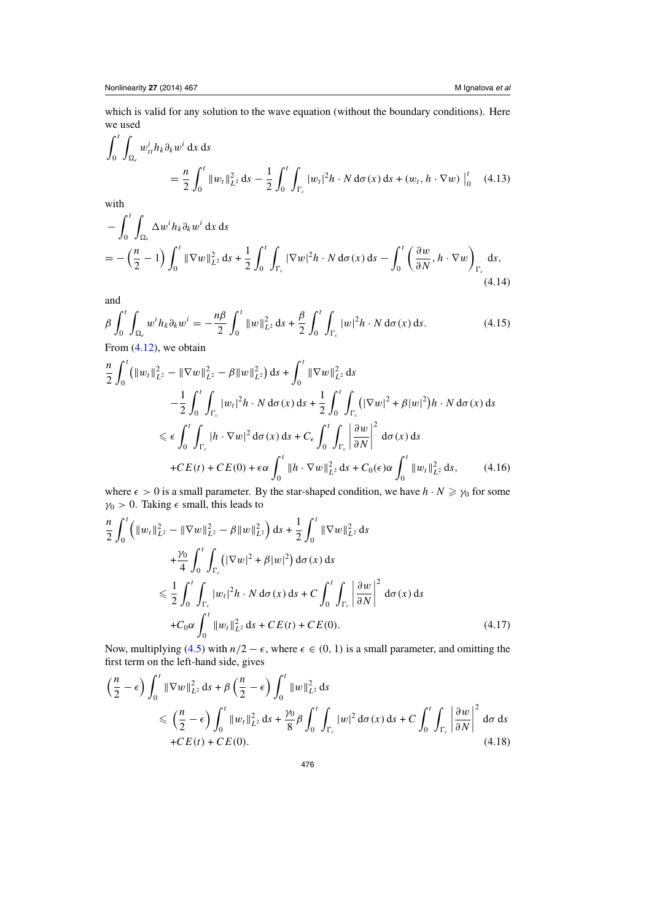which is valid for any solution to the wave equation (without the boundary conditions). Here we used

$$
\int_0^t \int_{\Omega_e} w_{tt}^i h_k \partial_k w^i dx ds
$$
\n
$$
= \frac{n}{2} \int_0^t \|w_t\|_{L^2}^2 ds - \frac{1}{2} \int_0^t \int_{\Gamma_e} |w_t|^2 h \cdot N d\sigma(x) ds + (w_t, h \cdot \nabla w) \Big|_0^t \quad (4.13)
$$

with

$$
-\int_0^t \int_{\Omega_e} \Delta w^i h_k \partial_k w^i dx ds
$$
  
= 
$$
-\left(\frac{n}{2} - 1\right) \int_0^t \|\nabla w\|_{L^2}^2 ds + \frac{1}{2} \int_0^t \int_{\Gamma_e} |\nabla w|^2 h \cdot N d\sigma(x) ds - \int_0^t \left(\frac{\partial w}{\partial N}, h \cdot \nabla w\right)_{\Gamma_e} ds,
$$
(4.14)

and

$$
\beta \int_0^t \int_{\Omega_e} w^i h_k \partial_k w^i = -\frac{n\beta}{2} \int_0^t \|w\|_{L^2}^2 ds + \frac{\beta}{2} \int_0^t \int_{\Gamma_e} |w|^2 h \cdot N d\sigma(x) ds.
$$
 (4.15)

From  $(4.12)$ , we obtain *t*

$$
\frac{n}{2} \int_0^t \left( \|w_t\|_{L^2}^2 - \|\nabla w\|_{L^2}^2 - \beta \|w\|_{L^2}^2 \right) ds + \int_0^t \|\nabla w\|_{L^2}^2 ds
$$
\n
$$
- \frac{1}{2} \int_0^t \int_{\Gamma_c} |w_t|^2 h \cdot N d\sigma(x) ds + \frac{1}{2} \int_0^t \int_{\Gamma_c} \left( |\nabla w|^2 + \beta |w|^2 \right) h \cdot N d\sigma(x) ds
$$
\n
$$
\leq \epsilon \int_0^t \int_{\Gamma_c} |h \cdot \nabla w|^2 d\sigma(x) ds + C_\epsilon \int_0^t \int_{\Gamma_c} \left| \frac{\partial w}{\partial N} \right|^2 d\sigma(x) ds
$$
\n
$$
+ C E(t) + C E(0) + \epsilon \alpha \int_0^t \|h \cdot \nabla w\|_{L^2}^2 ds + C_0(\epsilon) \alpha \int_0^t \|w_t\|_{L^2}^2 ds, \qquad (4.16)
$$

where  $\epsilon > 0$  is a small parameter. By the star-shaped condition, we have  $h \cdot N \ge \gamma_0$  for some  $\gamma_0$  > 0. Taking  $\epsilon$  small, this leads to

$$
\frac{n}{2} \int_0^t \left( \|w_t\|_{L^2}^2 - \|\nabla w\|_{L^2}^2 - \beta \|w\|_{L^2}^2 \right) ds + \frac{1}{2} \int_0^t \|\nabla w\|_{L^2}^2 ds \n+ \frac{\gamma_0}{4} \int_0^t \int_{\Gamma_c} \left( |\nabla w|^2 + \beta |w|^2 \right) d\sigma(x) ds \n\leq \frac{1}{2} \int_0^t \int_{\Gamma_c} |w_t|^2 h \cdot N d\sigma(x) ds + C \int_0^t \int_{\Gamma_c} \left| \frac{\partial w}{\partial N} \right|^2 d\sigma(x) ds \n+ C_0 \alpha \int_0^t \|w_t\|_{L^2}^2 ds + C E(t) + C E(0). \tag{4.17}
$$

Now, multiplying [\(4.5\)](#page-8-0) with  $n/2 - \epsilon$ , where  $\epsilon \in (0, 1)$  is a small parameter, and omitting the first term on the left-hand side, gives

$$
\left(\frac{n}{2} - \epsilon\right) \int_0^t \|\nabla w\|_{L^2}^2 ds + \beta \left(\frac{n}{2} - \epsilon\right) \int_0^t \|w\|_{L^2}^2 ds
$$
\n
$$
\leqslant \left(\frac{n}{2} - \epsilon\right) \int_0^t \|w_t\|_{L^2}^2 ds + \frac{\gamma_0}{8} \beta \int_0^t \int_{\Gamma_c} |w|^2 d\sigma(x) ds + C \int_0^t \int_{\Gamma_c} \left|\frac{\partial w}{\partial N}\right|^2 d\sigma ds
$$
\n
$$
+ CE(t) + CE(0). \tag{4.18}
$$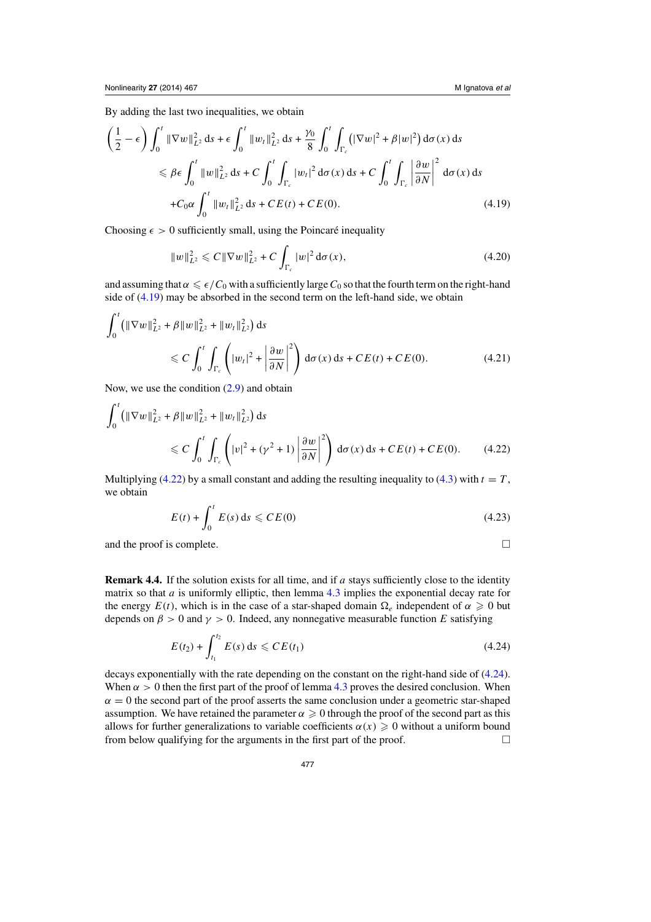<span id="page-11-0"></span>By adding the last two inequalities, we obtain

$$
\left(\frac{1}{2} - \epsilon\right) \int_0^t \|\nabla w\|_{L^2}^2 ds + \epsilon \int_0^t \|w_t\|_{L^2}^2 ds + \frac{\gamma_0}{8} \int_0^t \int_{\Gamma_c} \left(|\nabla w|^2 + \beta |w|^2\right) d\sigma(x) ds
$$
  
\$\leqslant \beta \epsilon \int\_0^t \|w\|\_{L^2}^2 ds + C \int\_0^t \int\_{\Gamma\_c} |w\_t|^2 d\sigma(x) ds + C \int\_0^t \int\_{\Gamma\_c} \left|\frac{\partial w}{\partial N}\right|^2 d\sigma(x) ds\$  
 + C\_0 \alpha \int\_0^t \|w\_t\|\_{L^2}^2 ds + C E(t) + C E(0). \tag{4.19}

Choosing  $\epsilon > 0$  sufficiently small, using the Poincaré inequality

$$
||w||_{L^{2}}^{2} \leq C||\nabla w||_{L^{2}}^{2} + C \int_{\Gamma_{c}} |w|^{2} d\sigma(x),
$$
\n(4.20)

and assuming that  $\alpha \leqslant \epsilon/C_0$  with a sufficiently large  $C_0$  so that the fourth term on the right-hand side of (4.19) may be absorbed in the second term on the left-hand side, we obtain

$$
\int_0^t \left( \|\nabla w\|_{L^2}^2 + \beta \|w\|_{L^2}^2 + \|w_t\|_{L^2}^2 \right) ds
$$
\n
$$
\leq C \int_0^t \int_{\Gamma_c} \left( |w_t|^2 + \left| \frac{\partial w}{\partial N} \right|^2 \right) d\sigma(x) ds + CE(t) + CE(0). \tag{4.21}
$$

Now, we use the condition [\(2.9\)](#page-4-0) and obtain

$$
\int_0^t \left( \|\nabla w\|_{L^2}^2 + \beta \|w\|_{L^2}^2 + \|w_t\|_{L^2}^2 \right) ds
$$
\n
$$
\leq C \int_0^t \int_{\Gamma_c} \left( |v|^2 + (\gamma^2 + 1) \left| \frac{\partial w}{\partial N} \right|^2 \right) d\sigma(x) ds + C E(t) + C E(0). \tag{4.22}
$$

Multiplying (4.22) by a small constant and adding the resulting inequality to [\(4.3\)](#page-8-0) with  $t = T$ , we obtain

$$
E(t) + \int_0^t E(s) ds \leqslant CE(0)
$$
\n(4.23)

and the proof is complete.

**Remark 4.4.** If the solution exists for all time, and if *a* stays sufficiently close to the identity matrix so that *a* is uniformly elliptic, then lemma [4.3](#page-9-0) implies the exponential decay rate for the energy  $E(t)$ , which is in the case of a star-shaped domain  $\Omega_e$  independent of  $\alpha \geq 0$  but depends on  $\beta > 0$  and  $\gamma > 0$ . Indeed, any nonnegative measurable function *E* satisfying

$$
E(t_2) + \int_{t_1}^{t_2} E(s) \, ds \leqslant CE(t_1)
$$
\n(4.24)

decays exponentially with the rate depending on the constant on the right-hand side of (4.24). When  $\alpha > 0$  then the first part of the proof of lemma [4.3](#page-9-0) proves the desired conclusion. When  $\alpha = 0$  the second part of the proof asserts the same conclusion under a geometric star-shaped assumption. We have retained the parameter  $\alpha \geq 0$  through the proof of the second part as this allows for further generalizations to variable coefficients  $\alpha(x) \geq 0$  without a uniform bound from below qualifying for the arguments in the first part of the proof.  $\Box$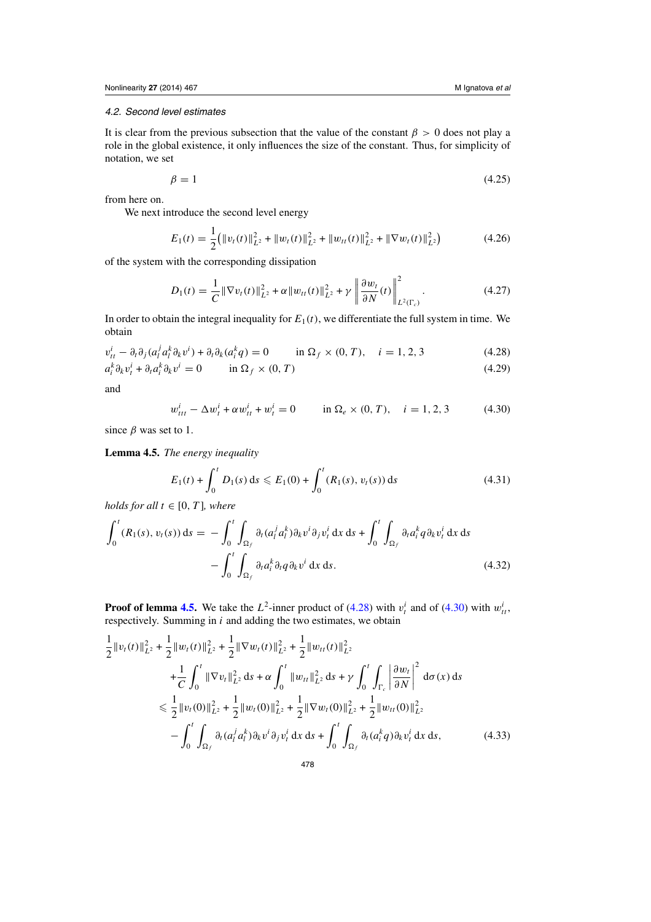#### <span id="page-12-0"></span>*4.2. Second level estimates*

It is clear from the previous subsection that the value of the constant  $\beta > 0$  does not play a role in the global existence, it only influences the size of the constant. Thus, for simplicity of notation, we set

$$
\beta = 1\tag{4.25}
$$

from here on.

We next introduce the second level energy

$$
E_1(t) = \frac{1}{2} \left( \left\| v_t(t) \right\|_{L^2}^2 + \left\| w_t(t) \right\|_{L^2}^2 + \left\| w_{tt}(t) \right\|_{L^2}^2 + \left\| \nabla w_t(t) \right\|_{L^2}^2 \right) \tag{4.26}
$$

of the system with the corresponding dissipation

$$
D_1(t) = \frac{1}{C} \|\nabla v_t(t)\|_{L^2}^2 + \alpha \|w_{tt}(t)\|_{L^2}^2 + \gamma \left\| \frac{\partial w_t}{\partial N}(t) \right\|_{L^2(\Gamma_c)}^2.
$$
 (4.27)

In order to obtain the integral inequality for  $E_1(t)$ , we differentiate the full system in time. We obtain

$$
v_{tt}^i - \partial_t \partial_j (a_t^j a_t^k \partial_k v^i) + \partial_t \partial_k (a_t^k q) = 0 \qquad \text{in } \Omega_f \times (0, T), \quad i = 1, 2, 3 \tag{4.28}
$$

$$
a_i^k \partial_k v_i^i + \partial_i a_i^k \partial_k v^i = 0 \qquad \text{in } \Omega_f \times (0, T) \tag{4.29}
$$

and

$$
w_{ttt}^i - \Delta w_t^i + \alpha w_{tt}^i + w_t^i = 0 \qquad \text{in } \Omega_e \times (0, T), \quad i = 1, 2, 3 \tag{4.30}
$$

since  $\beta$  was set to 1.

**Lemma 4.5.** *The energy inequality*

$$
E_1(t) + \int_0^t D_1(s) \, ds \leqslant E_1(0) + \int_0^t (R_1(s), v_t(s)) \, ds \tag{4.31}
$$

*holds for all*  $t \in [0, T]$ *, where* 

$$
\int_0^t (R_1(s), v_t(s)) ds = -\int_0^t \int_{\Omega_f} \partial_t (a_t^j a_t^k) \partial_k v^i \partial_j v_t^i dx ds + \int_0^t \int_{\Omega_f} \partial_t a_i^k q \partial_k v_t^i dx ds -\int_0^t \int_{\Omega_f} \partial_t a_i^k \partial_i q \partial_k v^i dx ds.
$$
 (4.32)

**Proof of lemma 4.5.** We take the  $L^2$ -inner product of (4.28) with  $v_t^i$  and of (4.30) with  $w_t^i$ , respectively. Summing in *i* and adding the two estimates, we obtain

$$
\frac{1}{2} ||v_t(t)||_{L^2}^2 + \frac{1}{2} ||w_t(t)||_{L^2}^2 + \frac{1}{2} ||\nabla w_t(t)||_{L^2}^2 + \frac{1}{2} ||w_{tt}(t)||_{L^2}^2 \n+ \frac{1}{C} \int_0^t ||\nabla v_t||_{L^2}^2 ds + \alpha \int_0^t ||w_{tt}||_{L^2}^2 ds + \gamma \int_0^t \int_{\Gamma_c} \left| \frac{\partial w_t}{\partial N} \right|^2 d\sigma(x) ds \n\leq \frac{1}{2} ||v_t(0)||_{L^2}^2 + \frac{1}{2} ||w_t(0)||_{L^2}^2 + \frac{1}{2} ||\nabla w_t(0)||_{L^2}^2 + \frac{1}{2} ||w_{tt}(0)||_{L^2}^2 \n- \int_0^t \int_{\Omega_f} \partial_t (a_t^j a_t^k) \partial_k v^i \partial_j v_t^i dx ds + \int_0^t \int_{\Omega_f} \partial_t (a_t^k q) \partial_k v_t^i dx ds, \tag{4.33}
$$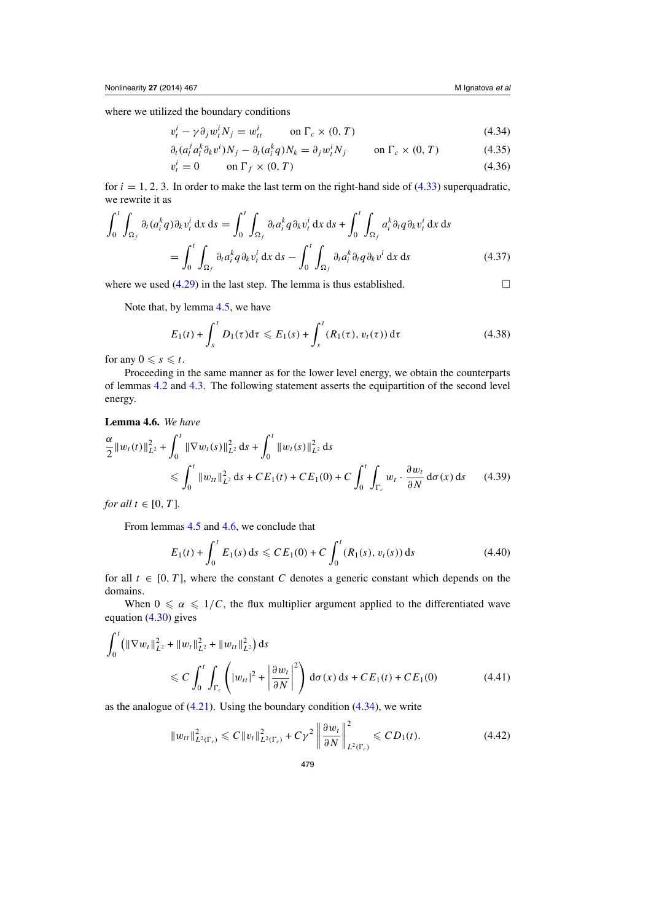<span id="page-13-0"></span>where we utilized the boundary conditions

$$
v_t^i - \gamma \partial_j w_t^i N_j = w_{tt}^i \qquad \text{on } \Gamma_c \times (0, T) \tag{4.34}
$$

$$
\partial_t (a_l^j a_l^k \partial_k v^i) N_j - \partial_t (a_l^k q) N_k = \partial_j w_i^i N_j \qquad \text{on } \Gamma_c \times (0, T) \tag{4.35}
$$

$$
v_t^i = 0 \qquad \text{on } \Gamma_f \times (0, T) \tag{4.36}
$$

for  $i = 1, 2, 3$ . In order to make the last term on the right-hand side of  $(4.33)$  superquadratic, we rewrite it as

$$
\int_0^t \int_{\Omega_f} \partial_t (a_i^k q) \partial_k v_t^i dx ds = \int_0^t \int_{\Omega_f} \partial_t a_i^k q \partial_k v_t^i dx ds + \int_0^t \int_{\Omega_f} a_i^k \partial_t q \partial_k v_t^i dx ds
$$
  
= 
$$
\int_0^t \int_{\Omega_f} \partial_t a_i^k q \partial_k v_t^i dx ds - \int_0^t \int_{\Omega_f} \partial_t a_i^k \partial_t q \partial_k v^i dx ds
$$
 (4.37)

where we used  $(4.29)$  in the last step. The lemma is thus established.

Note that, by lemma [4.5,](#page-12-0) we have

$$
E_1(t) + \int_s^t D_1(\tau) d\tau \leqslant E_1(s) + \int_s^t (R_1(\tau), v_t(\tau)) d\tau
$$
\n(4.38)

for any  $0 \le s \le t$ .

Proceeding in the same manner as for the lower level energy, we obtain the counterparts of lemmas [4.2](#page-8-0) and [4.3.](#page-9-0) The following statement asserts the equipartition of the second level energy.

**Lemma 4.6.** *We have*

$$
\frac{\alpha}{2} \|w_t(t)\|_{L^2}^2 + \int_0^t \|\nabla w_t(s)\|_{L^2}^2 ds + \int_0^t \|w_t(s)\|_{L^2}^2 ds
$$
\n
$$
\leqslant \int_0^t \|w_{tt}\|_{L^2}^2 ds + C E_1(t) + C E_1(0) + C \int_0^t \int_{\Gamma_c} w_t \cdot \frac{\partial w_t}{\partial N} d\sigma(x) ds \qquad (4.39)
$$

*for all*  $t \in [0, T]$ *.* 

From lemmas [4.5](#page-12-0) and 4.6, we conclude that

$$
E_1(t) + \int_0^t E_1(s) \, ds \leqslant CE_1(0) + C \int_0^t (R_1(s), v_t(s)) \, ds \tag{4.40}
$$

for all  $t \in [0, T]$ , where the constant *C* denotes a generic constant which depends on the domains.

When  $0 \le \alpha \le 1/C$ , the flux multiplier argument applied to the differentiated wave equation [\(4.30\)](#page-12-0) gives

$$
\int_0^t \left( \|\nabla w_t\|_{L^2}^2 + \|w_t\|_{L^2}^2 + \|w_{tt}\|_{L^2}^2 \right) ds
$$
\n
$$
\leq C \int_0^t \int_{\Gamma_c} \left( |w_{tt}|^2 + \left| \frac{\partial w_t}{\partial N} \right|^2 \right) d\sigma(x) ds + C E_1(t) + C E_1(0) \tag{4.41}
$$

as the analogue of  $(4.21)$ . Using the boundary condition  $(4.34)$ , we write

$$
||w_{tt}||_{L^2(\Gamma_c)}^2 \leq C||v_t||_{L^2(\Gamma_c)}^2 + C\gamma^2 \left||\frac{\partial w_t}{\partial N}\right||_{L^2(\Gamma_c)}^2 \leq CD_1(t). \tag{4.42}
$$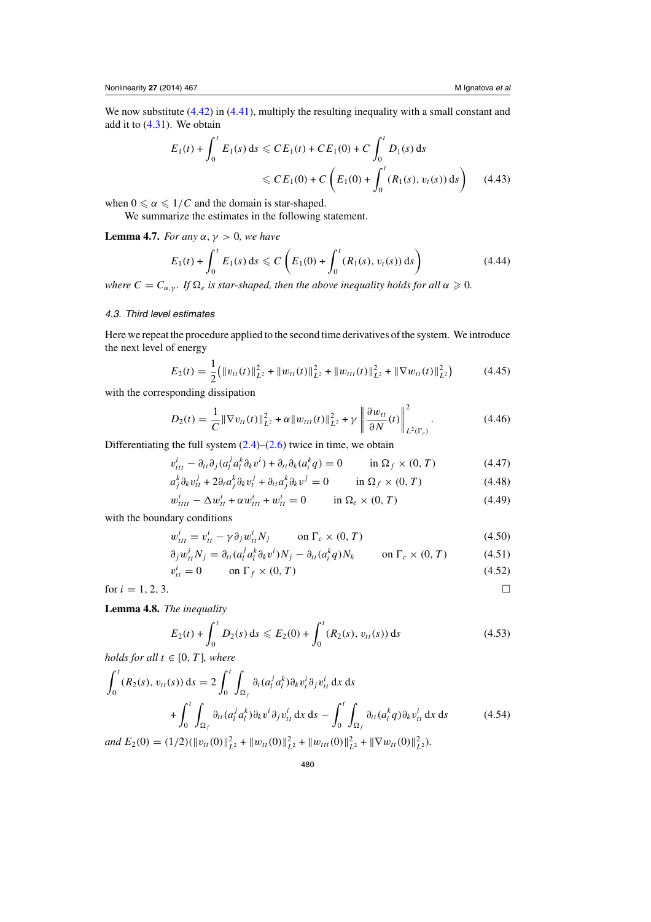<span id="page-14-0"></span>We now substitute [\(4.42\)](#page-13-0) in [\(4.41\)](#page-13-0), multiply the resulting inequality with a small constant and add it to [\(4.31\)](#page-12-0). We obtain

$$
E_1(t) + \int_0^t E_1(s) \, ds \leqslant CE_1(t) + CE_1(0) + C \int_0^t D_1(s) \, ds
$$
  
\$\leqslant CE\_1(0) + C\left(E\_1(0) + \int\_0^t (R\_1(s), v\_t(s)) \, ds\right)\$ (4.43)

when  $0 \le \alpha \le 1/C$  and the domain is star-shaped.

We summarize the estimates in the following statement.

**Lemma 4.7.** *For any*  $\alpha$ ,  $\gamma > 0$ *, we have* 

$$
E_1(t) + \int_0^t E_1(s) \, ds \leq C \left( E_1(0) + \int_0^t (R_1(s), v_t(s)) \, ds \right) \tag{4.44}
$$

*where*  $C = C_{\alpha,\gamma}$ *. If*  $\Omega_e$  *is star-shaped, then the above inequality holds for all*  $\alpha \geq 0$ *.* 

# *4.3. Third level estimates*

Here we repeat the procedure applied to the second time derivatives of the system. We introduce the next level of energy

$$
E_2(t) = \frac{1}{2} \left( \left\| v_{tt}(t) \right\|_{L^2}^2 + \left\| w_{tt}(t) \right\|_{L^2}^2 + \left\| w_{tt}(t) \right\|_{L^2}^2 + \left\| \nabla w_{tt}(t) \right\|_{L^2}^2 \right) \tag{4.45}
$$

with the corresponding dissipation

$$
D_2(t) = \frac{1}{C} \|\nabla v_{tt}(t)\|_{L^2}^2 + \alpha \|w_{ttt}(t)\|_{L^2}^2 + \gamma \left\| \frac{\partial w_{tt}}{\partial N}(t) \right\|_{L^2(\Gamma_c)}^2.
$$
 (4.46)

 $\overline{a}$ 

Differentiating the full system  $(2.4)$ – $(2.6)$  twice in time, we obtain

$$
v_{ttt}^i - \partial_{tt} \partial_j (a_l^j a_l^k \partial_k v^i) + \partial_{tt} \partial_k (a_l^k q) = 0 \qquad \text{in } \Omega_f \times (0, T) \tag{4.47}
$$

$$
a_j^k \partial_k v_{tt}^j + 2 \partial_t a_j^k \partial_k v_t^j + \partial_{tt} a_j^k \partial_k v^j = 0 \qquad \text{in } \Omega_f \times (0, T) \tag{4.48}
$$

$$
w_{tttt}^i - \Delta w_{tt}^i + \alpha w_{ttt}^i + w_{tt}^i = 0 \qquad \text{in } \Omega_e \times (0, T) \tag{4.49}
$$

with the boundary conditions

$$
w_{ttt}^i = v_{tt}^i - \gamma \partial_j w_{tt}^i N_j \qquad \text{on } \Gamma_c \times (0, T)
$$
 (4.50)

$$
\partial_j w_{tt}^i N_j = \partial_{tt} (a_l^j a_l^k \partial_k v^i) N_j - \partial_{tt} (a_l^k q) N_k \qquad \text{on } \Gamma_c \times (0, T) \tag{4.51}
$$

$$
v_{tt}^i = 0 \qquad \text{on } \Gamma_f \times (0, T) \tag{4.52}
$$

for  $i = 1, 2, 3$ .

**Lemma 4.8.** *The inequality*

$$
E_2(t) + \int_0^t D_2(s) \, ds \leqslant E_2(0) + \int_0^t (R_2(s), v_{tt}(s)) \, ds \tag{4.53}
$$

*holds for all*  $t \in [0, T]$ *, where* 

$$
\int_{0}^{t} (R_{2}(s), v_{tt}(s)) ds = 2 \int_{0}^{t} \int_{\Omega_{f}} \partial_{t} (a_{t}^{j} a_{t}^{k}) \partial_{k} v_{t}^{i} \partial_{j} v_{tt}^{i} dx ds \n+ \int_{0}^{t} \int_{\Omega_{f}} \partial_{tt} (a_{t}^{j} a_{t}^{k}) \partial_{k} v^{i} \partial_{j} v_{tt}^{i} dx ds - \int_{0}^{t} \int_{\Omega_{f}} \partial_{tt} (a_{t}^{k} q) \partial_{k} v_{tt}^{i} dx ds
$$
\n(4.54)

 $and E_2(0) = (1/2)(\|v_{tt}(0)\|_{L^2}^2 + \|w_{tt}(0)\|_{L^2}^2 + \|w_{ttt}(0)\|_{L^2}^2 + \|\nabla w_{tt}(0)\|_{L^2}^2).$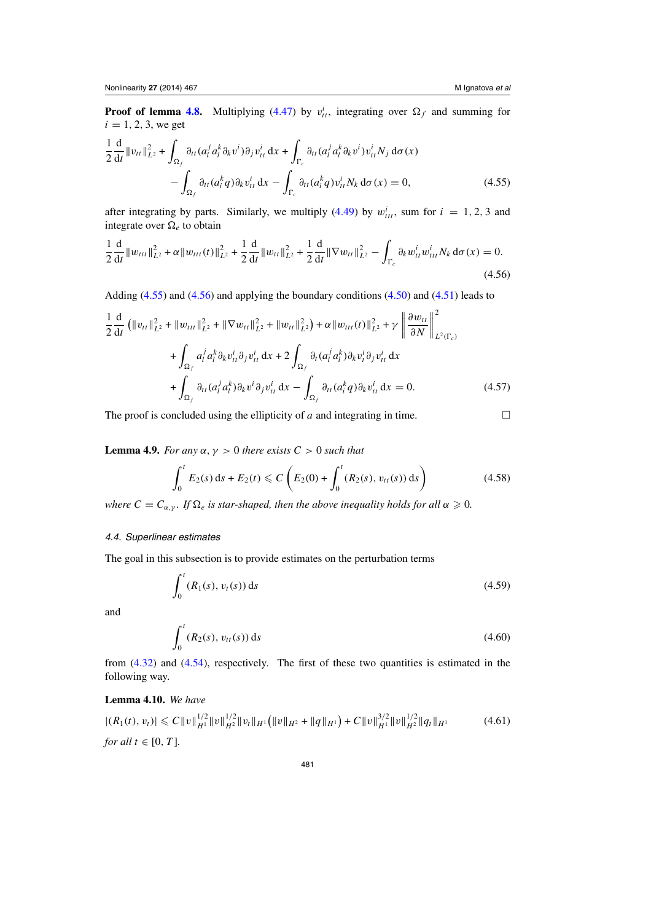<span id="page-15-0"></span>**Proof of lemma [4.8.](#page-14-0)** Multiplying [\(4.47\)](#page-14-0) by  $v_t^i$ , integrating over  $\Omega_f$  and summing for  $i = 1, 2, 3$ , we get

$$
\frac{1}{2}\frac{d}{dt}\|v_{tt}\|_{L^2}^2 + \int_{\Omega_f} \partial_{tt}(a_t^j a_t^k \partial_k v^i) \partial_j v_{tt}^i dx + \int_{\Gamma_c} \partial_{tt}(a_t^j a_t^k \partial_k v^i) v_{tt}^i N_j d\sigma(x) \n- \int_{\Omega_f} \partial_{tt}(a_t^k q) \partial_k v_{tt}^i dx - \int_{\Gamma_c} \partial_{tt}(a_t^k q) v_{tt}^i N_k d\sigma(x) = 0,
$$
\n(4.55)

after integrating by parts. Similarly, we multiply [\(4.49\)](#page-14-0) by  $w_{tt}^i$ , sum for  $i = 1, 2, 3$  and integrate over  $\Omega_e$  to obtain

$$
\frac{1}{2}\frac{d}{dt}\|w_{ttt}\|_{L^2}^2 + \alpha \|w_{ttt}(t)\|_{L^2}^2 + \frac{1}{2}\frac{d}{dt}\|w_{tt}\|_{L^2}^2 + \frac{1}{2}\frac{d}{dt}\|\nabla w_{tt}\|_{L^2}^2 - \int_{\Gamma_c} \partial_k w_{tt}^i w_{ttt}^i N_k d\sigma(x) = 0.
$$
\n(4.56)

Adding (4.55) and (4.56) and applying the boundary conditions [\(4.50\)](#page-14-0) and [\(4.51\)](#page-14-0) leads to

$$
\frac{1}{2} \frac{d}{dt} \left( \|v_{tt}\|_{L^2}^2 + \|w_{ttt}\|_{L^2}^2 + \|\nabla w_{tt}\|_{L^2}^2 + \|w_{tt}\|_{L^2}^2 \right) + \alpha \|w_{ttt}(t)\|_{L^2}^2 + \gamma \left\| \frac{\partial w_{tt}}{\partial N} \right\|_{L^2(\Gamma_c)}^2 + \int_{\Omega_f} a_l^j a_l^k \partial_k v_{tt}^i \partial_j v_{tt}^i dx + 2 \int_{\Omega_f} \partial_t (a_l^j a_l^k) \partial_k v_l^i \partial_j v_{tt}^i dx + \int_{\Omega_f} \partial_{tt} (a_l^j a_l^k) \partial_k v_{tt}^i dx - \int_{\Omega_f} \partial_{tt} (a_i^k q) \partial_k v_{tt}^i dx = 0.
$$
\n(4.57)

The proof is concluded using the ellipticity of *a* and integrating in time.

**Lemma 4.9.** *For any*  $\alpha$ ,  $\gamma > 0$  *there exists*  $C > 0$  *such that* 

$$
\int_0^t E_2(s) \, ds + E_2(t) \leqslant C \left( E_2(0) + \int_0^t (R_2(s), v_{tt}(s)) \, ds \right) \tag{4.58}
$$

*where*  $C = C_{\alpha, \gamma}$ *. If*  $\Omega_e$  *is star-shaped, then the above inequality holds for all*  $\alpha \ge 0$ *.* 

#### *4.4. Superlinear estimates*

The goal in this subsection is to provide estimates on the perturbation terms

$$
\int_0^t (R_1(s), v_t(s)) ds \tag{4.59}
$$

and

$$
\int_0^t (R_2(s), v_{tt}(s)) ds \tag{4.60}
$$

from  $(4.32)$  and  $(4.54)$ , respectively. The first of these two quantities is estimated in the following way.

# **Lemma 4.10.** *We have*

 $|(R_1(t), v_t)| \leq C ||v||_{H^1}^{1/2} ||v_t||_{H^2}^{1/2} ||v_t||_{H^1} (||v||_{H^2} + ||q||_{H^1}) + C ||v||_{H^1}^{3/2} ||v||_{H^2}^{1/2} ||q_t||_{H^1}$  (4.61) *for all*  $t \in [0, T]$ *.*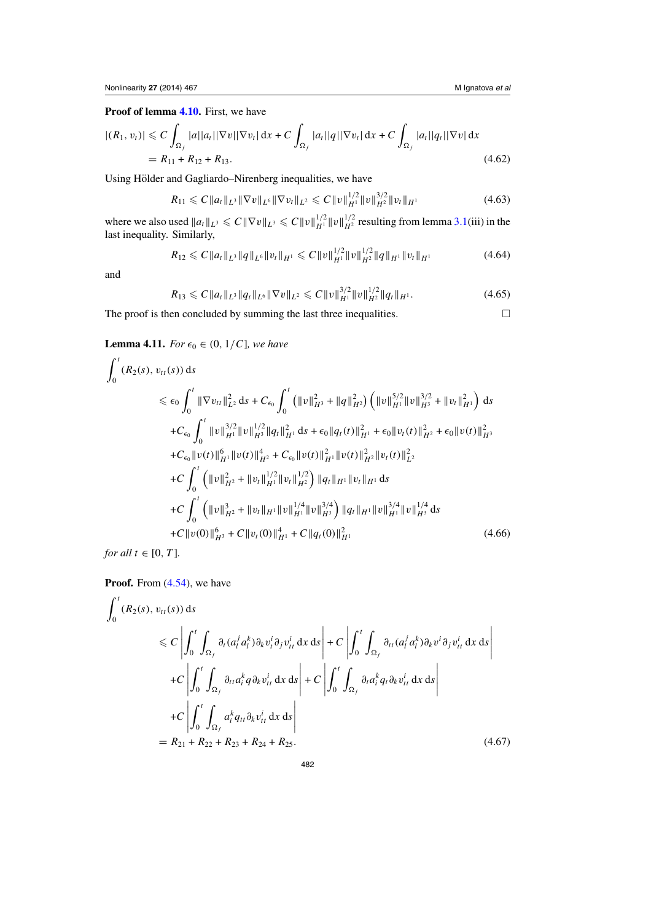<span id="page-16-0"></span>**Proof of lemma [4.10.](#page-15-0)** First, we have

$$
|(R_1, v_t)| \leq C \int_{\Omega_f} |a| |a_t| |\nabla v| |\nabla v_t| \, dx + C \int_{\Omega_f} |a_t| |q| |\nabla v_t| \, dx + C \int_{\Omega_f} |a_t| |q_t| |\nabla v| \, dx
$$
  
=  $R_{11} + R_{12} + R_{13}.$  (4.62)

Using Hölder and Gagliardo–Nirenberg inequalities, we have

$$
R_{11} \leqslant C \|a_t\|_{L^3} \|\nabla v\|_{L^6} \|\nabla v_t\|_{L^2} \leqslant C \|v\|_{H^1}^{1/2} \|v\|_{H^2}^{3/2} \|v_t\|_{H^1}
$$
\n
$$
\tag{4.63}
$$

where we also used  $||a_t||_{L^3} \leq C ||\nabla v||_{L^3} \leq C ||v||_{H^1}^{1/2} ||v||_{H^2}^{1/2}$  resulting from lemma [3.1\(](#page-6-0)iii) in the last inequality. Similarly,

$$
R_{12} \leqslant C \|a_t\|_{L^3} \|q\|_{L^6} \|v_t\|_{H^1} \leqslant C \|v\|_{H^1}^{1/2} \|v\|_{H^2}^{1/2} \|q\|_{H^1} \|v_t\|_{H^1}
$$
\n
$$
\tag{4.64}
$$

and

$$
R_{13} \leqslant C \|a_t\|_{L^3} \|q_t\|_{L^6} \|\nabla v\|_{L^2} \leqslant C \|v\|_{H^1}^{3/2} \|v\|_{H^2}^{1/2} \|q_t\|_{H^1}.
$$
\n
$$
(4.65)
$$

The proof is then concluded by summing the last three inequalities. 
$$
\Box
$$

# **Lemma 4.11.** *For*  $\epsilon_0 \in (0, 1/C]$ *, we have*

$$
\int_{0}^{t} (R_{2}(s), v_{tt}(s)) ds
$$
\n
$$
\leq \epsilon_{0} \int_{0}^{t} \|\nabla v_{tt}\|_{L^{2}}^{2} ds + C_{\epsilon_{0}} \int_{0}^{t} \left( \|v\|_{H^{3}}^{2} + \|q\|_{H^{2}}^{2} \right) \left( \|v\|_{H^{1}}^{5/2} \|v\|_{H^{3}}^{3/2} + \|v_{t}\|_{H^{1}}^{2} \right) ds
$$
\n
$$
+ C_{\epsilon_{0}} \int_{0}^{t} \|v\|_{H^{1}}^{3/2} \|v\|_{H^{3}}^{1/2} \|q_{t}\|_{H^{1}}^{2} ds + \epsilon_{0} \|q_{t}(t)\|_{H^{1}}^{2} + \epsilon_{0} \|v_{t}(t)\|_{H^{2}}^{2} + \epsilon_{0} \|v(t)\|_{H^{3}}^{2}
$$
\n
$$
+ C_{\epsilon_{0}} \|v(t)\|_{H^{1}}^{6} \|v(t)\|_{H^{2}}^{4} + C_{\epsilon_{0}} \|v(t)\|_{H^{1}}^{2} \|v(t)\|_{H^{2}}^{2} \|v_{t}(t)\|_{L^{2}}^{2}
$$
\n
$$
+ C \int_{0}^{t} \left( \|v\|_{H^{2}}^{2} + \|v_{t}\|_{H^{1}}^{1/2} \|v_{t}\|_{H^{2}}^{1/2} \right) \|q_{t}\|_{H^{1}} \|v_{t}\|_{H^{1}} ds
$$
\n
$$
+ C \int_{0}^{t} \left( \|v\|_{H^{2}}^{3} + \|v_{t}\|_{H^{1}} \|v\|_{H^{1}}^{1/2} \|v\|_{H^{3}}^{3/4} \right) \|q_{t}\|_{H^{1}} \|v\|_{H^{1}}^{3/4} \|v\|_{H^{3}}^{1/4} ds
$$
\n
$$
+ C \|v(0)\|_{H^{3}}^{6} + C \|v_{t}(0)\|_{H^{1}}^{4} + C \|q_{t}(0)\|_{H^{1}}^{2}
$$
\n(4.66)

*for all*  $t \in [0, T]$ *.* 

Proof. From  $(4.54)$ , we have

$$
\int_{0}^{t} (R_{2}(s), v_{tt}(s)) ds
$$
\n
$$
\leq C \left| \int_{0}^{t} \int_{\Omega_{f}} \partial_{t} (a_{t}^{j} a_{t}^{k}) \partial_{k} v_{t}^{i} \partial_{j} v_{tt}^{i} dx ds \right| + C \left| \int_{0}^{t} \int_{\Omega_{f}} \partial_{tt} (a_{t}^{j} a_{t}^{k}) \partial_{k} v^{i} \partial_{j} v_{tt}^{i} dx ds \right|
$$
\n
$$
+ C \left| \int_{0}^{t} \int_{\Omega_{f}} \partial_{tt} a_{t}^{k} q \partial_{k} v_{tt}^{i} dx ds \right| + C \left| \int_{0}^{t} \int_{\Omega_{f}} \partial_{t} a_{t}^{k} q_{t} \partial_{k} v_{tt}^{i} dx ds \right|
$$
\n
$$
+ C \left| \int_{0}^{t} \int_{\Omega_{f}} a_{t}^{k} q_{tt} \partial_{k} v_{tt}^{i} dx ds \right|
$$
\n
$$
= R_{21} + R_{22} + R_{23} + R_{24} + R_{25}.
$$
\n(4.67)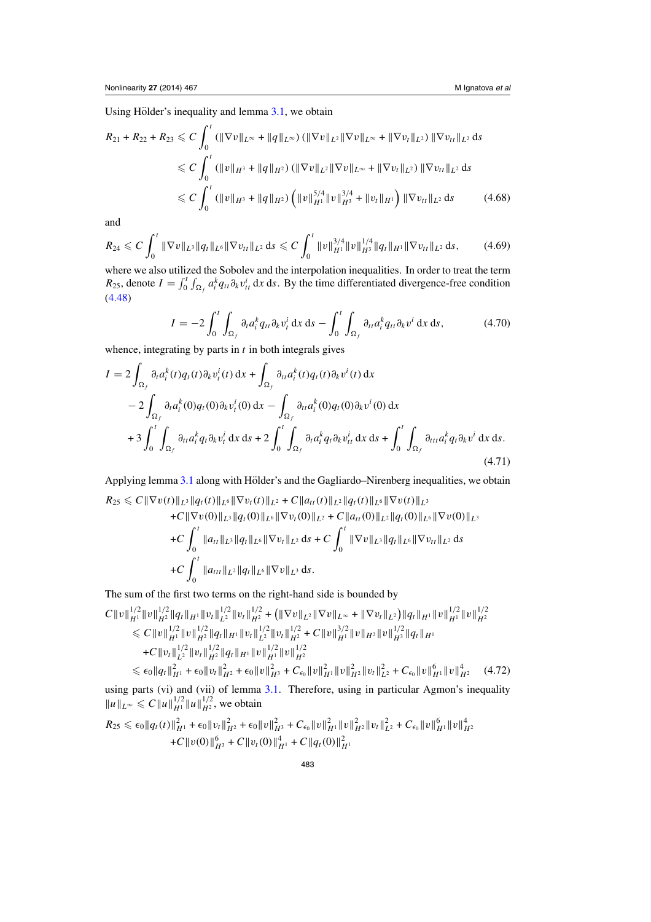Using Hölder's inequality and lemma  $3.1$ , we obtain

$$
R_{21} + R_{22} + R_{23} \leq C \int_0^t (||\nabla v||_{L^{\infty}} + ||q||_{L^{\infty}}) (||\nabla v||_{L^2} ||\nabla v||_{L^{\infty}} + ||\nabla v_t||_{L^2}) ||\nabla v_{tt}||_{L^2} ds
$$
  
\n
$$
\leq C \int_0^t (||v||_{H^3} + ||q||_{H^2}) (||\nabla v||_{L^2} ||\nabla v||_{L^{\infty}} + ||\nabla v_t||_{L^2}) ||\nabla v_{tt}||_{L^2} ds
$$
  
\n
$$
\leq C \int_0^t (||v||_{H^3} + ||q||_{H^2}) (||v||_{H^1}^{5/4} ||v||_{H^3}^{3/4} + ||v_t||_{H^1}) ||\nabla v_{tt}||_{L^2} ds
$$
 (4.68)

and

$$
R_{24} \leqslant C \int_0^t \|\nabla v\|_{L^3} \|q_t\|_{L^6} \|\nabla v_{tt}\|_{L^2} \, \mathrm{d} s \leqslant C \int_0^t \|v\|_{H^1}^{3/4} \|v\|_{H^3}^{1/4} \|q_t\|_{H^1} \|\nabla v_{tt}\|_{L^2} \, \mathrm{d} s,\tag{4.69}
$$

where we also utilized the Sobolev and the interpolation inequalities. In order to treat the term  $R_{25}$ , denote  $I = \int_0^t \int_{\Omega_f} a_i^k q_{tt} \partial_k v_{tt}^i dx$  d*s*. By the time differentiated divergence-free condition [\(4.48\)](#page-14-0)

$$
I = -2 \int_0^t \int_{\Omega_f} \partial_t a_i^k q_{tt} \partial_k v_t^i \, dx \, ds - \int_0^t \int_{\Omega_f} \partial_{tt} a_i^k q_{tt} \partial_k v^i \, dx \, ds,\tag{4.70}
$$

whence, integrating by parts in *t* in both integrals gives

$$
I = 2 \int_{\Omega_f} \partial_t a_i^k(t) q_t(t) \partial_k v_t^i(t) dx + \int_{\Omega_f} \partial_{tt} a_i^k(t) q_t(t) \partial_k v^i(t) dx
$$
  

$$
- 2 \int_{\Omega_f} \partial_t a_i^k(0) q_t(0) \partial_k v_t^i(0) dx - \int_{\Omega_f} \partial_{tt} a_i^k(0) q_t(0) \partial_k v^i(0) dx
$$
  

$$
+ 3 \int_0^t \int_{\Omega_f} \partial_{tt} a_i^k q_t \partial_k v_t^i dx ds + 2 \int_0^t \int_{\Omega_f} \partial_t a_i^k q_t \partial_k v_{tt}^i dx ds + \int_0^t \int_{\Omega_f} \partial_{tt} a_i^k q_t \partial_k v^i dx ds.
$$
(4.71)

Applying lemma [3.1](#page-6-0) along with Hölder's and the Gagliardo–Nirenberg inequalities, we obtain  $R_{25} \le C \|\nabla v(t)\|_{L^{3}} \|q_t(t)\|_{L^{6}} \|\nabla v_t(t)\|_{L^{2}} + C \|a_{tt}(t)\|_{L^{2}} \|q_t(t)\|_{L^{6}} \|\nabla v(t)\|_{L^{3}}$ 

$$
+C\|\nabla v(0)\|_{L^{3}}\|q_{t}(0)\|_{L^{6}}\|\nabla v_{t}(0)\|_{L^{2}}+C\|a_{tt}(0)\|_{L^{2}}\|q_{t}(0)\|_{L^{6}}\|\nabla v(0)\|_{L^{5}}+C\int_{0}^{t}\|a_{tt}\|_{L^{3}}\|q_{t}\|_{L^{6}}\|\nabla v_{t}\|_{L^{2}}\,\mathrm{d} s+C\int_{0}^{t}\|\nabla v\|_{L^{3}}\|q_{t}\|_{L^{6}}\|\nabla v_{tt}\|_{L^{2}}\,\mathrm{d} s+C\int_{0}^{t}\|a_{ttt}\|_{L^{2}}\|q_{t}\|_{L^{6}}\|\nabla v\|_{L^{3}}\,\mathrm{d} s.
$$

The sum of the first two terms on the right-hand side is bounded by

$$
C\|v\|_{H^1}^{1/2}\|v\|_{H^2}^{1/2}\|q_t\|_{H^1}\|v_t\|_{L^2}^{1/2}\|v_t\|_{H^2}^{1/2} + (\|\nabla v\|_{L^2}\|\nabla v\|_{L^\infty} + \|\nabla v_t\|_{L^2})\|q_t\|_{H^1}\|v\|_{H^1}^{1/2}\|v\|_{H^2}^{1/2}
$$
  
\n
$$
\leq C\|v\|_{H^1}^{1/2}\|v\|_{H^2}^{1/2}\|q_t\|_{H^1}\|v_t\|_{L^2}^{1/2}\|v_t\|_{H^2}^{1/2} + C\|v\|_{H^1}^{3/2}\|v\|_{H^2}\|v\|_{H^3}^{1/2}\|q_t\|_{H^1}
$$
  
\n
$$
+C\|v_t\|_{L^2}^{1/2}\|v_t\|_{H^2}^{1/2}\|q_t\|_{H^1}\|v\|_{H^1}^{1/2}\|v\|_{H^2}^{1/2}
$$
  
\n
$$
\leq \epsilon_0\|q_t\|_{H^1}^2 + \epsilon_0\|v_t\|_{H^2}^2 + \epsilon_0\|v\|_{H^3}^2 + C_{\epsilon_0}\|v\|_{H^1}^2\|v\|_{H^2}^2\|v_t\|_{L^2}^2 + C_{\epsilon_0}\|v\|_{H^1}\|v\|_{H^2}^4 \qquad (4.72)
$$

using parts (vi) and (vii) of lemma [3.1.](#page-6-0) Therefore, using in particular Agmon's inequality  $||u||_{L^{\infty}} \leq C ||u||_{H^1}^{1/2} ||u||_{H^2}^{1/2}$ , we obtain

$$
R_{25} \leq \epsilon_0 \|q_t(t)\|_{H^1}^2 + \epsilon_0 \|v_t\|_{H^2}^2 + \epsilon_0 \|v\|_{H^3}^2 + C_{\epsilon_0} \|v\|_{H^1}^2 \|v\|_{H^2}^2 \|v_t\|_{L^2}^2 + C_{\epsilon_0} \|v\|_{H^1}^6 \|v\|_{H^2}^4
$$
  
+
$$
C \|v(0)\|_{H^3}^6 + C \|v_t(0)\|_{H^1}^4 + C \|q_t(0)\|_{H^1}^2
$$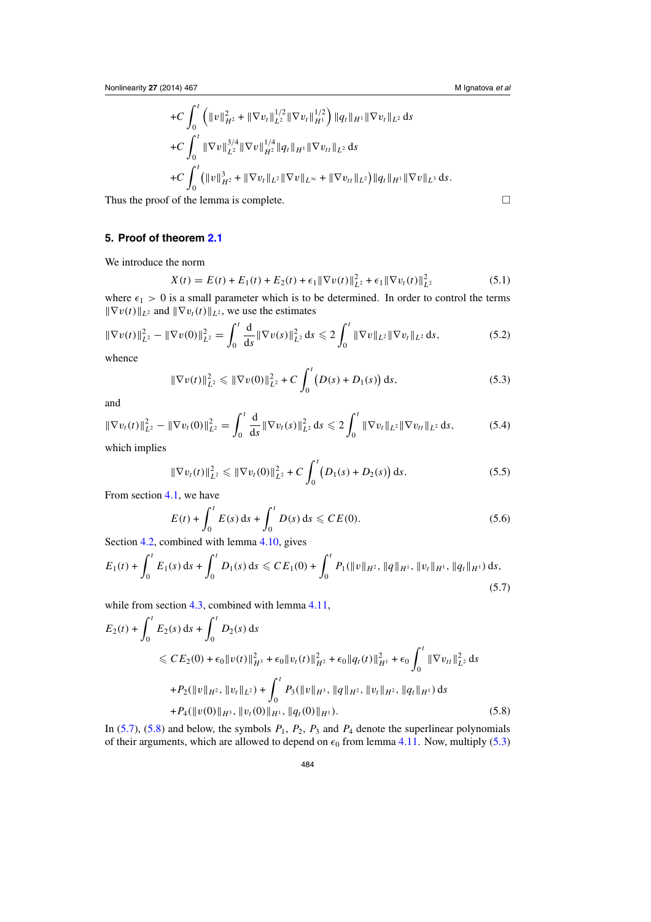<span id="page-18-0"></span>
$$
+C\int_0^t \left( \|v\|_{H^2}^2 + \|\nabla v_t\|_{L^2}^{1/2} \|\nabla v_t\|_{H^1}^{1/2} \right) \|q_t\|_{H^1} \|\nabla v_t\|_{L^2} ds
$$
  
+
$$
+C\int_0^t \|\nabla v\|_{L^2}^{3/4} \|\nabla v\|_{H^2}^{1/4} \|q_t\|_{H^1} \|\nabla v_{tt}\|_{L^2} ds
$$
  
+
$$
+C\int_0^t \left( \|v\|_{H^2}^3 + \|\nabla v_t\|_{L^2} \|\nabla v\|_{L^\infty} + \|\nabla v_{tt}\|_{L^2} \right) \|q_t\|_{H^1} \|\nabla v\|_{L^3} ds.
$$

Thus the proof of the lemma is complete.

# **5. Proof of theorem [2.1](#page-4-0)**

We introduce the norm

$$
X(t) = E(t) + E_1(t) + E_2(t) + \epsilon_1 \|\nabla v(t)\|_{L^2}^2 + \epsilon_1 \|\nabla v_t(t)\|_{L^2}^2
$$
\n(5.1)

where  $\epsilon_1 > 0$  is a small parameter which is to be determined. In order to control the terms  $\|\nabla v(t)\|_{L^2}$  and  $\|\nabla v_t(t)\|_{L^2}$ , we use the estimates

$$
\|\nabla v(t)\|_{L^2}^2 - \|\nabla v(0)\|_{L^2}^2 = \int_0^t \frac{d}{ds} \|\nabla v(s)\|_{L^2}^2 ds \leq 2 \int_0^t \|\nabla v\|_{L^2} \|\nabla v_t\|_{L^2} ds,
$$
\n(5.2)

whence

$$
\|\nabla v(t)\|_{L^2}^2 \le \|\nabla v(0)\|_{L^2}^2 + C \int_0^t \left(D(s) + D_1(s)\right) ds,
$$
\n(5.3)

and

$$
\|\nabla v_t(t)\|_{L^2}^2 - \|\nabla v_t(0)\|_{L^2}^2 = \int_0^t \frac{d}{ds} \|\nabla v_t(s)\|_{L^2}^2 ds \leq 2 \int_0^t \|\nabla v_t\|_{L^2} \|\nabla v_{tt}\|_{L^2} ds,
$$
 (5.4)

which implies

$$
\|\nabla v_t(t)\|_{L^2}^2 \le \|\nabla v_t(0)\|_{L^2}^2 + C \int_0^t \big(B_1(s) + B_2(s)\big) \,ds. \tag{5.5}
$$

From section [4.1,](#page-8-0) we have

$$
E(t) + \int_0^t E(s) \, ds + \int_0^t D(s) \, ds \leqslant CE(0). \tag{5.6}
$$

Section [4.2,](#page-12-0) combined with lemma [4.10,](#page-15-0) gives

$$
E_1(t) + \int_0^t E_1(s) \, ds + \int_0^t D_1(s) \, ds \leqslant CE_1(0) + \int_0^t P_1(\|v\|_{H^2}, \|q\|_{H^1}, \|v_t\|_{H^1}, \|q_t\|_{H^1}) \, ds,
$$
\n
$$
(5.7)
$$

while from section [4.3,](#page-14-0) combined with lemma [4.11,](#page-16-0)

$$
E_2(t) + \int_0^t E_2(s) \, ds + \int_0^t D_2(s) \, ds
$$
  
\n
$$
\leq C E_2(0) + \epsilon_0 \|v(t)\|_{H^3}^2 + \epsilon_0 \|v_t(t)\|_{H^2}^2 + \epsilon_0 \|q_t(t)\|_{H^1}^2 + \epsilon_0 \int_0^t \|\nabla v_{tt}\|_{L^2}^2 \, ds
$$
  
\n
$$
+ P_2(\|v\|_{H^2}, \|v_t\|_{L^2}) + \int_0^t P_3(\|v\|_{H^3}, \|q\|_{H^2}, \|v_t\|_{H^2}, \|q_t\|_{H^1}) \, ds
$$
  
\n
$$
+ P_4(\|v(0)\|_{H^3}, \|v_t(0)\|_{H^1}, \|q_t(0)\|_{H^1}).
$$
\n(5.8)

In (5.7), (5.8) and below, the symbols  $P_1$ ,  $P_2$ ,  $P_3$  and  $P_4$  denote the superlinear polynomials of their arguments, which are allowed to depend on  $\epsilon_0$  from lemma [4.11.](#page-16-0) Now, multiply (5.3)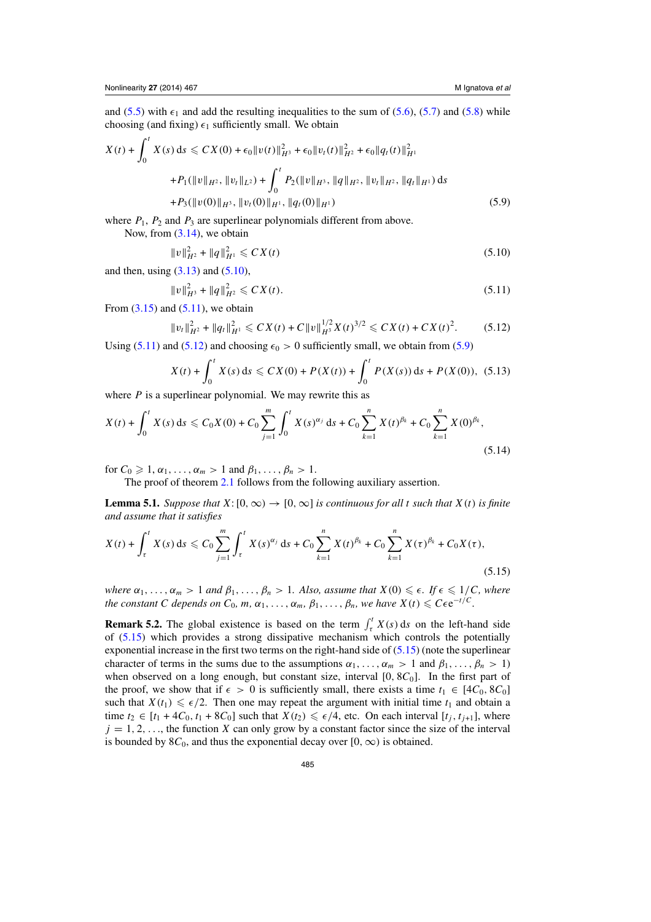*t*

<span id="page-19-0"></span>and [\(5.5\)](#page-18-0) with  $\epsilon_1$  and add the resulting inequalities to the sum of [\(5.6\)](#page-18-0), [\(5.7\)](#page-18-0) and [\(5.8\)](#page-18-0) while choosing (and fixing)  $\epsilon_1$  sufficiently small. We obtain

$$
X(t) + \int_0^t X(s) ds \leq C X(0) + \epsilon_0 \|v(t)\|_{H^3}^2 + \epsilon_0 \|v_t(t)\|_{H^2}^2 + \epsilon_0 \|q_t(t)\|_{H^1}^2
$$
  
+  $P_1(\|v\|_{H^2}, \|v_t\|_{L^2}) + \int_0^t P_2(\|v\|_{H^3}, \|q\|_{H^2}, \|v_t\|_{H^2}, \|q_t\|_{H^1}) ds$   
+  $P_3(\|v(0)\|_{H^3}, \|v_t(0)\|_{H^1}, \|q_t(0)\|_{H^1})$  (5.9)

where  $P_1$ ,  $P_2$  and  $P_3$  are superlinear polynomials different from above.

Now, from  $(3.14)$ , we obtain

$$
||v||_{H^2}^2 + ||q||_{H^1}^2 \le C X(t)
$$
\n(5.10)

and then, using  $(3.13)$  and  $(5.10)$ ,

$$
||v||_{H^3}^2 + ||q||_{H^2}^2 \leqslant CX(t). \tag{5.11}
$$

From  $(3.15)$  and  $(5.11)$ , we obtain

$$
\|v_t\|_{H^2}^2 + \|q_t\|_{H^1}^2 \le C X(t) + C \|v\|_{H^3}^{1/2} X(t)^{3/2} \le C X(t) + C X(t)^2. \tag{5.12}
$$

Using (5.11) and (5.12) and choosing  $\epsilon_0 > 0$  sufficiently small, we obtain from (5.9)

$$
X(t) + \int_0^t X(s) \, ds \leq C X(0) + P(X(t)) + \int_0^t P(X(s)) \, ds + P(X(0)), \tag{5.13}
$$

where *P* is a superlinear polynomial. We may rewrite this as

$$
X(t) + \int_0^t X(s) \, ds \leq C_0 X(0) + C_0 \sum_{j=1}^m \int_0^t X(s)^{\alpha_j} \, ds + C_0 \sum_{k=1}^n X(t)^{\beta_k} + C_0 \sum_{k=1}^n X(0)^{\beta_k},\tag{5.14}
$$

for  $C_0 \geq 1, \alpha_1, \ldots, \alpha_m > 1$  and  $\beta_1, \ldots, \beta_n > 1$ .

The proof of theorem [2.1](#page-4-0) follows from the following auxiliary assertion.

**Lemma 5.1.** *Suppose that*  $X: [0, \infty) \to [0, \infty]$  *is continuous for all t such that*  $X(t)$  *is finite and assume that it satisfies*

$$
X(t) + \int_{\tau}^{t} X(s) ds \leq C_0 \sum_{j=1}^{m} \int_{\tau}^{t} X(s)^{\alpha_j} ds + C_0 \sum_{k=1}^{n} X(t)^{\beta_k} + C_0 \sum_{k=1}^{n} X(\tau)^{\beta_k} + C_0 X(\tau),
$$
\n(5.15)

*where*  $\alpha_1, \ldots, \alpha_m > 1$  *and*  $\beta_1, \ldots, \beta_n > 1$ . Also, assume that  $X(0) \leq \epsilon$ . If  $\epsilon \leq 1/C$ , where *the constant C depends on*  $C_0$ *, m,*  $\alpha_1$ *,...,*  $\alpha_m$ *,*  $\beta_1$ *,...,*  $\beta_n$ *, we have*  $X(t) \leqslant C\epsilon e^{-t/C}$ *.* 

**Remark 5.2.** The global existence is based on the term  $\int_{\tau}^{t} X(s) ds$  on the left-hand side of (5.15) which provides a strong dissipative mechanism which controls the potentially exponential increase in the first two terms on the right-hand side of  $(5.15)$  (note the superlinear character of terms in the sums due to the assumptions  $\alpha_1, \ldots, \alpha_m > 1$  and  $\beta_1, \ldots, \beta_n > 1$ ) when observed on a long enough, but constant size, interval [0, 8 $C_0$ ]. In the first part of the proof, we show that if  $\epsilon > 0$  is sufficiently small, there exists a time  $t_1 \in [4C_0, 8C_0]$ such that  $X(t_1) \leq \epsilon/2$ . Then one may repeat the argument with initial time  $t_1$  and obtain a time  $t_2 \in [t_1 + 4C_0, t_1 + 8C_0]$  such that  $X(t_2) \leq \epsilon/4$ , etc. On each interval  $[t_j, t_{j+1}]$ , where  $j = 1, 2, \ldots$ , the function *X* can only grow by a constant factor since the size of the interval is bounded by 8 $C_0$ , and thus the exponential decay over [0, ∞) is obtained.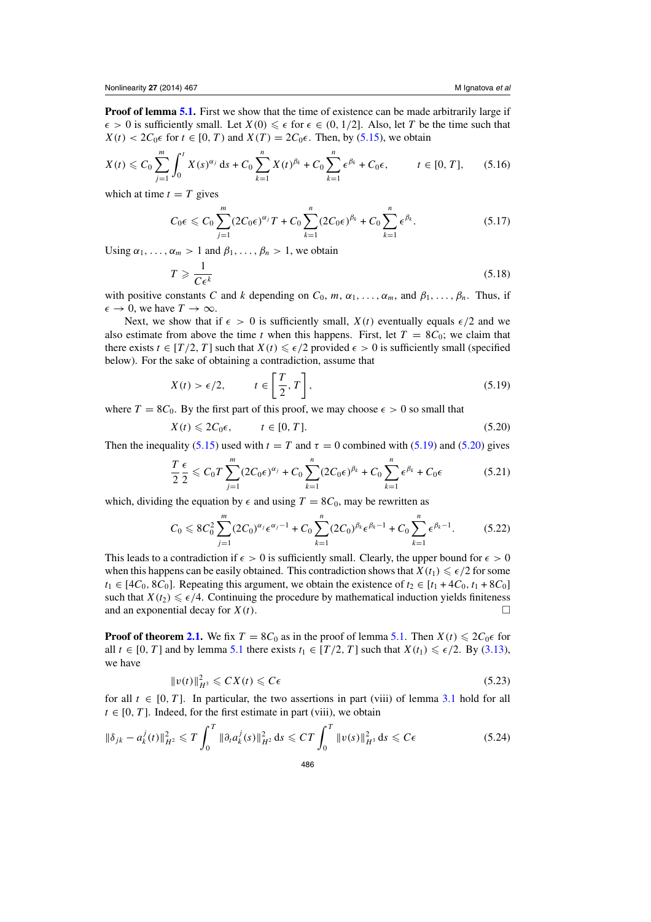**Proof of lemma [5.1.](#page-19-0)** First we show that the time of existence can be made arbitrarily large if  $\epsilon > 0$  is sufficiently small. Let  $X(0) \leq \epsilon$  for  $\epsilon \in (0, 1/2]$ . Also, let *T* be the time such that  $X(t) < 2C_0 \epsilon$  for  $t \in [0, T)$  and  $X(T) = 2C_0 \epsilon$ . Then, by [\(5.15\)](#page-19-0), we obtain

$$
X(t) \leq C_0 \sum_{j=1}^m \int_0^t X(s)^{\alpha_j} ds + C_0 \sum_{k=1}^n X(t)^{\beta_k} + C_0 \sum_{k=1}^n \epsilon^{\beta_k} + C_0 \epsilon, \qquad t \in [0, T], \qquad (5.16)
$$

which at time  $t = T$  gives

$$
C_0 \epsilon \leq C_0 \sum_{j=1}^m (2C_0 \epsilon)^{\alpha_j} T + C_0 \sum_{k=1}^n (2C_0 \epsilon)^{\beta_k} + C_0 \sum_{k=1}^n \epsilon^{\beta_k}.
$$
 (5.17)

Using  $\alpha_1, \ldots, \alpha_m > 1$  and  $\beta_1, \ldots, \beta_n > 1$ , we obtain

$$
T \geqslant \frac{1}{C\epsilon^k} \tag{5.18}
$$

with positive constants *C* and *k* depending on  $C_0$ ,  $m$ ,  $\alpha_1$ , ...,  $\alpha_m$ , and  $\beta_1$ , ...,  $\beta_n$ . Thus, if  $\epsilon \to 0$ , we have  $T \to \infty$ .

Next, we show that if  $\epsilon > 0$  is sufficiently small,  $X(t)$  eventually equals  $\epsilon/2$  and we also estimate from above the time *t* when this happens. First, let  $T = 8C_0$ ; we claim that there exists  $t \in [T/2, T]$  such that  $X(t) \leq \epsilon/2$  provided  $\epsilon > 0$  is sufficiently small (specified below). For the sake of obtaining a contradiction, assume that

$$
X(t) > \epsilon/2, \qquad t \in \left[\frac{T}{2}, T\right],\tag{5.19}
$$

where  $T = 8C_0$ . By the first part of this proof, we may choose  $\epsilon > 0$  so small that

$$
X(t) \leq 2C_0\epsilon, \qquad t \in [0, T]. \tag{5.20}
$$

Then the inequality [\(5.15\)](#page-19-0) used with  $t = T$  and  $\tau = 0$  combined with (5.19) and (5.20) gives

$$
\frac{T}{2} \frac{\epsilon}{2} \leq C_0 T \sum_{j=1}^m (2C_0 \epsilon)^{\alpha_j} + C_0 \sum_{k=1}^n (2C_0 \epsilon)^{\beta_k} + C_0 \sum_{k=1}^n \epsilon^{\beta_k} + C_0 \epsilon \tag{5.21}
$$

which, dividing the equation by  $\epsilon$  and using  $T = 8C_0$ , may be rewritten as

$$
C_0 \leq 8C_0^2 \sum_{j=1}^m (2C_0)^{\alpha_j} \epsilon^{\alpha_j - 1} + C_0 \sum_{k=1}^n (2C_0)^{\beta_k} \epsilon^{\beta_k - 1} + C_0 \sum_{k=1}^n \epsilon^{\beta_k - 1}.
$$
 (5.22)

This leads to a contradiction if  $\epsilon > 0$  is sufficiently small. Clearly, the upper bound for  $\epsilon > 0$ when this happens can be easily obtained. This contradiction shows that  $X(t_1) \leq \epsilon/2$  for some *t*<sub>1</sub> ∈ [4*C*<sub>0</sub>*,* 8*C*<sub>0</sub>]. Repeating this argument, we obtain the existence of *t*<sub>2</sub> ∈ [*t*<sub>1</sub> + 4*C*<sub>0</sub>*, t*<sub>1</sub> + 8*C*<sub>0</sub>] such that  $X(t_2) \leq \epsilon/4$ . Continuing the procedure by mathematical induction yields finiteness and an exponential decay for  $X(t)$ .

**Proof of theorem [2.1.](#page-4-0)** We fix  $T = 8C_0$  as in the proof of lemma [5.1.](#page-19-0) Then  $X(t) \leq 2C_0 \epsilon$  for all *t* ∈ [0, *T*] and by lemma [5.1](#page-19-0) there exists  $t_1$  ∈ [*T*/2, *T*] such that  $X(t_1) \le \epsilon/2$ . By [\(3.13\)](#page-7-0), we have

$$
||v(t)||_{H^3}^2 \leqslant CX(t) \leqslant C\epsilon
$$
\n<sup>(5.23)</sup>

for all  $t \in [0, T]$ . In particular, the two assertions in part (viii) of lemma [3.1](#page-6-0) hold for all  $t \in [0, T]$ . Indeed, for the first estimate in part (viii), we obtain

$$
\|\delta_{jk} - a_k^j(t)\|_{H^2}^2 \leq T \int_0^T \|\partial_t a_k^j(s)\|_{H^2}^2 ds \leq CT \int_0^T \|v(s)\|_{H^3}^2 ds \leq C\epsilon
$$
 (5.24)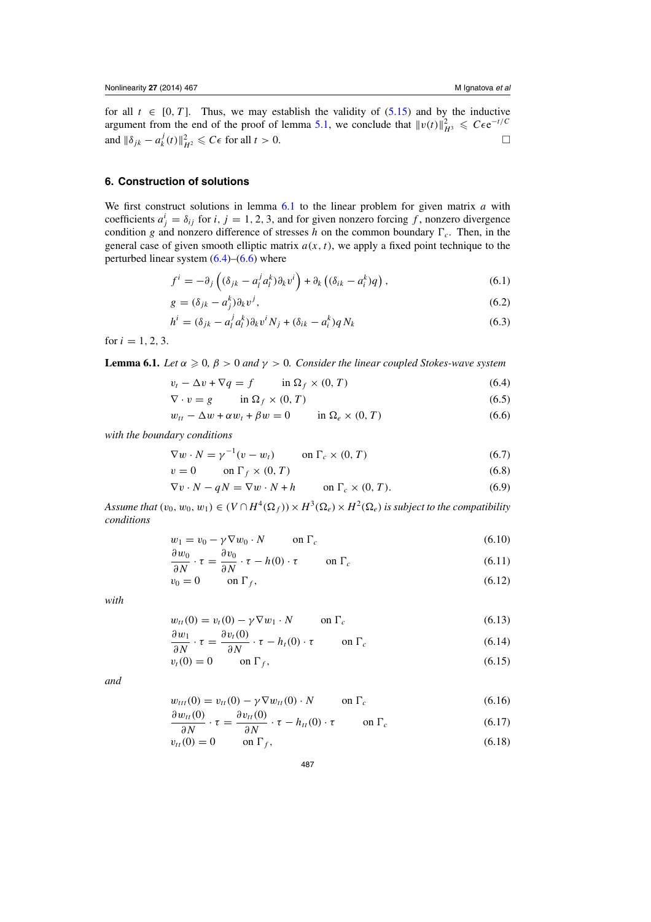<span id="page-21-0"></span>for all  $t \in [0, T]$ . Thus, we may establish the validity of  $(5.15)$  and by the inductive argument from the end of the proof of lemma [5.1,](#page-19-0) we conclude that  $||v(t)||_{H^3}^2 \leq C\epsilon e^{-t/C}$ and  $\|\delta_{jk} - a_k^j(t)\|_{H^2}^2 \le C\epsilon$  for all *t* > 0. □

# **6. Construction of solutions**

We first construct solutions in lemma 6.1 to the linear problem for given matrix *a* with coefficients  $a_j^i = \delta_{ij}$  for *i*,  $j = 1, 2, 3$ , and for given nonzero forcing *f*, nonzero divergence condition *g* and nonzero difference of stresses *h* on the common boundary  $\Gamma_c$ . Then, in the general case of given smooth elliptic matrix  $a(x, t)$ , we apply a fixed point technique to the perturbed linear system  $(6.4)$ – $(6.6)$  where

$$
f^{i} = -\partial_{j} \left( (\delta_{jk} - a_{l}^{j} a_{l}^{k}) \partial_{k} v^{i} \right) + \partial_{k} \left( (\delta_{ik} - a_{i}^{k}) q \right), \tag{6.1}
$$

$$
g = (\delta_{jk} - a_j^k) \partial_k v^j, \tag{6.2}
$$

$$
h^{i} = (\delta_{jk} - a_{l}^{j} a_{l}^{k}) \partial_{k} v^{i} N_{j} + (\delta_{ik} - a_{i}^{k}) q N_{k}
$$
\n
$$
(6.3)
$$

for  $i = 1, 2, 3$ .

**Lemma 6.1.** *Let*  $\alpha \geq 0$ ,  $\beta > 0$  *and*  $\gamma > 0$ *. Consider the linear coupled Stokes-wave system* 

$$
v_t - \Delta v + \nabla q = f \qquad \text{in } \Omega_f \times (0, T) \tag{6.4}
$$

$$
\nabla \cdot v = g \qquad \text{in } \Omega_f \times (0, T) \tag{6.5}
$$

$$
w_{tt} - \Delta w + \alpha w_t + \beta w = 0 \qquad \text{in } \Omega_e \times (0, T) \tag{6.6}
$$

*with the boundary conditions*

$$
\nabla w \cdot N = \gamma^{-1}(v - w_t) \qquad \text{on } \Gamma_c \times (0, T) \tag{6.7}
$$

$$
v = 0 \qquad \text{on } \Gamma_f \times (0, T) \tag{6.8}
$$

$$
\nabla v \cdot N - qN = \nabla w \cdot N + h \qquad \text{on } \Gamma_c \times (0, T). \tag{6.9}
$$

*Assume that*  $(v_0, w_0, w_1) \in (V \cap H^4(\Omega_f)) \times H^3(\Omega_e) \times H^2(\Omega_e)$  *is subject to the compatibility conditions*

$$
w_1 = v_0 - \gamma \nabla w_0 \cdot N \qquad \text{on } \Gamma_c \tag{6.10}
$$

$$
\frac{\partial w_0}{\partial N} \cdot \tau = \frac{\partial v_0}{\partial N} \cdot \tau - h(0) \cdot \tau \qquad \text{on } \Gamma_c \tag{6.11}
$$

$$
v_0 = 0 \qquad \text{on } \Gamma_f,\tag{6.12}
$$

*with*

$$
w_{tt}(0) = v_t(0) - \gamma \nabla w_1 \cdot N \qquad \text{on } \Gamma_c \tag{6.13}
$$

$$
\frac{\partial w_1}{\partial N} \cdot \tau = \frac{\partial v_t(0)}{\partial N} \cdot \tau - h_t(0) \cdot \tau \qquad \text{on } \Gamma_c \tag{6.14}
$$

$$
v_t(0) = 0 \qquad \text{on } \Gamma_f,\tag{6.15}
$$

*and*

$$
w_{ttt}(0) = v_{tt}(0) - \gamma \nabla w_{tt}(0) \cdot N \qquad \text{on } \Gamma_c \tag{6.16}
$$

$$
\frac{\partial w_{tt}(0)}{\partial N} \cdot \tau = \frac{\partial v_{tt}(0)}{\partial N} \cdot \tau - h_{tt}(0) \cdot \tau \qquad \text{on } \Gamma_c \tag{6.17}
$$

$$
v_{tt}(0) = 0 \qquad \text{on } \Gamma_f,
$$
\n(6.18)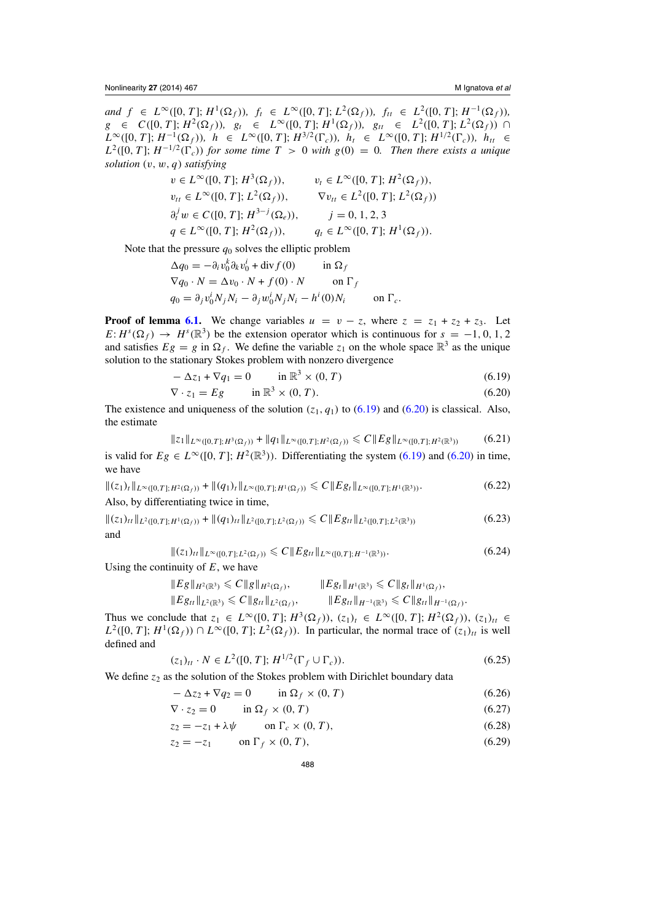and  $f \in L^{\infty}([0, T]; H^1(\Omega_f))$ ,  $f_t \in L^{\infty}([0, T]; L^2(\Omega_f))$ ,  $f_{tt} \in L^2([0, T]; H^{-1}(\Omega_f))$ ,  $g \in C([0, T]; H^2(\Omega_f)), g_t \in L^{\infty}([0, T]; H^1(\Omega_f)), g_t \in L^2([0, T]; L^2(\Omega_f))$  $L^{\infty}([0, T]; H^{-1}(\Omega_f)), h \in L^{\infty}([0, T]; H^{3/2}(\Gamma_c)), h_t \in L^{\infty}([0, T]; H^{1/2}(\Gamma_c)), h_t \in$  $L^2([0, T]; H^{-1/2}(\Gamma_c))$  for some time  $T > 0$  with  $g(0) = 0$ . Then there exists a unique *solution (v, w, q) satisfying*

> $v \in L^{\infty}([0, T]; H^3(\Omega_f)), \qquad v_t \in L^{\infty}([0, T]; H^2(\Omega_f)),$  $v_{tt} \in L^{\infty}([0, T]; L^2(\Omega_f)),$  $(\Omega_f)$ ,  $\nabla v_{tt} \in L^2([0, T]; L^2(\Omega_f))$  $\partial_t^j w \in C([0, T]; H^{3-j}(\Omega_e)), \qquad j = 0, 1, 2, 3$  $q \in L^{\infty}([0, T]; H^2(\Omega_f)), \qquad q_t \in L^{\infty}([0, T]; H^1(\Omega_f)).$

Note that the pressure  $q_0$  solves the elliptic problem

$$
\Delta q_0 = -\partial_i v_0^k \partial_k v_0^i + \text{div} f(0) \quad \text{in } \Omega_f
$$
  
\n
$$
\nabla q_0 \cdot N = \Delta v_0 \cdot N + f(0) \cdot N \quad \text{on } \Gamma_f
$$
  
\n
$$
q_0 = \partial_j v_0^i N_j N_i - \partial_j w_0^i N_j N_i - h^i(0) N_i \quad \text{on } \Gamma_c.
$$

**Proof of lemma [6.1.](#page-21-0)** We change variables  $u = v - z$ , where  $z = z_1 + z_2 + z_3$ . Let  $E: H^{s}(\Omega_{f}) \to H^{s}(\mathbb{R}^{3})$  be the extension operator which is continuous for  $s = -1, 0, 1, 2$ and satisfies  $Eg = g$  in  $\Omega_f$ . We define the variable  $z_1$  on the whole space  $\mathbb{R}^3$  as the unique solution to the stationary Stokes problem with nonzero divergence

 $-\Delta z_1 + \nabla q_1 = 0$  in  $\mathbb{R}^3 \times (0, T)$  (6.19)

$$
\nabla \cdot z_1 = Eg \qquad \text{in } \mathbb{R}^3 \times (0, T). \tag{6.20}
$$

The existence and uniqueness of the solution  $(z_1, q_1)$  to  $(6.19)$  and  $(6.20)$  is classical. Also, the estimate

$$
||z_1||_{L^{\infty}([0,T];H^3(\Omega_f))} + ||q_1||_{L^{\infty}([0,T];H^2(\Omega_f))} \leq C ||Eg||_{L^{\infty}([0,T];H^2(\mathbb{R}^3))}
$$
(6.21)

is valid for  $E_g \in L^{\infty}([0, T]; H^2(\mathbb{R}^3))$ . Differentiating the system (6.19) and (6.20) in time, we have

$$
\|(z_1)_t\|_{L^{\infty}([0,T];H^2(\Omega_f))} + \|(q_1)_t\|_{L^{\infty}([0,T];H^1(\Omega_f))} \leq C \|E g_t\|_{L^{\infty}([0,T];H^1(\mathbb{R}^3))}.
$$
\n
$$
(6.22)
$$

Also, by differentiating twice in time,

 $||(z_1)_{tt}||_{L^2([0,T];H^1(\Omega_f))} + ||(q_1)_{tt}||_{L^2([0,T];L^2(\Omega_f))} \leq C ||E g_{tt}||_{L^2([0,T];L^2(\mathbb{R}^3))}$  (6.23) and

$$
||(z_1)_{tt}||_{L^{\infty}([0,T];L^2(\Omega_f))} \leq C||Eg_{tt}||_{L^{\infty}([0,T];H^{-1}(\mathbb{R}^3))}.
$$
\n(6.24)

Using the continuity of *E*, we have

| $  E g  _{H^2(\mathbb{R}^3)} \leq C   g  _{H^2(\Omega_f)},$           | $  E g_t  _{H^1(\mathbb{R}^3)} \leqslant C   g_t  _{H^1(\Omega_f)},$        |
|-----------------------------------------------------------------------|-----------------------------------------------------------------------------|
| $  E g_{tt}  _{L^2(\mathbb{R}^3)} \leq C   g_{tt}  _{L^2(\Omega_f)},$ | $  E g_{tt}  _{H^{-1}(\mathbb{R}^3)} \leq C   g_{tt}  _{H^{-1}(\Omega_f)}.$ |

Thus we conclude that  $z_1 \in L^\infty([0, T]; H^3(\Omega_f))$ ,  $(z_1)_t \in L^\infty([0, T]; H^2(\Omega_f))$ ,  $(z_1)_{tt} \in$  $L^2([0, T]; H^1(\Omega_f))$  ∩  $L^\infty([0, T]; L^2(\Omega_f))$ . In particular, the normal trace of  $(z_1)_{tt}$  is well defined and

$$
(z_1)_{tt} \cdot N \in L^2([0, T]; H^{1/2}(\Gamma_f \cup \Gamma_c)). \tag{6.25}
$$

We define  $z_2$  as the solution of the Stokes problem with Dirichlet boundary data

$$
-\Delta z_2 + \nabla q_2 = 0 \qquad \text{in } \Omega_f \times (0, T) \tag{6.26}
$$

$$
\nabla \cdot z_2 = 0 \qquad \text{in } \Omega_f \times (0, T) \tag{6.27}
$$

$$
z_2 = -z_1 + \lambda \psi \qquad \text{on } \Gamma_c \times (0, T), \tag{6.28}
$$

$$
z_2 = -z_1 \qquad \text{on } \Gamma_f \times (0, T), \tag{6.29}
$$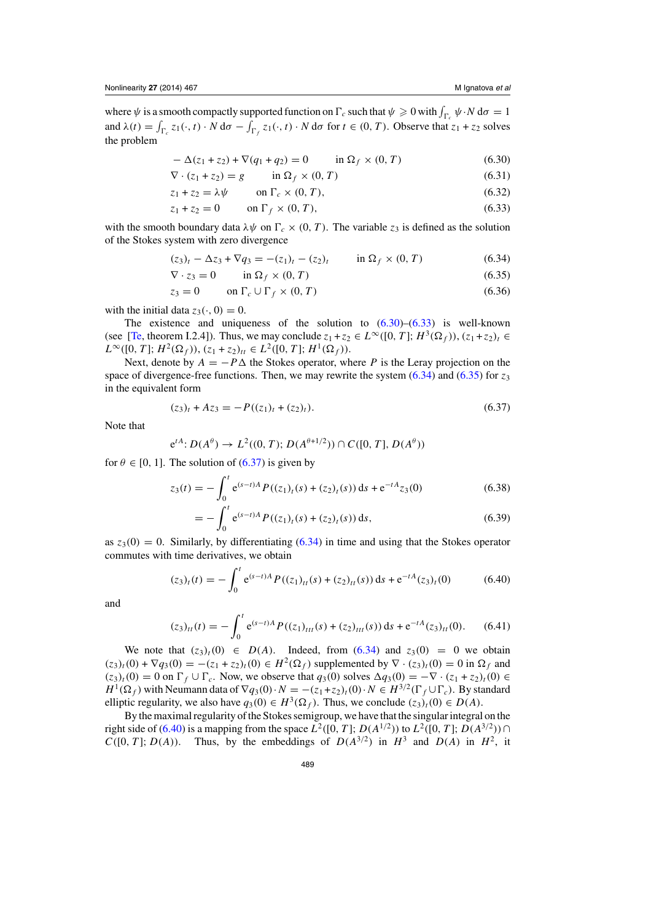<span id="page-23-0"></span>
$$
-\Delta(z_1 + z_2) + \nabla(q_1 + q_2) = 0 \qquad \text{in } \Omega_f \times (0, T) \tag{6.30}
$$

$$
\nabla \cdot (z_1 + z_2) = g \qquad \text{in } \Omega_f \times (0, T) \tag{6.31}
$$

$$
z_1 + z_2 = \lambda \psi \qquad \text{on } \Gamma_c \times (0, T), \tag{6.32}
$$

$$
z_1 + z_2 = 0 \qquad \text{on } \Gamma_f \times (0, T), \tag{6.33}
$$

with the smooth boundary data  $\lambda \psi$  on  $\Gamma_c \times (0, T)$ . The variable  $z_3$  is defined as the solution of the Stokes system with zero divergence

$$
(z_3)_t - \Delta z_3 + \nabla q_3 = -(z_1)_t - (z_2)_t \qquad \text{in } \Omega_f \times (0, T) \tag{6.34}
$$

$$
\nabla \cdot z_3 = 0 \qquad \text{in } \Omega_f \times (0, T) \tag{6.35}
$$

$$
z_3 = 0 \qquad \text{on } \Gamma_c \cup \Gamma_f \times (0, T) \tag{6.36}
$$

with the initial data  $z_3(\cdot, 0) = 0$ .

The existence and uniqueness of the solution to  $(6.30)$ – $(6.33)$  is well-known (see [\[Te,](#page-33-0) theorem I.2.4]). Thus, we may conclude  $z_1 + z_2 \in L^{\infty}([0, T]; H^3(\Omega_f))$ ,  $(z_1 + z_2)_t \in$  $L^{\infty}([0, T]; H^2(\Omega_f)), (z_1 + z_2)_{tt} \in L^2([0, T]; H^1(\Omega_f)).$ 

Next, denote by  $A = -P\Delta$  the Stokes operator, where *P* is the Leray projection on the space of divergence-free functions. Then, we may rewrite the system  $(6.34)$  and  $(6.35)$  for  $z_3$ in the equivalent form

$$
(z3)t + Az3 = -P((z1)t + (z2)t).
$$
\n(6.37)

Note that

$$
e^{tA}
$$
:  $D(A^{\theta}) \to L^2((0, T); D(A^{\theta+1/2})) \cap C([0, T], D(A^{\theta}))$ 

for  $\theta \in [0, 1]$ . The solution of (6.37) is given by

$$
z_3(t) = -\int_0^t e^{(s-t)A} P((z_1)_t(s) + (z_2)_t(s)) ds + e^{-tA} z_3(0)
$$
\n(6.38)

$$
= -\int_0^t e^{(s-t)A} P((z_1)_t(s) + (z_2)_t(s)) ds,
$$
\n(6.39)

as  $z_3(0) = 0$ . Similarly, by differentiating (6.34) in time and using that the Stokes operator commutes with time derivatives, we obtain

$$
(z_3)_t(t) = -\int_0^t e^{(s-t)A} P((z_1)_{tt}(s) + (z_2)_{tt}(s)) ds + e^{-tA}(z_3)_t(0)
$$
 (6.40)

and

$$
(z_3)_{tt}(t) = -\int_0^t e^{(s-t)A} P((z_1)_{ttt}(s) + (z_2)_{ttt}(s)) ds + e^{-tA}(z_3)_{tt}(0).
$$
 (6.41)

We note that  $(z_3)_t(0) \in D(A)$ . Indeed, from  $(6.34)$  and  $z_3(0) = 0$  we obtain  $(z_3)_t(0) + \nabla q_3(0) = -(z_1 + z_2)_t(0) \in H^2(\Omega_f)$  supplemented by  $\nabla \cdot (z_3)_t(0) = 0$  in  $\Omega_f$  and  $(z_3)_t(0) = 0$  on  $\Gamma_f \cup \Gamma_c$ . Now, we observe that  $q_3(0)$  solves  $\Delta q_3(0) = -\nabla \cdot (z_1 + z_2)_t(0)$  ∈ *H*<sup>1</sup>( $\Omega_f$ ) with Neumann data of  $\nabla q_3(0) \cdot N = -(z_1 + z_2)_t(0) \cdot N \in H^{3/2}(\Gamma_f \cup \Gamma_c)$ . By standard elliptic regularity, we also have  $q_3(0) \in H^3(\Omega_f)$ . Thus, we conclude  $(z_3)_t(0) \in D(A)$ .

By the maximal regularity of the Stokes semigroup, we have that the singular integral on the right side of (6.40) is a mapping from the space  $L^2([0, T]; D(A^{1/2}))$  to  $L^2([0, T]; D(A^{3/2}))$  ∩  $C([0, T]; D(A))$ . Thus, by the embeddings of  $D(A^{3/2})$  in  $H^3$  and  $D(A)$  in  $H^2$ , it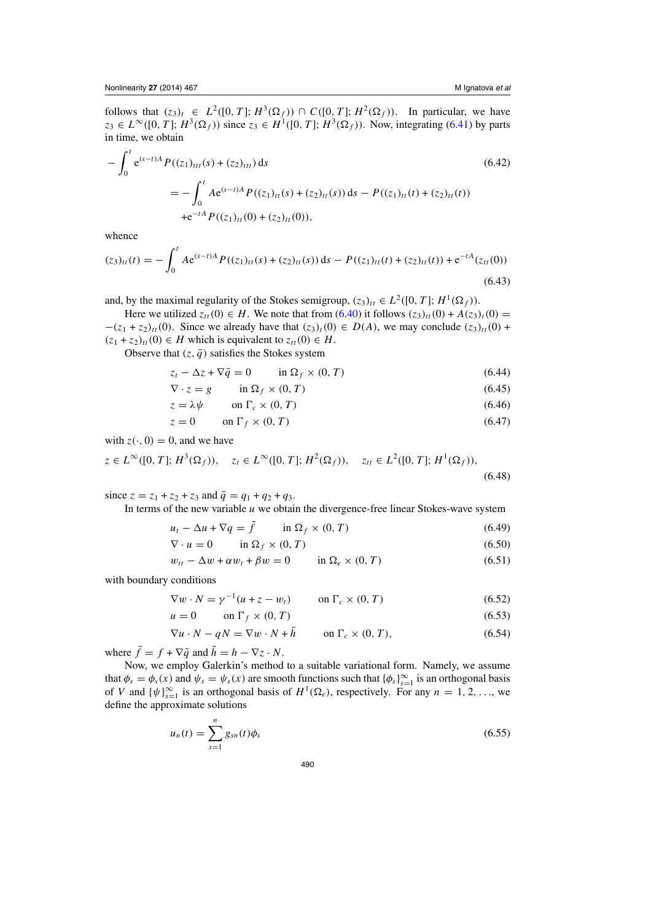<span id="page-24-0"></span>follows that  $(z_3)_t \in L^2([0, T]; H^3(\Omega_f)) \cap C([0, T]; H^2(\Omega_f))$ . In particular, we have *z*<sub>3</sub> ∈ *L*∞([0*, T*]; *H*<sup>3</sup>( $\Omega$ <sub>f</sub>)) since *z*<sub>3</sub> ∈ *H*<sup>1</sup>([0*, T*]; *H*<sup>3</sup>( $\Omega$ <sub>f</sub>)). Now, integrating [\(6.41\)](#page-23-0) by parts in time, we obtain

$$
-\int_0^t e^{(s-t)A} P((z_1)_{ttt}(s) + (z_2)_{ttt}) ds
$$
\n
$$
= -\int_0^t A e^{(s-t)A} P((z_1)_{tt}(s) + (z_2)_{tt}(s)) ds - P((z_1)_{tt}(t) + (z_2)_{tt}(t))
$$
\n
$$
+ e^{-tA} P((z_1)_{tt}(0) + (z_2)_{tt}(0)),
$$
\n(6.42)

whence

$$
(z_3)_{tt}(t) = -\int_0^t A e^{(s-t)A} P((z_1)_{tt}(s) + (z_2)_{tt}(s)) ds - P((z_1)_{tt}(t) + (z_2)_{tt}(t)) + e^{-tA}(z_{tt}(0))
$$
\n(6.43)

and, by the maximal regularity of the Stokes semigroup,  $(z_3)_{tt} \in L^2([0, T]; H^1(\Omega_f))$ .

Here we utilized  $z_{tt}(0) \in H$ . We note that from  $(6.40)$  it follows  $(z_3)_{tt}(0) + A(z_3)_{t}(0) =$  $-(z_1 + z_2)_{tt}(0)$ . Since we already have that  $(z_3)_t(0) \in D(A)$ , we may conclude  $(z_3)_{tt}(0)$  +  $(z_1 + z_2)_{tt}(0) \in H$  which is equivalent to  $z_{tt}(0) \in H$ .

Observe that  $(z, \bar{q})$  satisfies the Stokes system

$$
z_t - \Delta z + \nabla \bar{q} = 0 \qquad \text{in } \Omega_f \times (0, T) \tag{6.44}
$$

$$
\nabla \cdot z = g \qquad \text{in } \Omega_f \times (0, T) \tag{6.45}
$$

$$
z = \lambda \psi \qquad \text{on } \Gamma_c \times (0, T) \tag{6.46}
$$

$$
z = 0 \qquad \text{on } \Gamma_f \times (0, T) \tag{6.47}
$$

with  $z(\cdot, 0) = 0$ , and we have

$$
z \in L^{\infty}([0, T]; H^3(\Omega_f)), \quad z_t \in L^{\infty}([0, T]; H^2(\Omega_f)), \quad z_{tt} \in L^2([0, T]; H^1(\Omega_f)),
$$
\n(6.48)

since  $z = z_1 + z_2 + z_3$  and  $\bar{q} = q_1 + q_2 + q_3$ .

In terms of the new variable *u* we obtain the divergence-free linear Stokes-wave system

$$
u_t - \Delta u + \nabla q = \tilde{f} \qquad \text{in } \Omega_f \times (0, T) \tag{6.49}
$$

$$
\nabla \cdot u = 0 \qquad \text{in } \Omega_f \times (0, T) \tag{6.50}
$$

$$
w_{tt} - \Delta w + \alpha w_t + \beta w = 0 \qquad \text{in } \Omega_e \times (0, T) \tag{6.51}
$$

with boundary conditions

$$
\nabla w \cdot N = \gamma^{-1} (u + z - w_t) \qquad \text{on } \Gamma_c \times (0, T) \tag{6.52}
$$

$$
u = 0 \qquad \text{on } \Gamma_f \times (0, T) \tag{6.53}
$$

$$
\nabla u \cdot N - qN = \nabla w \cdot N + \tilde{h} \qquad \text{on } \Gamma_c \times (0, T), \tag{6.54}
$$

where  $\tilde{f} = f + \nabla \bar{q}$  and  $\tilde{h} = h - \nabla z \cdot N$ .

Now, we employ Galerkin's method to a suitable variational form. Namely, we assume that  $\phi_s = \phi_s(x)$  and  $\psi_s = \psi_s(x)$  are smooth functions such that  $\{\phi_s\}_{s=1}^{\infty}$  is an orthogonal basis of *V* and  $\{\psi\}_{s=1}^{\infty}$  is an orthogonal basis of  $H^1(\Omega_e)$ , respectively. For any  $n = 1, 2, \ldots$ , we define the approximate solutions

$$
u_n(t) = \sum_{s=1}^n g_{sn}(t)\phi_s
$$
\n(6.55)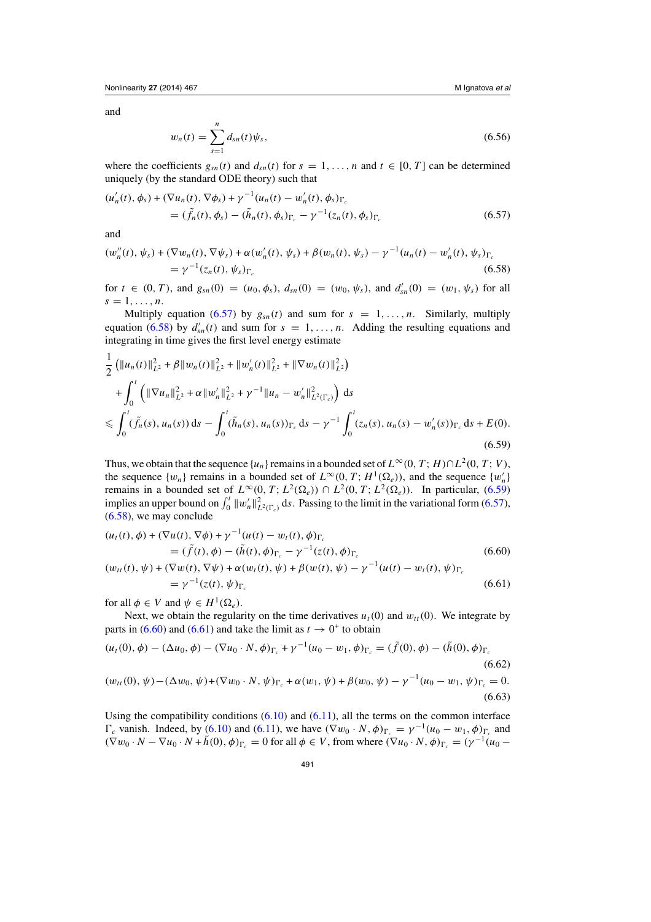<span id="page-25-0"></span>and

$$
w_n(t) = \sum_{s=1}^n d_{sn}(t)\psi_s,
$$
\n(6.56)

where the coefficients  $g_{sn}(t)$  and  $d_{sn}(t)$  for  $s = 1, \ldots, n$  and  $t \in [0, T]$  can be determined uniquely (by the standard ODE theory) such that

$$
(u'_{n}(t), \phi_{s}) + (\nabla u_{n}(t), \nabla \phi_{s}) + \gamma^{-1} (u_{n}(t) - w'_{n}(t), \phi_{s})_{\Gamma_{c}}
$$
  
=  $(\tilde{f}_{n}(t), \phi_{s}) - (\tilde{h}_{n}(t), \phi_{s})_{\Gamma_{c}} - \gamma^{-1} (z_{n}(t), \phi_{s})_{\Gamma_{c}}$  (6.57)

and

$$
(w_n''(t), \psi_s) + (\nabla w_n(t), \nabla \psi_s) + \alpha (w_n'(t), \psi_s) + \beta (w_n(t), \psi_s) - \gamma^{-1} (u_n(t) - w_n'(t), \psi_s)_{\Gamma_c}
$$
  
=  $\gamma^{-1} (z_n(t), \psi_s)_{\Gamma_c}$  (6.58)

for  $t \in (0, T)$ , and  $g_{sn}(0) = (u_0, \phi_s)$ ,  $d_{sn}(0) = (w_0, \psi_s)$ , and  $d'_{sn}(0) = (w_1, \psi_s)$  for all  $s = 1, \ldots, n$ .

Multiply equation (6.57) by  $g_{sn}(t)$  and sum for  $s = 1, \ldots, n$ . Similarly, multiply equation (6.58) by  $d'_{sn}(t)$  and sum for  $s = 1, \ldots, n$ . Adding the resulting equations and integrating in time gives the first level energy estimate

$$
\frac{1}{2} \left( \|u_n(t)\|_{L^2}^2 + \beta \|w_n(t)\|_{L^2}^2 + \|w'_n(t)\|_{L^2}^2 + \|\nabla w_n(t)\|_{L^2}^2 \right) \n+ \int_0^t \left( \|\nabla u_n\|_{L^2}^2 + \alpha \|w'_n\|_{L^2}^2 + \gamma^{-1} \|u_n - w'_n\|_{L^2(\Gamma_c)}^2 \right) ds \n\leq \int_0^t (\tilde{f}_n(s), u_n(s)) ds - \int_0^t (\tilde{h}_n(s), u_n(s))_{\Gamma_c} ds - \gamma^{-1} \int_0^t (z_n(s), u_n(s) - w'_n(s))_{\Gamma_c} ds + E(0).
$$
\n(6.59)

Thus, we obtain that the sequence  $\{u_n\}$  remains in a bounded set of  $L^\infty(0, T; H) \cap L^2(0, T; V)$ , the sequence  $\{w_n\}$  remains in a bounded set of  $L^{\infty}(0, T; H^1(\Omega_e))$ , and the sequence  $\{w'_n\}$ remains in a bounded set of  $L^{\infty}(0, T; L^2(\Omega_e)) \cap L^2(0, T; L^2(\Omega_e))$ . In particular, (6.59) implies an upper bound on  $\int_0^t \|w'_n\|_{L^2(\Gamma_c)}^2 ds$ . Passing to the limit in the variational form (6.57), (6.58), we may conclude

$$
(u_t(t), \phi) + (\nabla u(t), \nabla \phi) + \gamma^{-1} (u(t) - w_t(t), \phi)_{\Gamma_c}
$$
  
\n
$$
= (\tilde{f}(t), \phi) - (\tilde{h}(t), \phi)_{\Gamma_c} - \gamma^{-1} (z(t), \phi)_{\Gamma_c}
$$
  
\n
$$
(w_{tt}(t), \psi) + (\nabla w(t), \nabla \psi) + \alpha (w_t(t), \psi) + \beta (w(t), \psi) - \gamma^{-1} (u(t) - w_t(t), \psi)_{\Gamma_c}
$$
  
\n
$$
= \gamma^{-1} (z(t), \psi)_{\Gamma_c}
$$
\n(6.61)

for all  $\phi \in V$  and  $\psi \in H^1(\Omega_e)$ .

Next, we obtain the regularity on the time derivatives  $u_t(0)$  and  $w_{tt}(0)$ . We integrate by parts in (6.60) and (6.61) and take the limit as  $t \to 0^+$  to obtain

$$
(u_t(0), \phi) - (\Delta u_0, \phi) - (\nabla u_0 \cdot N, \phi)_{\Gamma_c} + \gamma^{-1} (u_0 - w_1, \phi)_{\Gamma_c} = (\tilde{f}(0), \phi) - (\tilde{h}(0), \phi)_{\Gamma_c}
$$
\n
$$
(6.62)
$$
\n
$$
(w_{tt}(0), \psi) - (\Delta w_0, \psi) + (\nabla w_0 \cdot N, \psi)_{\Gamma_c} + \alpha (w_1, \psi) + \beta (w_0, \psi) - \gamma^{-1} (u_0 - w_1, \psi)_{\Gamma_c} = 0.
$$
\n
$$
(6.63)
$$

Using the compatibility conditions  $(6.10)$  and  $(6.11)$ , all the terms on the common interface *c* vanish. Indeed, by [\(6.10\)](#page-21-0) and [\(6.11\)](#page-21-0), we have  $(\nabla w_0 \cdot N, \phi)_{\Gamma_c} = \gamma^{-1} (u_0 - w_1, \phi)_{\Gamma_c}$  and  $(\nabla w_0 \cdot N - \nabla u_0 \cdot N + \tilde{h}(0), \phi)_{\Gamma_c} = 0$  for all  $\phi \in V$ , from where  $(\nabla u_0 \cdot N, \phi)_{\Gamma_c} = (\gamma^{-1}(u_0 - \phi))_{\Gamma_c}$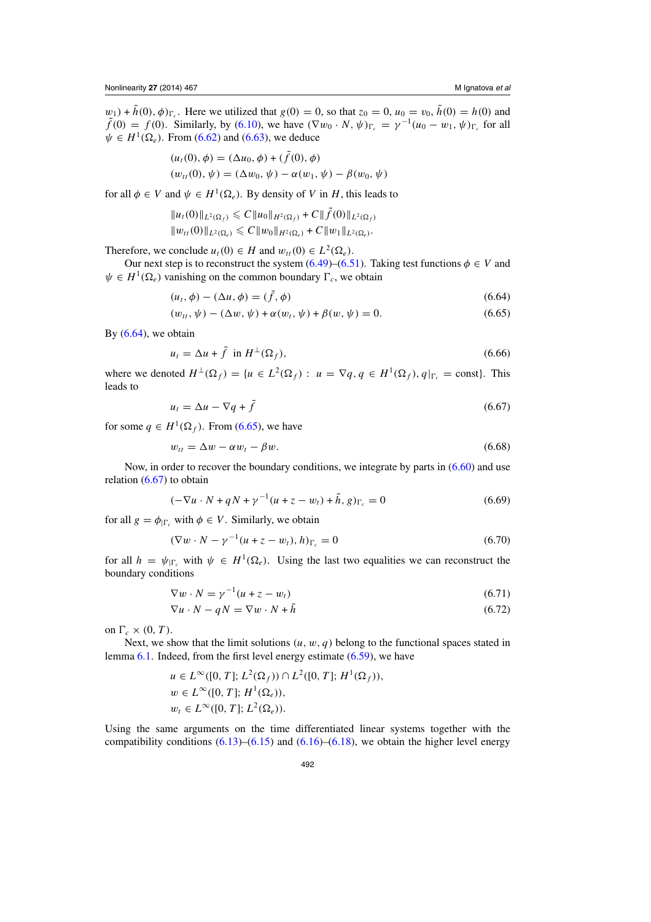$w_1$  +  $h(0), \phi$ <sub>)</sub><sub> $\Gamma_c$ </sub>. Here we utilized that  $g(0) = 0$ , so that  $z_0 = 0$ ,  $u_0 = v_0$ ,  $h(0) = h(0)$  and  $\tilde{f}(0) = f(0)$ . Similarly, by [\(6.10\)](#page-21-0), we have  $(\nabla w_0 \cdot N, \psi)_{\Gamma_c} = \gamma^{-1}(u_0 - w_1, \psi)_{\Gamma_c}$  for all  $\psi \in H^1(\Omega_e)$ . From [\(6.62\)](#page-25-0) and [\(6.63\)](#page-25-0), we deduce

$$
(u_t(0), \phi) = (\Delta u_0, \phi) + (\tilde{f}(0), \phi)
$$
  

$$
(w_{tt}(0), \psi) = (\Delta w_0, \psi) - \alpha(w_1, \psi) - \beta(w_0, \psi)
$$

for all  $\phi \in V$  and  $\psi \in H^1(\Omega_e)$ . By density of *V* in *H*, this leads to

$$
\|u_t(0)\|_{L^2(\Omega_f)} \leq C \|u_0\|_{H^2(\Omega_f)} + C \|\tilde{f}(0)\|_{L^2(\Omega_f)}
$$
  

$$
\|w_{tt}(0)\|_{L^2(\Omega_e)} \leq C \|w_0\|_{H^2(\Omega_e)} + C \|w_1\|_{L^2(\Omega_e)}.
$$

Therefore, we conclude  $u_t(0) \in H$  and  $w_{tt}(0) \in L^2(\Omega_e)$ .

Our next step is to reconstruct the system  $(6.49)$ – $(6.51)$ . Taking test functions  $\phi \in V$  and  $\psi \in H^1(\Omega_e)$  vanishing on the common boundary  $\Gamma_c$ , we obtain

$$
(u_t, \phi) - (\Delta u, \phi) = (\tilde{f}, \phi) \tag{6.64}
$$

$$
(w_{tt}, \psi) - (\Delta w, \psi) + \alpha(w_t, \psi) + \beta(w, \psi) = 0.
$$
\n(6.65)

By  $(6.64)$ , we obtain

$$
u_t = \Delta u + \tilde{f} \text{ in } H^{\perp}(\Omega_f), \tag{6.66}
$$

where we denoted  $H^{\perp}(\Omega_f) = \{u \in L^2(\Omega_f) : u = \nabla q, q \in H^1(\Omega_f), q|_{\Gamma_f} = \text{const}\}.$  This leads to

$$
u_t = \Delta u - \nabla q + \tilde{f} \tag{6.67}
$$

for some  $q \in H^1(\Omega_f)$ . From (6.65), we have

$$
w_{tt} = \Delta w - \alpha w_t - \beta w. \tag{6.68}
$$

Now, in order to recover the boundary conditions, we integrate by parts in [\(6.60\)](#page-25-0) and use relation  $(6.67)$  to obtain

$$
(-\nabla u \cdot N + qN + \gamma^{-1}(u + z - w_t) + \tilde{h}, g)_{\Gamma_c} = 0
$$
\n(6.69)

for all  $g = \phi_{\mid \Gamma_c}$  with  $\phi \in V$ . Similarly, we obtain

$$
(\nabla w \cdot N - \gamma^{-1}(u + z - w_t), h)_{\Gamma_c} = 0 \tag{6.70}
$$

for all  $h = \psi_{|\Gamma_c}$  with  $\psi \in H^1(\Omega_e)$ . Using the last two equalities we can reconstruct the boundary conditions

$$
\nabla w \cdot N = \gamma^{-1}(u + z - w_t) \tag{6.71}
$$

$$
\nabla u \cdot N - qN = \nabla w \cdot N + \tilde{h} \tag{6.72}
$$

on  $\Gamma_c \times (0, T)$ .

Next, we show that the limit solutions  $(u, w, q)$  belong to the functional spaces stated in lemma [6.1.](#page-21-0) Indeed, from the first level energy estimate [\(6.59\)](#page-25-0), we have

$$
u \in L^{\infty}([0, T]; L^{2}(\Omega_{f})) \cap L^{2}([0, T]; H^{1}(\Omega_{f})),
$$
  
\n
$$
w \in L^{\infty}([0, T]; H^{1}(\Omega_{e})),
$$
  
\n
$$
w_{t} \in L^{\infty}([0, T]; L^{2}(\Omega_{e})).
$$

Using the same arguments on the time differentiated linear systems together with the compatibility conditions  $(6.13)$ – $(6.15)$  and  $(6.16)$ – $(6.18)$ , we obtain the higher level energy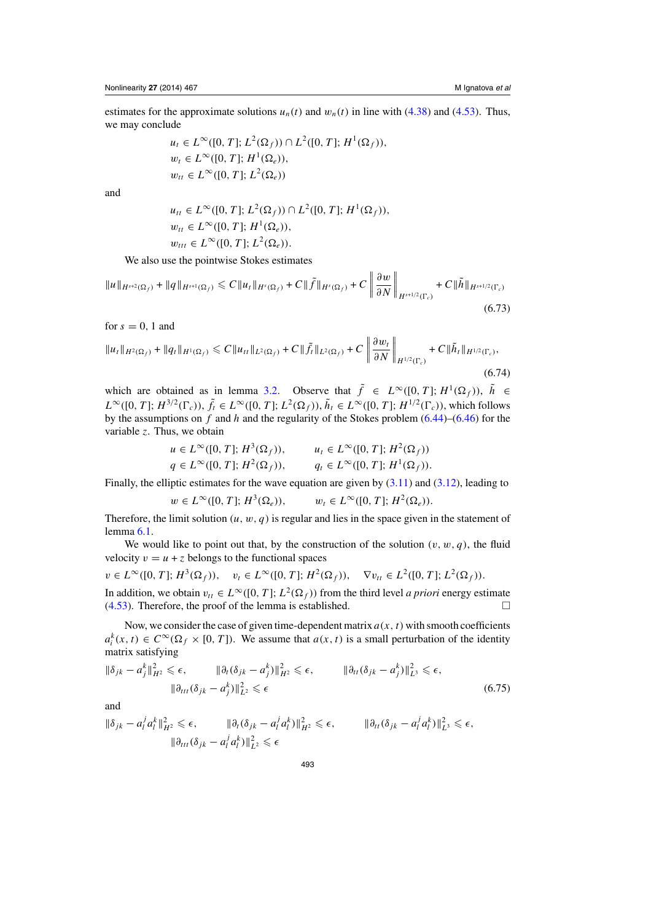<span id="page-27-0"></span>
$$
u_t \in L^{\infty}([0, T]; L^2(\Omega_f)) \cap L^2([0, T]; H^1(\Omega_f)),
$$
  
\n
$$
w_t \in L^{\infty}([0, T]; H^1(\Omega_e)),
$$
  
\n
$$
w_{tt} \in L^{\infty}([0, T]; L^2(\Omega_e))
$$

and

$$
u_{tt} \in L^{\infty}([0, T]; L^{2}(\Omega_{f})) \cap L^{2}([0, T]; H^{1}(\Omega_{f})),
$$
  
\n
$$
w_{tt} \in L^{\infty}([0, T]; H^{1}(\Omega_{e})),
$$
  
\n
$$
w_{tt} \in L^{\infty}([0, T]; L^{2}(\Omega_{e})).
$$

We also use the pointwise Stokes estimates

$$
\|u\|_{H^{s+2}(\Omega_f)} + \|q\|_{H^{s+1}(\Omega_f)} \leq C \|u_t\|_{H^s(\Omega_f)} + C \|\tilde{f}\|_{H^s(\Omega_f)} + C \left\|\frac{\partial w}{\partial N}\right\|_{H^{s+1/2}(\Gamma_c)} + C \|\tilde{h}\|_{H^{s+1/2}(\Gamma_c)} \tag{6.73}
$$

for  $s = 0$ , 1 and

$$
\|u_t\|_{H^2(\Omega_f)} + \|q_t\|_{H^1(\Omega_f)} \leq C \|u_{tt}\|_{L^2(\Omega_f)} + C \|\tilde{f}_t\|_{L^2(\Omega_f)} + C \left\|\frac{\partial w_t}{\partial N}\right\|_{H^{1/2}(\Gamma_c)} + C \|\tilde{h}_t\|_{H^{1/2}(\Gamma_c)},
$$
\n(6.74)

which are obtained as in lemma [3.2.](#page-6-0) Observe that  $\tilde{f} \in L^{\infty}([0, T]; H^{1}(\Omega_{f}))$ ,  $\tilde{h} \in$  $L^{\infty}([0, T]; H^{3/2}(\Gamma_c)), \tilde{f}_t \in L^{\infty}([0, T]; L^2(\Omega_f)), \tilde{h}_t \in L^{\infty}([0, T]; H^{1/2}(\Gamma_c)),$  which follows by the assumptions on *f* and *h* and the regularity of the Stokes problem [\(6.44\)](#page-24-0)–[\(6.46\)](#page-24-0) for the variable *z*. Thus, we obtain

$$
u \in L^{\infty}([0, T]; H^{3}(\Omega_{f})), \qquad u_{t} \in L^{\infty}([0, T]; H^{2}(\Omega_{f}))
$$
  

$$
q \in L^{\infty}([0, T]; H^{2}(\Omega_{f})), \qquad q_{t} \in L^{\infty}([0, T]; H^{1}(\Omega_{f})).
$$

Finally, the elliptic estimates for the wave equation are given by  $(3.11)$  and  $(3.12)$ , leading to

$$
w \in L^{\infty}([0, T]; H^3(\Omega_e)), \qquad w_t \in L^{\infty}([0, T]; H^2(\Omega_e)).
$$

Therefore, the limit solution  $(u, w, q)$  is regular and lies in the space given in the statement of lemma [6.1.](#page-21-0)

We would like to point out that, by the construction of the solution  $(v, w, q)$ , the fluid velocity  $v = u + z$  belongs to the functional spaces

$$
v \in L^{\infty}([0, T]; H^3(\Omega_f)), \quad v_t \in L^{\infty}([0, T]; H^2(\Omega_f)), \quad \nabla v_{tt} \in L^2([0, T]; L^2(\Omega_f)).
$$
  
In addition, we obtain  $v_{tt} \in L^{\infty}([0, T]; L^2(\Omega_f))$  from the third level *a priori* energy estimate (4.53). Therefore, the proof of the lemma is established.

Now, we consider the case of given time-dependent matrix  $a(x, t)$  with smooth coefficients  $a_i^k(x, t) \in C^\infty(\Omega_f \times [0, T])$ . We assume that  $a(x, t)$  is a small perturbation of the identity matrix satisfying

$$
\|\delta_{jk} - a_j^k\|_{H^2}^2 \le \epsilon, \qquad \|\partial_t(\delta_{jk} - a_j^k)\|_{H^2}^2 \le \epsilon, \qquad \|\partial_{tt}(\delta_{jk} - a_j^k)\|_{L^3}^2 \le \epsilon, \|\partial_{tt}(\delta_{jk} - a_j^k)\|_{L^2}^2 \le \epsilon
$$
\n(6.75)

and

$$
\|\delta_{jk} - a_l^j a_l^k\|_{H^2}^2 \le \epsilon, \qquad \|\partial_t(\delta_{jk} - a_l^j a_l^k)\|_{H^2}^2 \le \epsilon, \qquad \|\partial_{tt}(\delta_{jk} - a_l^j a_l^k)\|_{L^3}^2 \le \epsilon, \|\partial_{tt}(\delta_{jk} - a_l^j a_l^k)\|_{L^2}^2 \le \epsilon
$$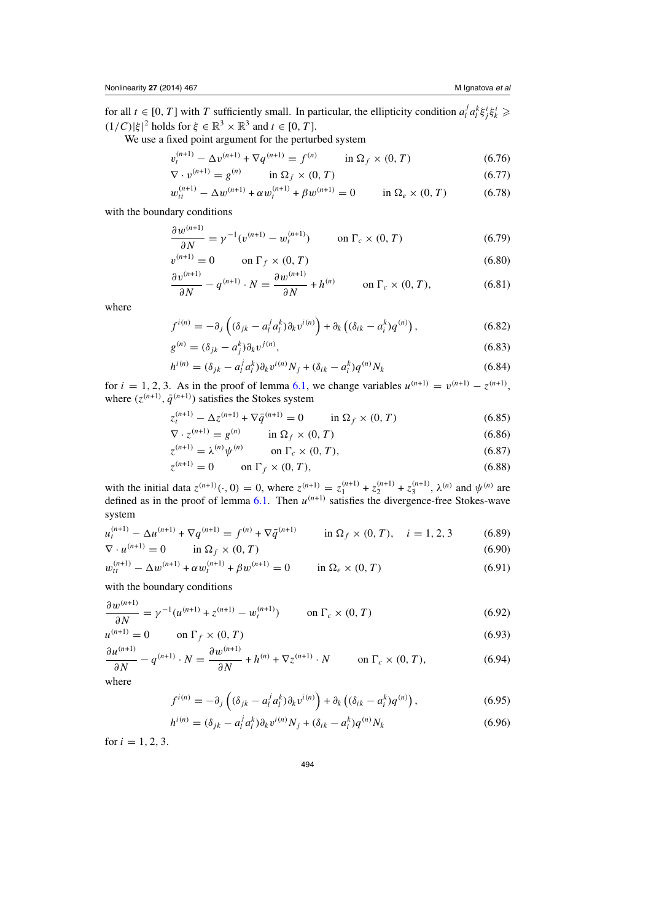<span id="page-28-0"></span>for all  $t \in [0, T]$  with *T* sufficiently small. In particular, the ellipticity condition  $a_i^j a_i^k \xi_j^i \xi_k^i \geq$  $(1/C)|\xi|^2$  holds for  $\xi \in \mathbb{R}^3 \times \mathbb{R}^3$  and  $t \in [0, T]$ .

We use a fixed point argument for the perturbed system

$$
v_t^{(n+1)} - \Delta v^{(n+1)} + \nabla q^{(n+1)} = f^{(n)} \qquad \text{in } \Omega_f \times (0, T) \tag{6.76}
$$

$$
\nabla \cdot v^{(n+1)} = g^{(n)} \qquad \text{in } \Omega_f \times (0, T) \tag{6.77}
$$

$$
w_{tt}^{(n+1)} - \Delta w^{(n+1)} + \alpha w_t^{(n+1)} + \beta w^{(n+1)} = 0 \qquad \text{in } \Omega_e \times (0, T) \tag{6.78}
$$

with the boundary conditions

$$
\frac{\partial w^{(n+1)}}{\partial N} = \gamma^{-1} (v^{(n+1)} - w_t^{(n+1)}) \qquad \text{on } \Gamma_c \times (0, T) \tag{6.79}
$$

$$
v^{(n+1)} = 0 \qquad \text{on } \Gamma_f \times (0, T) \tag{6.80}
$$

$$
\frac{\partial v^{(n+1)}}{\partial N} - q^{(n+1)} \cdot N = \frac{\partial w^{(n+1)}}{\partial N} + h^{(n)} \qquad \text{on } \Gamma_c \times (0, T), \tag{6.81}
$$

where

$$
f^{i(n)} = -\partial_j \left( (\delta_{jk} - a_l^j a_l^k) \partial_k v^{i(n)} \right) + \partial_k \left( (\delta_{ik} - a_i^k) q^{(n)} \right),
$$
\n
$$
f^{(n)}(s, \delta_{jk}) = f^{(n)}(s, \delta_{jk})
$$
\n
$$
f^{(n)}(s, \delta_{jk}) = f^{(n)}(s, \delta_{jk})
$$
\n
$$
f^{(n)}(s, \delta_{jk}) = f^{(n)}(s, \delta_{jk})
$$
\n
$$
f^{(n)}(s, \delta_{jk}) = f^{(n)}(s, \delta_{jk})
$$
\n
$$
f^{(n)}(s, \delta_{jk}) = f^{(n)}(s, \delta_{jk})
$$
\n
$$
f^{(n)}(s, \delta_{jk}) = f^{(n)}(s, \delta_{jk})
$$
\n
$$
f^{(n)}(s, \delta_{jk}) = f^{(n)}(s, \delta_{jk})
$$
\n
$$
f^{(n)}(s, \delta_{jk}) = f^{(n)}(s, \delta_{jk})
$$
\n
$$
f^{(n)}(s, \delta_{jk}) = f^{(n)}(s, \delta_{jk})
$$
\n
$$
f^{(n)}(s, \delta_{jk}) = f^{(n)}(s, \delta_{jk})
$$
\n
$$
f^{(n)}(s, \delta_{jk}) = f^{(n)}(s, \delta_{jk})
$$
\n
$$
f^{(n)}(s, \delta_{jk}) = f^{(n)}(s, \delta_{jk})
$$
\n
$$
f^{(n)}(s, \delta_{jk}) = f^{(n)}(s, \delta_{jk})
$$
\n
$$
f^{(n)}(s, \delta_{jk}) = f^{(n)}(s, \delta_{jk})
$$
\n
$$
f^{(n)}(s, \delta_{jk}) = f^{(n)}(s, \delta_{jk})
$$
\n
$$
f^{(n)}(s, \delta_{jk}) = f^{(n)}(s, \delta_{jk})
$$
\n
$$
f^{(n)}(s, \delta_{jk}) = f^{(n)}(s, \delta_{jk})
$$
\n
$$
f^{(n)}(s, \delta_{jk}) = f^{(n)}(s, \delta_{jk})
$$
\n
$$
f^{(n)}(s, \delta_{jk}) = f^{(n
$$

$$
g^{(n)} = (\delta_{jk} - a_j^k) \partial_k v^{j(n)},\tag{6.83}
$$

$$
h^{i(n)} = (\delta_{jk} - a_l^j a_l^k) \partial_k v^{i(n)} N_j + (\delta_{ik} - a_i^k) q^{(n)} N_k
$$
\n(6.84)

for  $i = 1, 2, 3$ . As in the proof of lemma [6.1,](#page-21-0) we change variables  $u^{(n+1)} = v^{(n+1)} - z^{(n+1)}$ , where  $(z^{(n+1)}, \bar{q}^{(n+1)})$  satisfies the Stokes system

$$
z_t^{(n+1)} - \Delta z^{(n+1)} + \nabla \bar{q}^{(n+1)} = 0 \qquad \text{in } \Omega_f \times (0, T) \tag{6.85}
$$

$$
\nabla \cdot z^{(n+1)} = g^{(n)} \qquad \text{in } \Omega_f \times (0, T) \tag{6.86}
$$

$$
z^{(n+1)} = \lambda^{(n)} \psi^{(n)} \qquad \text{on } \Gamma_c \times (0, T), \tag{6.87}
$$

$$
z^{(n+1)} = 0 \qquad \text{on } \Gamma_f \times (0, T), \tag{6.88}
$$

with the initial data  $z^{(n+1)}(\cdot, 0) = 0$ , where  $z^{(n+1)} = z_1^{(n+1)} + z_2^{(n+1)} + z_3^{(n+1)}$ ,  $\lambda^{(n)}$  and  $\psi^{(n)}$  are defined as in the proof of lemma  $6.1$ . Then  $u^{(n+1)}$  satisfies the divergence-free Stokes-wave system

$$
u_t^{(n+1)} - \Delta u^{(n+1)} + \nabla q^{(n+1)} = f^{(n)} + \nabla \bar{q}^{(n+1)} \qquad \text{in } \Omega_f \times (0, T), \quad i = 1, 2, 3 \tag{6.89}
$$
  

$$
\nabla \cdot u^{(n+1)} = 0 \qquad \text{in } \Omega_f \times (0, T) \tag{6.90}
$$

$$
w_{tt}^{(n+1)} - \Delta w_{t}^{(n+1)} + \alpha w_{t}^{(n+1)} + \beta w_{t}^{(n+1)} = 0 \qquad \text{in } \Omega_e \times (0, T) \tag{6.91}
$$

with the boundary conditions

$$
\frac{\partial w^{(n+1)}}{\partial N} = \gamma^{-1} (u^{(n+1)} + z^{(n+1)} - w_t^{(n+1)}) \qquad \text{on } \Gamma_c \times (0, T) \tag{6.92}
$$

$$
u^{(n+1)} = 0 \qquad \text{on } \Gamma_f \times (0, T) \tag{6.93}
$$

$$
\frac{\partial u^{(n+1)}}{\partial N} - q^{(n+1)} \cdot N = \frac{\partial w^{(n+1)}}{\partial N} + h^{(n)} + \nabla z^{(n+1)} \cdot N \qquad \text{on } \Gamma_c \times (0, T), \tag{6.94}
$$

where

$$
f^{i(n)} = -\partial_j \left( (\delta_{jk} - a_l^j a_l^k) \partial_k v^{i(n)} \right) + \partial_k \left( (\delta_{ik} - a_i^k) q^{(n)} \right), \tag{6.95}
$$

$$
h^{i(n)} = (\delta_{jk} - a_l^j a_l^k) \partial_k v^{i(n)} N_j + (\delta_{ik} - a_i^k) q^{(n)} N_k
$$
\n(6.96)

for  $i = 1, 2, 3$ .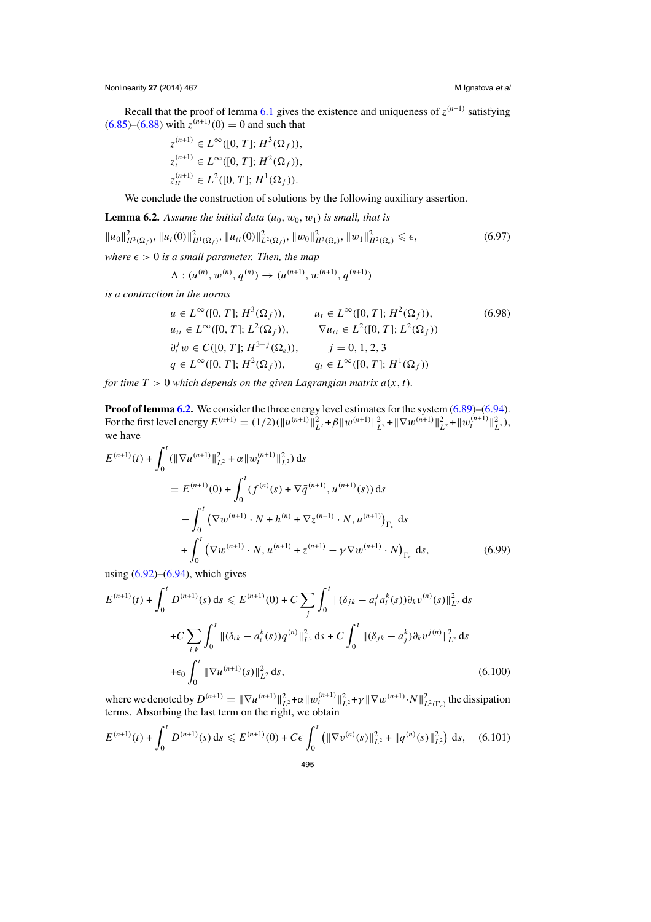<span id="page-29-0"></span>Recall that the proof of lemma [6.1](#page-21-0) gives the existence and uniqueness of  $z^{(n+1)}$  satisfying  $(6.85)$ – $(6.88)$  with  $z^{(n+1)}(0) = 0$  and such that

$$
z^{(n+1)} \in L^{\infty}([0, T]; H^3(\Omega_f)),
$$
  
\n
$$
z_t^{(n+1)} \in L^{\infty}([0, T]; H^2(\Omega_f)),
$$
  
\n
$$
z_{tt}^{(n+1)} \in L^2([0, T]; H^1(\Omega_f)).
$$

We conclude the construction of solutions by the following auxiliary assertion.

**Lemma 6.2.** Assume the initial data  $(u_0, w_0, w_1)$  is small, that is  $||u_0||^2_{H^3(\Omega_f)}, ||u_t(0)||^2_{H^1(\Omega_f)}, ||u_{tt}(0)||^2_{L^2(\Omega_f)}, ||w_0||^2_{H^3(\Omega_e)}, ||w_1||^2_{H^2(\Omega_e)} \leq$  *,* (6.97) *where*  $\epsilon > 0$  *is a small parameter. Then, the map* 

$$
\Lambda: (u^{(n)}, w^{(n)}, q^{(n)}) \to (u^{(n+1)}, w^{(n+1)}, q^{(n+1)})
$$

*is a contraction in the norms*

$$
u \in L^{\infty}([0, T]; H^{3}(\Omega_{f})), \qquad u_{t} \in L^{\infty}([0, T]; H^{2}(\Omega_{f})), \qquad (6.98)
$$
  
\n
$$
u_{tt} \in L^{\infty}([0, T]; L^{2}(\Omega_{f})), \qquad \nabla u_{tt} \in L^{2}([0, T]; L^{2}(\Omega_{f}))
$$
  
\n
$$
\partial_{t}^{j} w \in C([0, T]; H^{3-j}(\Omega_{e})), \qquad j = 0, 1, 2, 3
$$
  
\n
$$
q \in L^{\infty}([0, T]; H^{2}(\Omega_{f})), \qquad q_{t} \in L^{\infty}([0, T]; H^{1}(\Omega_{f}))
$$

*for time*  $T > 0$  *which depends on the given Lagrangian matrix*  $a(x, t)$ *.* 

**Proof of lemma 6.2.** We consider the three energy level estimates for the system [\(6.89\)](#page-28-0)–[\(6.94\)](#page-28-0). For the first level energy  $E^{(n+1)} = (1/2) (\|u^{(n+1)}\|_{L^2}^2 + \beta \|w^{(n+1)}\|_{L^2}^2 + \|\nabla w^{(n+1)}\|_{L^2}^2 + \|w_t^{(n+1)}\|_{L^2}^2),$ we have

$$
E^{(n+1)}(t) + \int_0^t (\|\nabla u^{(n+1)}\|_{L^2}^2 + \alpha \|w_t^{(n+1)}\|_{L^2}^2) ds
$$
  
\n
$$
= E^{(n+1)}(0) + \int_0^t (f^{(n)}(s) + \nabla \bar{q}^{(n+1)}, u^{(n+1)}(s)) ds
$$
  
\n
$$
- \int_0^t (\nabla w^{(n+1)} \cdot N + h^{(n)} + \nabla z^{(n+1)} \cdot N, u^{(n+1)})_{\Gamma_c} ds
$$
  
\n
$$
+ \int_0^t (\nabla w^{(n+1)} \cdot N, u^{(n+1)} + z^{(n+1)} - \gamma \nabla w^{(n+1)} \cdot N)_{\Gamma_c} ds,
$$
\n(6.99)

using  $(6.92)$ – $(6.94)$ , which gives

$$
E^{(n+1)}(t) + \int_0^t D^{(n+1)}(s) ds \leq E^{(n+1)}(0) + C \sum_j \int_0^t \|(\delta_{jk} - a_l^j a_l^k(s)) \partial_k v^{(n)}(s)\|_{L^2}^2 ds
$$
  
+
$$
C \sum_{i,k} \int_0^t \|(\delta_{ik} - a_i^k(s)) q^{(n)}\|_{L^2}^2 ds + C \int_0^t \|(\delta_{jk} - a_j^k) \partial_k v^{j(n)}\|_{L^2}^2 ds
$$
  
+
$$
\epsilon_0 \int_0^t \|\nabla u^{(n+1)}(s)\|_{L^2}^2 ds,
$$
(6.100)

where we denoted by  $D^{(n+1)} = ||\nabla u^{(n+1)}||_{L^2}^2 + \alpha ||w_t^{(n+1)}||_{L^2}^2 + \gamma ||\nabla w^{(n+1)} \cdot N||_{L^2(\Gamma_c)}^2$  the dissipation terms. Absorbing the last term on the right, we obtain

$$
E^{(n+1)}(t) + \int_0^t D^{(n+1)}(s) \, ds \leqslant E^{(n+1)}(0) + C\epsilon \int_0^t \left( \|\nabla v^{(n)}(s)\|_{L^2}^2 + \|q^{(n)}(s)\|_{L^2}^2 \right) \, ds,\tag{6.101}
$$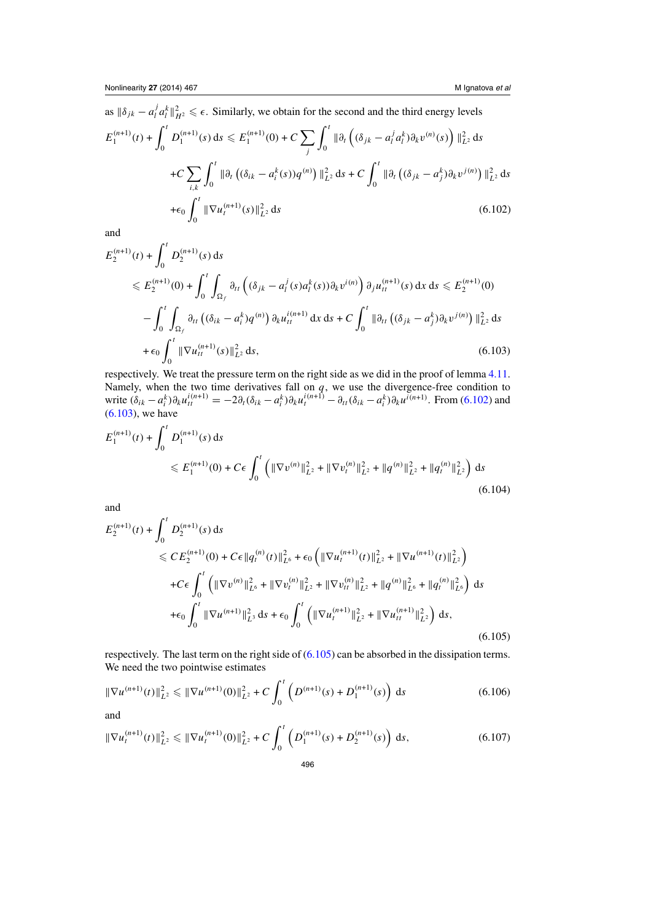as 
$$
\|\delta_{jk} - a_l^j a_l^k\|_{H^2}^2 \le \epsilon
$$
. Similarly, we obtain for the second and the third energy levels  
\n
$$
E_1^{(n+1)}(t) + \int_0^t D_1^{(n+1)}(s) ds \le E_1^{(n+1)}(0) + C \sum_j \int_0^t \|\partial_t \left( (\delta_{jk} - a_l^j a_l^k) \partial_k v^{(n)}(s) \right) \|_{L^2}^2 ds
$$
\n
$$
+ C \sum_{i,k} \int_0^t \|\partial_t \left( (\delta_{ik} - a_i^k(s)) q^{(n)} \right) \|_{L^2}^2 ds + C \int_0^t \|\partial_t \left( (\delta_{jk} - a_j^k) \partial_k v^{(n)} \right) \|_{L^2}^2 ds
$$
\n
$$
+ \epsilon_0 \int_0^t \|\nabla u_t^{(n+1)}(s)\|_{L^2}^2 ds \qquad (6.102)
$$

and

$$
E_2^{(n+1)}(t) + \int_0^t D_2^{(n+1)}(s) ds
$$
  
\n
$$
\leq E_2^{(n+1)}(0) + \int_0^t \int_{\Omega_f} \partial_{tt} \left( (\delta_{jk} - a_i^j(s) a_i^k(s)) \partial_k v^{i(n)} \right) \partial_j u_{tt}^{(n+1)}(s) dx ds \leq E_2^{(n+1)}(0)
$$
  
\n
$$
- \int_0^t \int_{\Omega_f} \partial_{tt} \left( (\delta_{ik} - a_i^k) q^{(n)} \right) \partial_k u_{tt}^{i(n+1)} dx ds + C \int_0^t ||\partial_{tt} \left( (\delta_{jk} - a_j^k) \partial_k v^{j(n)} \right) ||_{L^2}^2 ds
$$
  
\n
$$
+ \epsilon_0 \int_0^t ||\nabla u_{tt}^{(n+1)}(s) ||_{L^2}^2 ds,
$$
\n(6.103)

respectively. We treat the pressure term on the right side as we did in the proof of lemma [4.11.](#page-16-0) Namely, when the two time derivatives fall on *q*, we use the divergence-free condition to write  $(\delta_{ik} - a_i^k) \partial_k u_{tt}^{i(n+1)} = -2 \partial_t (\delta_{ik} - a_i^k) \partial_k u_t^{i(n+1)} - \partial_{tt} (\delta_{ik} - a_i^k) \partial_k u_t^{i(n+1)}$ . From (6.102) and  $(6.103)$ , we have

$$
E_1^{(n+1)}(t) + \int_0^t D_1^{(n+1)}(s) ds
$$
  
\$\leqslant E\_1^{(n+1)}(0) + C\epsilon \int\_0^t \left( \|\nabla v^{(n)}\|\_{L^2}^2 + \|\nabla v\_t^{(n)}\|\_{L^2}^2 + \|q^{(n)}\|\_{L^2}^2 + \|q\_t^{(n)}\|\_{L^2}^2 \right) ds\$ (6.104)

and

$$
E_2^{(n+1)}(t) + \int_0^t D_2^{(n+1)}(s) ds
$$
  
\n
$$
\leq C E_2^{(n+1)}(0) + C \epsilon ||q_t^{(n)}(t)||_{L^6}^2 + \epsilon_0 \left( \|\nabla u_t^{(n+1)}(t)\|_{L^2}^2 + \|\nabla u^{(n+1)}(t)\|_{L^2}^2 \right)
$$
  
\n
$$
+ C \epsilon \int_0^t \left( \|\nabla v^{(n)}\|_{L^6}^2 + \|\nabla v_t^{(n)}\|_{L^2}^2 + \|\nabla v_{tt}^{(n)}\|_{L^2}^2 + \|q^{(n)}\|_{L^6}^2 + \|q_t^{(n)}\|_{L^6}^2 \right) ds
$$
  
\n
$$
+ \epsilon_0 \int_0^t \|\nabla u^{(n+1)}\|_{L^3}^2 ds + \epsilon_0 \int_0^t \left( \|\nabla u_t^{(n+1)}\|_{L^2}^2 + \|\nabla u_{tt}^{(n+1)}\|_{L^2}^2 \right) ds,
$$
\n(6.105)

respectively. The last term on the right side of (6.105) can be absorbed in the dissipation terms. We need the two pointwise estimates

$$
\|\nabla u^{(n+1)}(t)\|_{L^2}^2 \le \|\nabla u^{(n+1)}(0)\|_{L^2}^2 + C \int_0^t \left(D^{(n+1)}(s) + D_1^{(n+1)}(s)\right) ds \tag{6.106}
$$

and

$$
\|\nabla u_t^{(n+1)}(t)\|_{L^2}^2 \le \|\nabla u_t^{(n+1)}(0)\|_{L^2}^2 + C \int_0^t \left(D_1^{(n+1)}(s) + D_2^{(n+1)}(s)\right) \, \mathrm{d}s,\tag{6.107}
$$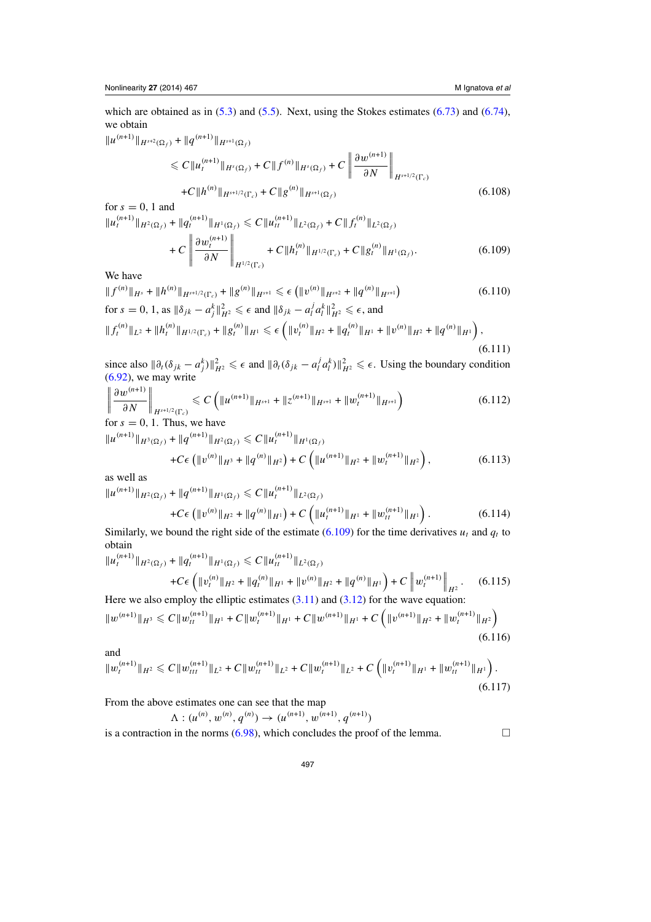which are obtained as in  $(5.3)$  and  $(5.5)$ . Next, using the Stokes estimates  $(6.73)$  and  $(6.74)$ , we obtain

 $||u^{(n+1)}||_{H^{s+2}(\Omega_f)} + ||q^{(n+1)}||_{H^{s+1}(\Omega_f)}$  $\leq C \|u_t^{(n+1)}\|_{H^s(\Omega_f)} + C \|f^{(n)}\|_{H^s(\Omega_f)} + C$ *∂w(n*+1*) ∂N*  $\Bigg\|_{H^{s+1/2}(\Gamma_c)}$  $+C \|h^{(n)}\|_{H^{s+1/2}(\Gamma_c)} + C \|g^{(n)}\|_{H^{s+1}(\Omega_f)}$  (6.108)

for  $s = 0$ , 1 and  $||u_t^{(n+1)}||$ 

$$
|_{H^{2}(\Omega_{f})} + ||q_{t}^{(n+1)}||_{H^{1}(\Omega_{f})} \leq C ||u_{tt}^{(n+1)}||_{L^{2}(\Omega_{f})} + C ||f_{t}^{(n)}||_{L^{2}(\Omega_{f})}
$$
  
+ 
$$
C \left\| \frac{\partial w_{t}^{(n+1)}}{\partial N} \right\|_{H^{1/2}(\Gamma_{c})} + C ||h_{t}^{(n)}||_{H^{1/2}(\Gamma_{c})} + C ||g_{t}^{(n)}||_{H^{1}(\Omega_{f})}.
$$
 (6.109)

We have

$$
|| f^{(n)} ||_{H^s} + ||h^{(n)} ||_{H^{s+1/2}(\Gamma_c)} + ||g^{(n)} ||_{H^{s+1}} \le \epsilon \left( ||v^{(n)} ||_{H^{s+2}} + ||q^{(n)} ||_{H^{s+1}} \right)
$$
(6.110)  
for  $s = 0, 1$ , as  $|| \delta_{jk} - a_j^k ||_{H^2}^2 \le \epsilon$  and  $|| \delta_{jk} - a_j^j a_i^k ||_{H^2}^2 \le \epsilon$ , and  

$$
|| f_t^{(n)} ||_{L^2} + ||h_t^{(n)} ||_{H^{1/2}(\Gamma_c)} + ||g_t^{(n)} ||_{H^1} \le \epsilon \left( ||v_t^{(n)} ||_{H^2} + ||q_t^{(n)} ||_{H^1} + ||v^{(n)} ||_{H^2} + ||q^{(n)} ||_{H^1} \right),
$$
(6.111)

since also  $\|\partial_t(\delta_{jk} - a_j^k)\|_{H^2}^2 \le \epsilon$  and  $\|\partial_t(\delta_{jk} - a_i^j a_l^k)\|_{H^2}^2 \le \epsilon$ . Using the boundary condition  $(6.92)$ , we may write

$$
\left\| \frac{\partial w^{(n+1)}}{\partial N} \right\|_{H^{s+1/2}(\Gamma_c)} \leqslant C \left( \| u^{(n+1)} \|_{H^{s+1}} + \| z^{(n+1)} \|_{H^{s+1}} + \| w_l^{(n+1)} \|_{H^{s+1}} \right) \tag{6.112}
$$

for  $s = 0, 1$ . Thus, we have

 $||u^{(n+1)}||_{H^3(\Omega_f)} + ||q^{(n+1)}||_{H^2(\Omega_f)} \leq C||u_t^{(n+1)}||_{H^1(\Omega_f)}$ 

$$
+C\epsilon \left( \|v^{(n)}\|_{H^3} + \|q^{(n)}\|_{H^2} \right) + C\left( \|u^{(n+1)}\|_{H^2} + \|w_t^{(n+1)}\|_{H^2} \right),\tag{6.113}
$$

as well as

 $||u^{(n+1)}||_{H^2(\Omega_f)} + ||q^{(n+1)}||_{H^1(\Omega_f)} \leq C ||u_t^{(n+1)}||_{L^2(\Omega_f)}$  $+C\epsilon \left( \|v^{(n)}\|_{H^2} + \|q^{(n)}\|_{H^1} \right) + C\left( \|u_t^{(n+1)}\|_{H^1} + \|w_{tt}^{(n+1)}\|_{H^1} \right)$ 

Similarly, we bound the right side of the estimate  $(6.109)$  for the time derivatives  $u_t$  and  $q_t$  to obtain  $||u_t^{(n+1)}||$ 

$$
\|_{H^2(\Omega_f)} + \|q_t^{(n+1)}\|_{H^1(\Omega_f)} \leq C \|u_{tt}^{(n+1)}\|_{L^2(\Omega_f)}
$$
  
+ $C\epsilon \left( \|v_t^{(n)}\|_{H^2} + \|q_t^{(n)}\|_{H^1} + \|v^{(n)}\|_{H^2} + \|q^{(n)}\|_{H^1} \right) + C \left\| w_t^{(n+1)} \right\|_{H^2}.$  (6.115)

Here we also employ the elliptic estimates  $(3.11)$  and  $(3.12)$  for the wave equation:

$$
||w^{(n+1)}||_{H^3} \leq C||w_{tt}^{(n+1)}||_{H^1} + C||w_t^{(n+1)}||_{H^1} + C||w^{(n+1)}||_{H^1} + C\left(||v^{(n+1)}||_{H^2} + ||w_t^{(n+1)}||_{H^2}\right)
$$
\n(6.116)

and

$$
||w_t^{(n+1)}||_{H^2} \leq C||w_{tt}^{(n+1)}||_{L^2} + C||w_{tt}^{(n+1)}||_{L^2} + C||w_t^{(n+1)}||_{L^2} + C\left(||v_t^{(n+1)}||_{H^1} + ||w_{tt}^{(n+1)}||_{H^1}\right).
$$
\n(6.117)

From the above estimates one can see that the map

$$
\Lambda : (u^{(n)}, w^{(n)}, q^{(n)}) \to (u^{(n+1)}, w^{(n+1)}, q^{(n+1)})
$$

is a contraction in the norms  $(6.98)$ , which concludes the proof of the lemma.

*.* (6.114)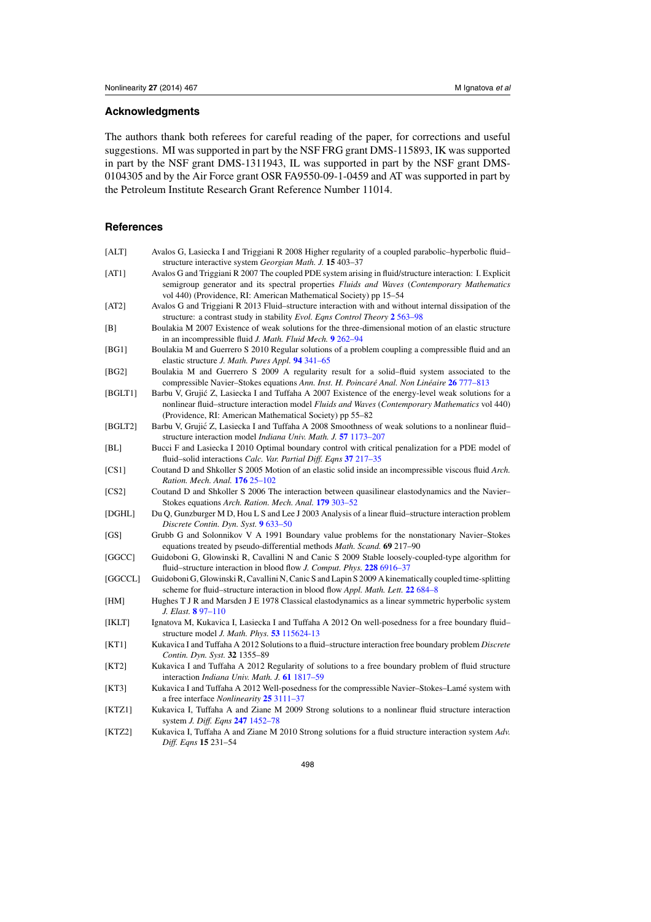#### <span id="page-32-0"></span>**Acknowledgments**

The authors thank both referees for careful reading of the paper, for corrections and useful suggestions. MI was supported in part by the NSF FRG grant DMS-115893, IK was supported in part by the NSF grant DMS-1311943, IL was supported in part by the NSF grant DMS-0104305 and by the Air Force grant OSR FA9550-09-1-0459 and AT was supported in part by the Petroleum Institute Research Grant Reference Number 11014.

# **References**

| [ALT]   | Avalos G, Lasiecka I and Triggiani R 2008 Higher regularity of a coupled parabolic–hyperbolic fluid–<br>structure interactive system Georgian Math. J. 15 403-37                                                                                                            |
|---------|-----------------------------------------------------------------------------------------------------------------------------------------------------------------------------------------------------------------------------------------------------------------------------|
| [AT1]   | Avalos G and Triggiani R 2007 The coupled PDE system arising in fluid/structure interaction: I. Explicit<br>semigroup generator and its spectral properties Fluids and Waves (Contemporary Mathematics<br>vol 440) (Providence, RI: American Mathematical Society) pp 15–54 |
| [AT2]   | Avalos G and Triggiani R 2013 Fluid–structure interaction with and without internal dissipation of the<br>structure: a contrast study in stability Evol. Eqns Control Theory 2 563-98                                                                                       |
| [B]     | Boulakia M 2007 Existence of weak solutions for the three-dimensional motion of an elastic structure<br>in an incompressible fluid <i>J. Math. Fluid Mech.</i> 9 262–94                                                                                                     |
| [BG1]   | Boulakia M and Guerrero S 2010 Regular solutions of a problem coupling a compressible fluid and an<br>elastic structure J. Math. Pures Appl. 94 341-65                                                                                                                      |
| [BG2]   | Boulakia M and Guerrero S 2009 A regularity result for a solid-fluid system associated to the<br>compressible Navier-Stokes equations Ann. Inst. H. Poincaré Anal. Non Linéaire 26 777-813                                                                                  |
| [BGLT1] | Barbu V, Grujić Z, Lasiecka I and Tuffaha A 2007 Existence of the energy-level weak solutions for a<br>nonlinear fluid-structure interaction model Fluids and Waves (Contemporary Mathematics vol 440)<br>(Providence, RI: American Mathematical Society) pp 55–82          |
| [BGLT2] | Barbu V, Grujić Z, Lasiecka I and Tuffaha A 2008 Smoothness of weak solutions to a nonlinear fluid-<br>structure interaction model <i>Indiana Univ. Math. J.</i> 57 1173–207                                                                                                |
| [BL]    | Bucci F and Lasiecka I 2010 Optimal boundary control with critical penalization for a PDE model of<br>fluid-solid interactions Calc. Var. Partial Diff. Eqns 37 217-35                                                                                                      |
| [CS1]   | Coutand D and Shkoller S 2005 Motion of an elastic solid inside an incompressible viscous fluid Arch.<br>Ration. Mech. Anal. 176 25-102                                                                                                                                     |
| [CS2]   | Coutand D and Shkoller S 2006 The interaction between quasilinear elastodynamics and the Navier-<br>Stokes equations Arch. Ration. Mech. Anal. 179 303-52                                                                                                                   |
| [DGHL]  | Du Q, Gunzburger M D, Hou L S and Lee J 2003 Analysis of a linear fluid-structure interaction problem<br>Discrete Contin. Dyn. Syst. 9 633-50                                                                                                                               |
| [GS]    | Grubb G and Solonnikov V A 1991 Boundary value problems for the nonstationary Navier-Stokes<br>equations treated by pseudo-differential methods Math. Scand. 69 217-90                                                                                                      |
| [GGCC]  | Guidoboni G, Glowinski R, Cavallini N and Canic S 2009 Stable loosely-coupled-type algorithm for<br>fluid-structure interaction in blood flow J. Comput. Phys. 228 6916-37                                                                                                  |
| [GGCCL] | Guidoboni G, Glowinski R, Cavallini N, Canic S and Lapin S 2009 A kinematically coupled time-splitting<br>scheme for fluid–structure interaction in blood flow Appl. Math. Lett. 22 684–8                                                                                   |
| [HM]    | Hughes T J R and Marsden J E 1978 Classical elastodynamics as a linear symmetric hyperbolic system<br>J. Elast. 897-110                                                                                                                                                     |
| [IKLT]  | Ignatova M, Kukavica I, Lasiecka I and Tuffaha A 2012 On well-posedness for a free boundary fluid-<br>structure model <i>J. Math. Phys.</i> <b>53</b> 115624-13                                                                                                             |
| [KT1]   | Kukavica I and Tuffaha A 2012 Solutions to a fluid-structure interaction free boundary problem Discrete<br>Contin. Dyn. Syst. 32 1355-89                                                                                                                                    |
| [KT2]   | Kukavica I and Tuffaha A 2012 Regularity of solutions to a free boundary problem of fluid structure<br>interaction Indiana Univ. Math. J. 61 1817-59                                                                                                                        |
| [KT3]   | Kukavica I and Tuffaha A 2012 Well-posedness for the compressible Navier-Stokes-Lamé system with<br>a free interface Nonlinearity 25 3111-37                                                                                                                                |
| [KTZ1]  | Kukavica I, Tuffaha A and Ziane M 2009 Strong solutions to a nonlinear fluid structure interaction<br>system J. Diff. Eqns 247 1452-78                                                                                                                                      |

[KTZ2] Kukavica I, Tuffaha A and Ziane M 2010 Strong solutions for a fluid structure interaction system *Adv. Diff. Eqns* **15** 231–54